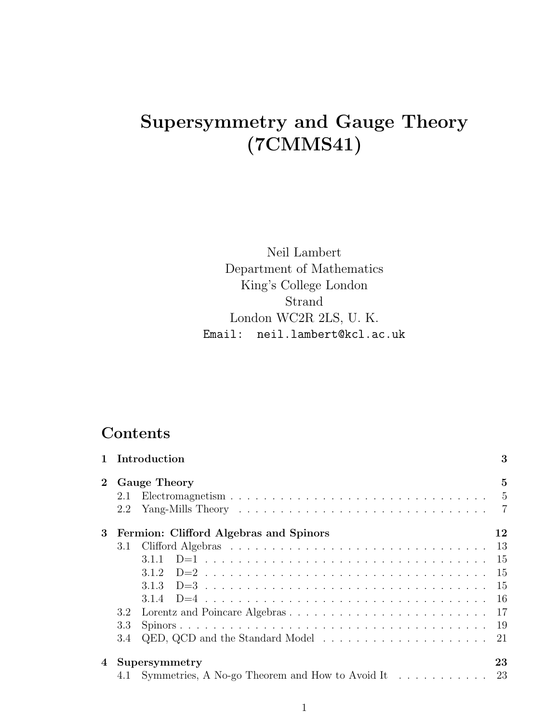# Supersymmetry and Gauge Theory (7CMMS41)

Neil Lambert Department of Mathematics King's College London Strand London WC2R 2LS, U. K. Email: neil.lambert@kcl.ac.uk

## Contents

|                |               | Introduction                                                                | 3              |
|----------------|---------------|-----------------------------------------------------------------------------|----------------|
| $\overline{2}$ |               | <b>Gauge Theory</b>                                                         | $\overline{5}$ |
|                | 2.1           |                                                                             | $\overline{5}$ |
|                | 2.2           |                                                                             | $\overline{7}$ |
| 3              |               | Fermion: Clifford Algebras and Spinors                                      | 12             |
|                | 3.1           |                                                                             | 13             |
|                |               | 311                                                                         | -15            |
|                |               | 3.1.2                                                                       | - 15           |
|                |               | 3.1.3                                                                       | -15            |
|                |               |                                                                             |                |
|                | $3.2^{\circ}$ |                                                                             |                |
|                | 3.3           |                                                                             |                |
|                | 3.4           | QED, QCD and the Standard Model $\dots \dots \dots \dots \dots \dots \dots$ | -21            |
| 4              |               | Supersymmetry                                                               | 23             |
|                |               | 4.1 Symmetries, A No-go Theorem and How to Avoid It                         | 23             |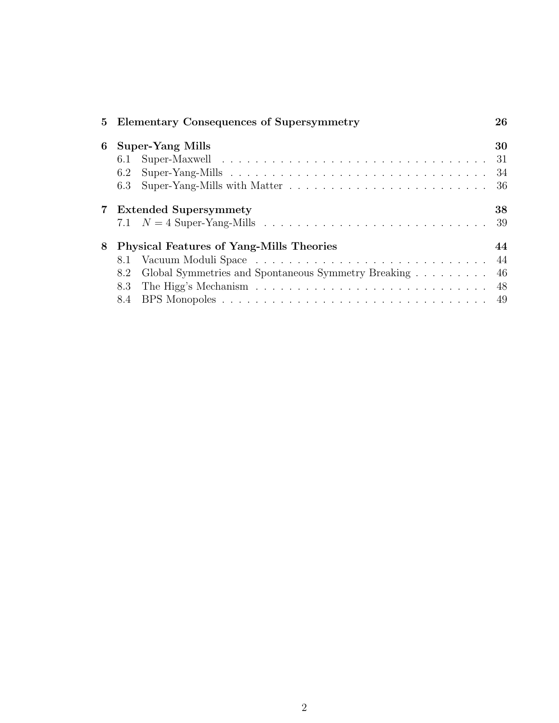|             |                                                 | 5 Elementary Consequences of Supersymmetry          | 26  |
|-------------|-------------------------------------------------|-----------------------------------------------------|-----|
| 6           | <b>Super-Yang Mills</b>                         |                                                     |     |
|             |                                                 |                                                     | 31  |
|             | 6.2                                             |                                                     | -34 |
|             | 6.3                                             |                                                     |     |
| $7^{\circ}$ | <b>Extended Supersymmety</b>                    |                                                     |     |
|             |                                                 |                                                     | -39 |
| 8           | <b>Physical Features of Yang-Mills Theories</b> |                                                     |     |
|             |                                                 |                                                     | 44  |
|             | 8.2                                             | Global Symmetries and Spontaneous Symmetry Breaking | 46  |
|             | 8.3                                             |                                                     | 48  |
|             |                                                 |                                                     |     |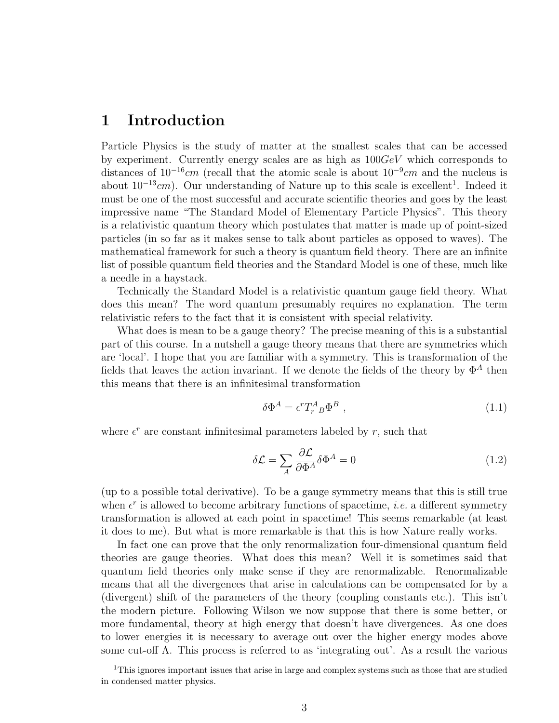## 1 Introduction

Particle Physics is the study of matter at the smallest scales that can be accessed by experiment. Currently energy scales are as high as  $100GeV$  which corresponds to distances of  $10^{-16}$ cm (recall that the atomic scale is about  $10^{-9}$ cm and the nucleus is about  $10^{-13}$ cm). Our understanding of Nature up to this scale is excellent<sup>1</sup>. Indeed it must be one of the most successful and accurate scientific theories and goes by the least impressive name "The Standard Model of Elementary Particle Physics". This theory is a relativistic quantum theory which postulates that matter is made up of point-sized particles (in so far as it makes sense to talk about particles as opposed to waves). The mathematical framework for such a theory is quantum field theory. There are an infinite list of possible quantum field theories and the Standard Model is one of these, much like a needle in a haystack.

Technically the Standard Model is a relativistic quantum gauge field theory. What does this mean? The word quantum presumably requires no explanation. The term relativistic refers to the fact that it is consistent with special relativity.

What does is mean to be a gauge theory? The precise meaning of this is a substantial part of this course. In a nutshell a gauge theory means that there are symmetries which are 'local'. I hope that you are familiar with a symmetry. This is transformation of the fields that leaves the action invariant. If we denote the fields of the theory by  $\Phi^A$  then this means that there is an infinitesimal transformation

$$
\delta \Phi^A = \epsilon^r T_r^A{}_B \Phi^B \t\t(1.1)
$$

where  $\epsilon^r$  are constant infinitesimal parameters labeled by r, such that

$$
\delta \mathcal{L} = \sum_{A} \frac{\partial \mathcal{L}}{\partial \Phi^{A}} \delta \Phi^{A} = 0
$$
\n(1.2)

(up to a possible total derivative). To be a gauge symmetry means that this is still true when  $\epsilon^r$  is allowed to become arbitrary functions of spacetime, *i.e.* a different symmetry transformation is allowed at each point in spacetime! This seems remarkable (at least it does to me). But what is more remarkable is that this is how Nature really works.

In fact one can prove that the only renormalization four-dimensional quantum field theories are gauge theories. What does this mean? Well it is sometimes said that quantum field theories only make sense if they are renormalizable. Renormalizable means that all the divergences that arise in calculations can be compensated for by a (divergent) shift of the parameters of the theory (coupling constants etc.). This isn't the modern picture. Following Wilson we now suppose that there is some better, or more fundamental, theory at high energy that doesn't have divergences. As one does to lower energies it is necessary to average out over the higher energy modes above some cut-off Λ. This process is referred to as 'integrating out'. As a result the various

<sup>&</sup>lt;sup>1</sup>This ignores important issues that arise in large and complex systems such as those that are studied in condensed matter physics.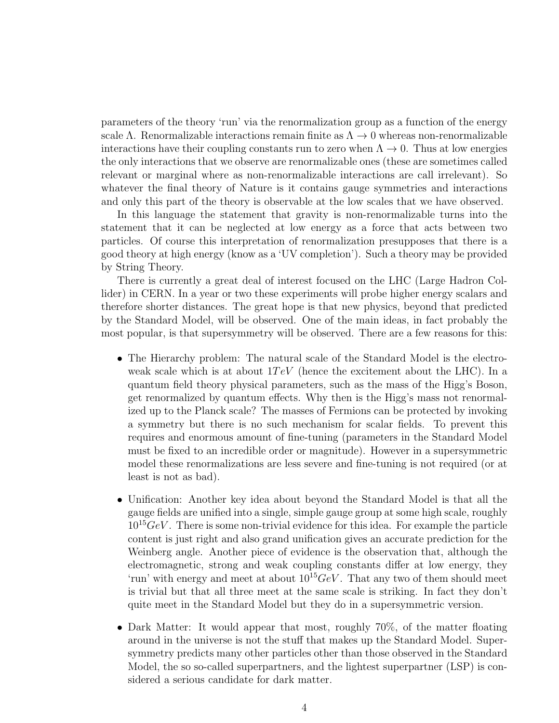parameters of the theory 'run' via the renormalization group as a function of the energy scale Λ. Renormalizable interactions remain finite as  $\Lambda \to 0$  whereas non-renormalizable interactions have their coupling constants run to zero when  $\Lambda \to 0$ . Thus at low energies the only interactions that we observe are renormalizable ones (these are sometimes called relevant or marginal where as non-renormalizable interactions are call irrelevant). So whatever the final theory of Nature is it contains gauge symmetries and interactions and only this part of the theory is observable at the low scales that we have observed.

In this language the statement that gravity is non-renormalizable turns into the statement that it can be neglected at low energy as a force that acts between two particles. Of course this interpretation of renormalization presupposes that there is a good theory at high energy (know as a 'UV completion'). Such a theory may be provided by String Theory.

There is currently a great deal of interest focused on the LHC (Large Hadron Collider) in CERN. In a year or two these experiments will probe higher energy scalars and therefore shorter distances. The great hope is that new physics, beyond that predicted by the Standard Model, will be observed. One of the main ideas, in fact probably the most popular, is that supersymmetry will be observed. There are a few reasons for this:

- The Hierarchy problem: The natural scale of the Standard Model is the electroweak scale which is at about  $1TeV$  (hence the excitement about the LHC). In a quantum field theory physical parameters, such as the mass of the Higg's Boson, get renormalized by quantum effects. Why then is the Higg's mass not renormalized up to the Planck scale? The masses of Fermions can be protected by invoking a symmetry but there is no such mechanism for scalar fields. To prevent this requires and enormous amount of fine-tuning (parameters in the Standard Model must be fixed to an incredible order or magnitude). However in a supersymmetric model these renormalizations are less severe and fine-tuning is not required (or at least is not as bad).
- Unification: Another key idea about beyond the Standard Model is that all the gauge fields are unified into a single, simple gauge group at some high scale, roughly  $10^{15}GeV$ . There is some non-trivial evidence for this idea. For example the particle content is just right and also grand unification gives an accurate prediction for the Weinberg angle. Another piece of evidence is the observation that, although the electromagnetic, strong and weak coupling constants differ at low energy, they 'run' with energy and meet at about  $10^{15}GeV$ . That any two of them should meet is trivial but that all three meet at the same scale is striking. In fact they don't quite meet in the Standard Model but they do in a supersymmetric version.
- Dark Matter: It would appear that most, roughly 70%, of the matter floating around in the universe is not the stuff that makes up the Standard Model. Supersymmetry predicts many other particles other than those observed in the Standard Model, the so so-called superpartners, and the lightest superpartner (LSP) is considered a serious candidate for dark matter.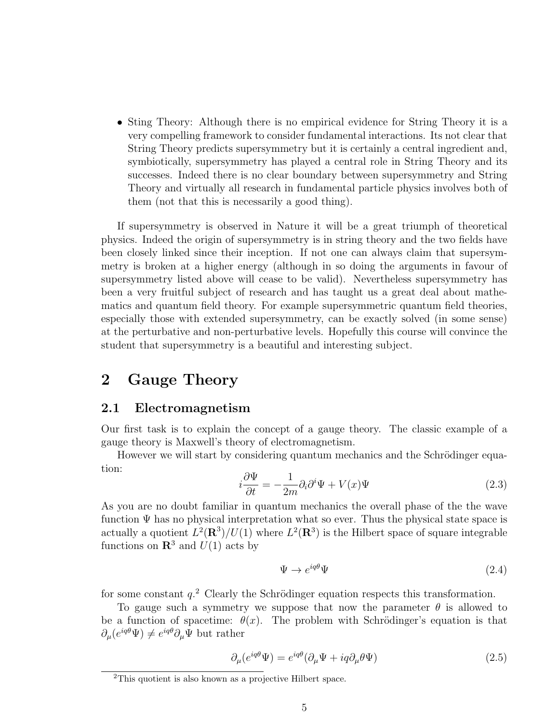• Sting Theory: Although there is no empirical evidence for String Theory it is a very compelling framework to consider fundamental interactions. Its not clear that String Theory predicts supersymmetry but it is certainly a central ingredient and, symbiotically, supersymmetry has played a central role in String Theory and its successes. Indeed there is no clear boundary between supersymmetry and String Theory and virtually all research in fundamental particle physics involves both of them (not that this is necessarily a good thing).

If supersymmetry is observed in Nature it will be a great triumph of theoretical physics. Indeed the origin of supersymmetry is in string theory and the two fields have been closely linked since their inception. If not one can always claim that supersymmetry is broken at a higher energy (although in so doing the arguments in favour of supersymmetry listed above will cease to be valid). Nevertheless supersymmetry has been a very fruitful subject of research and has taught us a great deal about mathematics and quantum field theory. For example supersymmetric quantum field theories, especially those with extended supersymmetry, can be exactly solved (in some sense) at the perturbative and non-perturbative levels. Hopefully this course will convince the student that supersymmetry is a beautiful and interesting subject.

## 2 Gauge Theory

### 2.1 Electromagnetism

Our first task is to explain the concept of a gauge theory. The classic example of a gauge theory is Maxwell's theory of electromagnetism.

However we will start by considering quantum mechanics and the Schrödinger equation:

$$
i\frac{\partial\Psi}{\partial t} = -\frac{1}{2m}\partial_i\partial^i\Psi + V(x)\Psi
$$
\n(2.3)

As you are no doubt familiar in quantum mechanics the overall phase of the the wave function  $\Psi$  has no physical interpretation what so ever. Thus the physical state space is actually a quotient  $L^2(\mathbf{R}^3)/U(1)$  where  $L^2(\mathbf{R}^3)$  is the Hilbert space of square integrable functions on  $\mathbb{R}^3$  and  $U(1)$  acts by

$$
\Psi \to e^{iq\theta} \Psi \tag{2.4}
$$

for some constant  $q<sup>2</sup>$ . Clearly the Schrödinger equation respects this transformation.

To gauge such a symmetry we suppose that now the parameter  $\theta$  is allowed to be a function of spacetime:  $\theta(x)$ . The problem with Schrödinger's equation is that  $\partial_{\mu} (e^{iq\theta} \Psi) \neq e^{iq\theta} \partial_{\mu} \Psi$  but rather

$$
\partial_{\mu}(e^{iq\theta}\Psi) = e^{iq\theta}(\partial_{\mu}\Psi + iq\partial_{\mu}\theta\Psi)
$$
\n(2.5)

<sup>2</sup>This quotient is also known as a projective Hilbert space.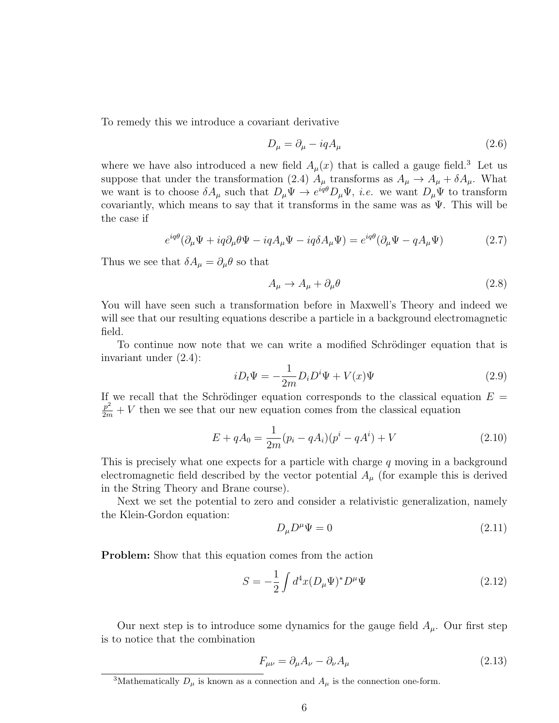To remedy this we introduce a covariant derivative

$$
D_{\mu} = \partial_{\mu} - iqA_{\mu} \tag{2.6}
$$

where we have also introduced a new field  $A_\mu(x)$  that is called a gauge field.<sup>3</sup> Let us suppose that under the transformation (2.4)  $A_{\mu}$  transforms as  $A_{\mu} \to A_{\mu} + \delta A_{\mu}$ . What we want is to choose  $\delta A_\mu$  such that  $D_\mu \Psi \to e^{iq\theta} D_\mu \Psi$ , *i.e.* we want  $D_\mu \Psi$  to transform covariantly, which means to say that it transforms in the same was as  $\Psi$ . This will be the case if

$$
e^{iq\theta}(\partial_{\mu}\Psi + iq\partial_{\mu}\theta\Psi - iqA_{\mu}\Psi - iq\delta A_{\mu}\Psi) = e^{iq\theta}(\partial_{\mu}\Psi - qA_{\mu}\Psi)
$$
(2.7)

Thus we see that  $\delta A_\mu = \partial_\mu \theta$  so that

$$
A_{\mu} \to A_{\mu} + \partial_{\mu} \theta \tag{2.8}
$$

You will have seen such a transformation before in Maxwell's Theory and indeed we will see that our resulting equations describe a particle in a background electromagnetic field.

To continue now note that we can write a modified Schrödinger equation that is invariant under (2.4):

$$
iD_t\Psi = -\frac{1}{2m}D_iD^i\Psi + V(x)\Psi
$$
\n(2.9)

If we recall that the Schrödinger equation corresponds to the classical equation  $E =$  $\frac{p^2}{2m} + V$  then we see that our new equation comes from the classical equation

$$
E + qA_0 = \frac{1}{2m}(p_i - qA_i)(p^i - qA^i) + V
$$
\n(2.10)

This is precisely what one expects for a particle with charge q moving in a background electromagnetic field described by the vector potential  $A_\mu$  (for example this is derived in the String Theory and Brane course).

Next we set the potential to zero and consider a relativistic generalization, namely the Klein-Gordon equation:

$$
D_{\mu}D^{\mu}\Psi = 0 \tag{2.11}
$$

Problem: Show that this equation comes from the action

$$
S = -\frac{1}{2} \int d^4x (D_\mu \Psi)^* D^\mu \Psi \tag{2.12}
$$

Our next step is to introduce some dynamics for the gauge field  $A_\mu$ . Our first step is to notice that the combination

$$
F_{\mu\nu} = \partial_{\mu}A_{\nu} - \partial_{\nu}A_{\mu} \tag{2.13}
$$

<sup>&</sup>lt;sup>3</sup>Mathematically  $D_{\mu}$  is known as a connection and  $A_{\mu}$  is the connection one-form.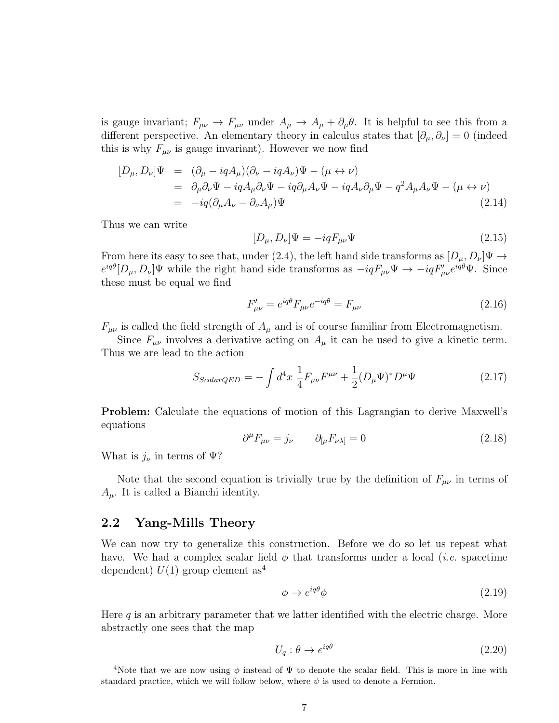is gauge invariant;  $F_{\mu\nu} \to F_{\mu\nu}$  under  $A_{\mu} \to A_{\mu} + \partial_{\mu}\theta$ . It is helpful to see this from a different perspective. An elementary theory in calculus states that  $[\partial_\mu, \partial_\nu] = 0$  (indeed this is why  $F_{\mu\nu}$  is gauge invariant). However we now find

$$
[D_{\mu}, D_{\nu}]\Psi = (\partial_{\mu} - iqA_{\mu})(\partial_{\nu} - iqA_{\nu})\Psi - (\mu \leftrightarrow \nu)
$$
  
=  $\partial_{\mu}\partial_{\nu}\Psi - iqA_{\mu}\partial_{\nu}\Psi - iq\partial_{\mu}A_{\nu}\Psi - iqA_{\nu}\partial_{\mu}\Psi - q^{2}A_{\mu}A_{\nu}\Psi - (\mu \leftrightarrow \nu)$   
=  $-iq(\partial_{\mu}A_{\nu} - \partial_{\nu}A_{\mu})\Psi$  (2.14)

Thus we can write

$$
[D_{\mu}, D_{\nu}]\Psi = -iqF_{\mu\nu}\Psi
$$
\n(2.15)

From here its easy to see that, under (2.4), the left hand side transforms as  $[D_\mu, D_\nu]\Psi \to$  $e^{iq\theta}[D_{\mu}, D_{\nu}]\Psi$  while the right hand side transforms as  $-iqF_{\mu\nu}\Psi \to -iqF'_{\mu\nu}e^{iq\theta}\Psi$ . Since these must be equal we find

$$
F'_{\mu\nu} = e^{iq\theta} F_{\mu\nu} e^{-iq\theta} = F_{\mu\nu}
$$
\n(2.16)

 $F_{\mu\nu}$  is called the field strength of  $A_{\mu}$  and is of course familiar from Electromagnetism.

Since  $F_{\mu\nu}$  involves a derivative acting on  $A_{\mu}$  it can be used to give a kinetic term. Thus we are lead to the action

$$
S_{Scalar QED} = -\int d^4x \frac{1}{4} F_{\mu\nu} F^{\mu\nu} + \frac{1}{2} (D_{\mu} \Psi)^* D^{\mu} \Psi \qquad (2.17)
$$

Problem: Calculate the equations of motion of this Lagrangian to derive Maxwell's equations

$$
\partial^{\mu}F_{\mu\nu} = j_{\nu} \qquad \partial_{[\mu}F_{\nu\lambda]} = 0 \tag{2.18}
$$

What is  $j_{\nu}$  in terms of  $\Psi$ ?

Note that the second equation is trivially true by the definition of  $F_{\mu\nu}$  in terms of  $A_{\mu}$ . It is called a Bianchi identity.

### 2.2 Yang-Mills Theory

We can now try to generalize this construction. Before we do so let us repeat what have. We had a complex scalar field  $\phi$  that transforms under a local *(i.e.* spacetime dependent)  $U(1)$  group element as<sup>4</sup>

$$
\phi \to e^{iq\theta} \phi \tag{2.19}
$$

Here  $q$  is an arbitrary parameter that we latter identified with the electric charge. More abstractly one sees that the map

$$
U_q: \theta \to e^{iq\theta} \tag{2.20}
$$

<sup>&</sup>lt;sup>4</sup>Note that we are now using  $\phi$  instead of  $\Psi$  to denote the scalar field. This is more in line with standard practice, which we will follow below, where  $\psi$  is used to denote a Fermion.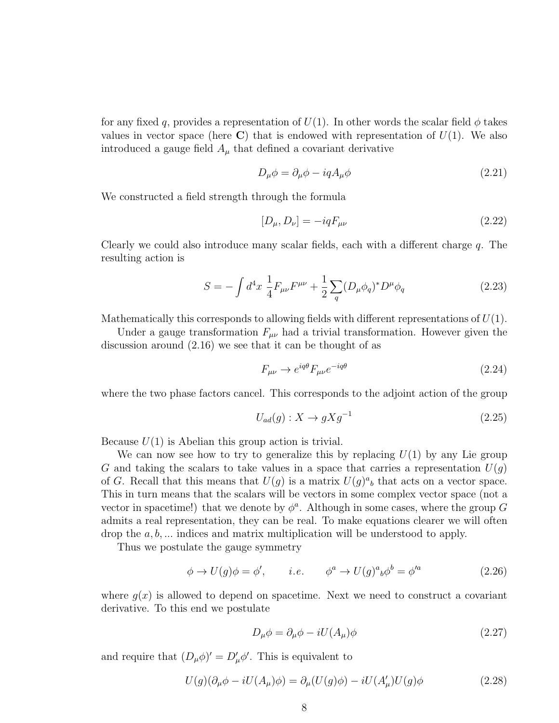for any fixed q, provides a representation of  $U(1)$ . In other words the scalar field  $\phi$  takes values in vector space (here  $\bf{C}$ ) that is endowed with representation of  $U(1)$ . We also introduced a gauge field  $A_{\mu}$  that defined a covariant derivative

$$
D_{\mu}\phi = \partial_{\mu}\phi - iqA_{\mu}\phi \tag{2.21}
$$

We constructed a field strength through the formula

$$
[D_{\mu}, D_{\nu}] = -iqF_{\mu\nu} \tag{2.22}
$$

Clearly we could also introduce many scalar fields, each with a different charge q. The resulting action is

$$
S = -\int d^4x \frac{1}{4} F_{\mu\nu} F^{\mu\nu} + \frac{1}{2} \sum_q (D_\mu \phi_q)^* D^\mu \phi_q \tag{2.23}
$$

Mathematically this corresponds to allowing fields with different representations of  $U(1)$ .

Under a gauge transformation  $F_{\mu\nu}$  had a trivial transformation. However given the discussion around (2.16) we see that it can be thought of as

$$
F_{\mu\nu} \to e^{iq\theta} F_{\mu\nu} e^{-iq\theta} \tag{2.24}
$$

where the two phase factors cancel. This corresponds to the adjoint action of the group

$$
U_{ad}(g): X \to gXg^{-1} \tag{2.25}
$$

Because  $U(1)$  is Abelian this group action is trivial.

We can now see how to try to generalize this by replacing  $U(1)$  by any Lie group G and taking the scalars to take values in a space that carries a representation  $U(g)$ of G. Recall that this means that  $U(g)$  is a matrix  $U(g)^{a}{}_{b}$  that acts on a vector space. This in turn means that the scalars will be vectors in some complex vector space (not a vector in spacetime!) that we denote by  $\phi^a$ . Although in some cases, where the group G admits a real representation, they can be real. To make equations clearer we will often drop the  $a, b, \ldots$  indices and matrix multiplication will be understood to apply.

Thus we postulate the gauge symmetry

$$
\phi \to U(g)\phi = \phi', \qquad i.e. \qquad \phi^a \to U(g)^a{}_b\phi^b = \phi'^a \tag{2.26}
$$

where  $q(x)$  is allowed to depend on spacetime. Next we need to construct a covariant derivative. To this end we postulate

$$
D_{\mu}\phi = \partial_{\mu}\phi - iU(A_{\mu})\phi \tag{2.27}
$$

and require that  $(D_{\mu}\phi)' = D'_{\mu}\phi'$ . This is equivalent to

$$
U(g)(\partial_{\mu}\phi - iU(A_{\mu})\phi) = \partial_{\mu}(U(g)\phi) - iU(A'_{\mu})U(g)\phi
$$
\n(2.28)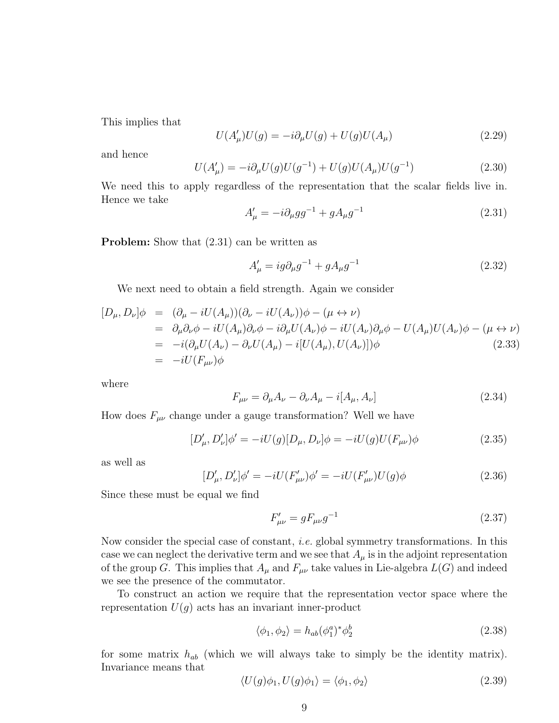This implies that

$$
U(A'_{\mu})U(g) = -i\partial_{\mu}U(g) + U(g)U(A_{\mu})
$$
\n(2.29)

and hence

$$
U(A'_{\mu}) = -i\partial_{\mu}U(g)U(g^{-1}) + U(g)U(A_{\mu})U(g^{-1})
$$
\n(2.30)

We need this to apply regardless of the representation that the scalar fields live in. Hence we take

$$
A'_{\mu} = -i \partial_{\mu} g g^{-1} + g A_{\mu} g^{-1} \tag{2.31}
$$

**Problem:** Show that  $(2.31)$  can be written as

$$
A'_{\mu} = ig \partial_{\mu} g^{-1} + g A_{\mu} g^{-1}
$$
\n(2.32)

We next need to obtain a field strength. Again we consider

$$
[D_{\mu}, D_{\nu}]\phi = (\partial_{\mu} - iU(A_{\mu}))(\partial_{\nu} - iU(A_{\nu}))\phi - (\mu \leftrightarrow \nu)
$$
  
\n
$$
= \partial_{\mu}\partial_{\nu}\phi - iU(A_{\mu})\partial_{\nu}\phi - i\partial_{\mu}U(A_{\nu})\phi - iU(A_{\nu})\partial_{\mu}\phi - U(A_{\mu})U(A_{\nu})\phi - (\mu \leftrightarrow \nu)
$$
  
\n
$$
= -i(\partial_{\mu}U(A_{\nu}) - \partial_{\nu}U(A_{\mu}) - i[U(A_{\mu}), U(A_{\nu})])\phi
$$
  
\n
$$
= -iU(F_{\mu\nu})\phi
$$
\n(2.33)

where

$$
F_{\mu\nu} = \partial_{\mu}A_{\nu} - \partial_{\nu}A_{\mu} - i[A_{\mu}, A_{\nu}]
$$
\n(2.34)

How does  $F_{\mu\nu}$  change under a gauge transformation? Well we have

$$
[D'_{\mu}, D'_{\nu}]\phi' = -iU(g)[D_{\mu}, D_{\nu}]\phi = -iU(g)U(F_{\mu\nu})\phi
$$
\n(2.35)

as well as

$$
[D'_{\mu}, D'_{\nu}]\phi' = -iU(F'_{\mu\nu})\phi' = -iU(F'_{\mu\nu})U(g)\phi
$$
\n(2.36)

Since these must be equal we find

$$
F'_{\mu\nu} = gF_{\mu\nu}g^{-1}
$$
\n(2.37)

Now consider the special case of constant, i.e. global symmetry transformations. In this case we can neglect the derivative term and we see that  $A_{\mu}$  is in the adjoint representation of the group G. This implies that  $A_\mu$  and  $F_{\mu\nu}$  take values in Lie-algebra  $L(G)$  and indeed we see the presence of the commutator.

To construct an action we require that the representation vector space where the representation  $U(g)$  acts has an invariant inner-product

$$
\langle \phi_1, \phi_2 \rangle = h_{ab} (\phi_1^a)^* \phi_2^b \tag{2.38}
$$

for some matrix  $h_{ab}$  (which we will always take to simply be the identity matrix). Invariance means that

$$
\langle U(g)\phi_1, U(g)\phi_1 \rangle = \langle \phi_1, \phi_2 \rangle \tag{2.39}
$$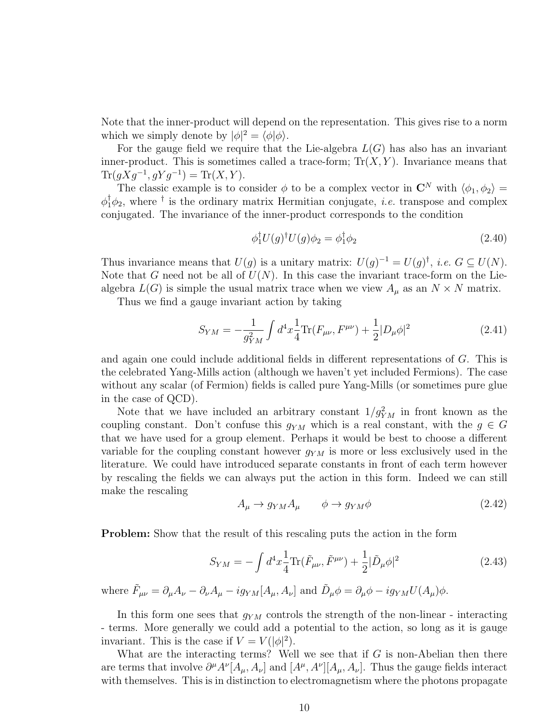Note that the inner-product will depend on the representation. This gives rise to a norm which we simply denote by  $|\phi|^2 = \langle \phi | \phi \rangle$ .

For the gauge field we require that the Lie-algebra  $L(G)$  has also has an invariant inner-product. This is sometimes called a trace-form;  $Tr(X, Y)$ . Invariance means that  $\text{Tr}(gXg^{-1}, gYg^{-1}) = \text{Tr}(X, Y).$ 

The classic example is to consider  $\phi$  to be a complex vector in  $\mathbb{C}^N$  with  $\langle \phi_1, \phi_2 \rangle =$  $\phi_1^{\dagger} \phi_2$ , where <sup>†</sup> is the ordinary matrix Hermitian conjugate, *i.e.* transpose and complex conjugated. The invariance of the inner-product corresponds to the condition

$$
\phi_1^{\dagger} U(g)^{\dagger} U(g) \phi_2 = \phi_1^{\dagger} \phi_2 \tag{2.40}
$$

Thus invariance means that  $U(g)$  is a unitary matrix:  $U(g)^{-1} = U(g)^{\dagger}$ , *i.e.*  $G \subseteq U(N)$ . Note that G need not be all of  $U(N)$ . In this case the invariant trace-form on the Liealgebra  $L(G)$  is simple the usual matrix trace when we view  $A_\mu$  as an  $N \times N$  matrix.

Thus we find a gauge invariant action by taking

$$
S_{YM} = -\frac{1}{g_{YM}^2} \int d^4x \frac{1}{4} \text{Tr}(F_{\mu\nu}, F^{\mu\nu}) + \frac{1}{2} |D_{\mu}\phi|^2 \tag{2.41}
$$

and again one could include additional fields in different representations of G. This is the celebrated Yang-Mills action (although we haven't yet included Fermions). The case without any scalar (of Fermion) fields is called pure Yang-Mills (or sometimes pure glue in the case of QCD).

Note that we have included an arbitrary constant  $1/g_{YM}^2$  in front known as the coupling constant. Don't confuse this  $g_{YM}$  which is a real constant, with the  $g \in G$ that we have used for a group element. Perhaps it would be best to choose a different variable for the coupling constant however  $g_{YM}$  is more or less exclusively used in the literature. We could have introduced separate constants in front of each term however by rescaling the fields we can always put the action in this form. Indeed we can still make the rescaling

$$
A_{\mu} \to g_{YM} A_{\mu} \qquad \phi \to g_{YM} \phi \tag{2.42}
$$

**Problem:** Show that the result of this rescaling puts the action in the form

$$
S_{YM} = -\int d^4x \frac{1}{4} \text{Tr}(\tilde{F}_{\mu\nu}, \tilde{F}^{\mu\nu}) + \frac{1}{2} |\tilde{D}_{\mu}\phi|^2 \tag{2.43}
$$

where  $\tilde{F}_{\mu\nu} = \partial_{\mu}A_{\nu} - \partial_{\nu}A_{\mu} - ig_{YM}[A_{\mu}, A_{\nu}]$  and  $\tilde{D}_{\mu}\phi = \partial_{\mu}\phi - ig_{YM}U(A_{\mu})\phi$ .

In this form one sees that  $g_{YM}$  controls the strength of the non-linear - interacting - terms. More generally we could add a potential to the action, so long as it is gauge invariant. This is the case if  $V = V(|\phi|^2)$ .

What are the interacting terms? Well we see that if  $G$  is non-Abelian then there are terms that involve  $\partial^{\mu}A^{\nu}[A_{\mu},A_{\nu}]$  and  $[A^{\mu},A^{\nu}][A_{\mu},A_{\nu}]$ . Thus the gauge fields interact with themselves. This is in distinction to electromagnetism where the photons propagate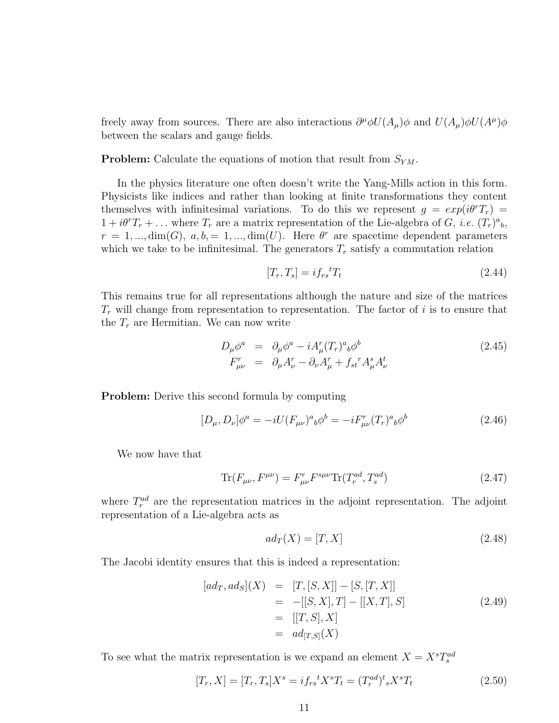freely away from sources. There are also interactions  $\partial^{\mu}\phi U(A_{\mu})\phi$  and  $U(A_{\mu})\phi U(A^{\mu})\phi$ between the scalars and gauge fields.

**Problem:** Calculate the equations of motion that result from  $S_{YM}$ .

In the physics literature one often doesn't write the Yang-Mills action in this form. Physicists like indices and rather than looking at finite transformations they content themselves with infinitesimal variations. To do this we represent  $g = exp(i\theta^r T_r)$  $1 + i\theta^r T_r + \dots$  where  $T_r$  are a matrix representation of the Lie-algebra of G, *i.e.*  $(T_r)^a{}_b$ ,  $r = 1, ..., dim(G), a, b, = 1, ..., dim(U).$  Here  $\theta^r$  are spacetime dependent parameters which we take to be infinitesimal. The generators  $T_r$  satisfy a commutation relation

$$
[T_r, T_s] = i f_{rs}{}^t T_t \tag{2.44}
$$

This remains true for all representations although the nature and size of the matrices  $T_r$  will change from representation to representation. The factor of i is to ensure that the  $T_r$  are Hermitian. We can now write

$$
D_{\mu}\phi^{a} = \partial_{\mu}\phi^{a} - iA_{\mu}^{r}(T_{r})^{a}{}_{b}\phi^{b}
$$
  
\n
$$
F_{\mu\nu}^{r} = \partial_{\mu}A_{\nu}^{r} - \partial_{\nu}A_{\mu}^{r} + f_{st}^{r}A_{\mu}^{s}A_{\nu}^{t}
$$
\n(2.45)

Problem: Derive this second formula by computing

$$
[D_{\mu}, D_{\nu}]\phi^{a} = -iU(F_{\mu\nu})^{a}{}_{b}\phi^{b} = -iF_{\mu\nu}^{r}(T_{r})^{a}{}_{b}\phi^{b}
$$
\n(2.46)

We now have that

$$
\text{Tr}(F_{\mu\nu}, F^{\mu\nu}) = F_{\mu\nu}^r F^{s\mu\nu} \text{Tr}(T_r^{ad}, T_s^{ad}) \tag{2.47}
$$

where  $T_r^{ad}$  are the representation matrices in the adjoint representation. The adjoint representation of a Lie-algebra acts as

$$
ad_T(X) = [T, X] \tag{2.48}
$$

The Jacobi identity ensures that this is indeed a representation:

$$
[ad_T, ad_S](X) = [T, [S, X]] - [S, [T, X]]
$$
  
= -[[S, X], T] - [[X, T], S]  
= [[T, S], X]  
= ad\_{[T,S]}(X) (2.49)

To see what the matrix representation is we expand an element  $X = X^s T_s^{ad}$ 

$$
[T_r, X] = [T_r, T_s]X^s = i f_{rs}{}^t X^s T_t = (T_r^{ad})^t {}_s X^s T_t
$$
\n(2.50)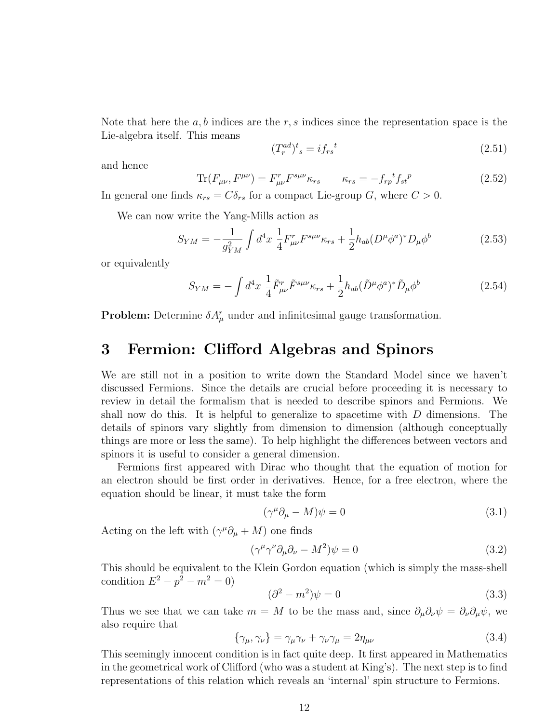Note that here the  $a, b$  indices are the r, s indices since the representation space is the Lie-algebra itself. This means

$$
(T_r^{ad})^t{}_s = i f_{rs}^{\ t} \tag{2.51}
$$

and hence

$$
\text{Tr}(F_{\mu\nu}, F^{\mu\nu}) = F_{\mu\nu}^r F^{s\mu\nu} \kappa_{rs} \qquad \kappa_{rs} = -f_{rp}{}^t f_{st}{}^p \tag{2.52}
$$

In general one finds  $\kappa_{rs} = C \delta_{rs}$  for a compact Lie-group G, where  $C > 0$ .

We can now write the Yang-Mills action as

$$
S_{YM} = -\frac{1}{g_{YM}^2} \int d^4x \; \frac{1}{4} F^r_{\mu\nu} F^{s\mu\nu} \kappa_{rs} + \frac{1}{2} h_{ab} (D^\mu \phi^a)^* D_\mu \phi^b \tag{2.53}
$$

or equivalently

$$
S_{YM} = -\int d^4x \; \frac{1}{4} \tilde{F}^r_{\mu\nu} \tilde{F}^{s\mu\nu} \kappa_{rs} + \frac{1}{2} h_{ab} (\tilde{D}^\mu \phi^a)^* \tilde{D}_\mu \phi^b \tag{2.54}
$$

**Problem:** Determine  $\delta A^r_\mu$  under and infinitesimal gauge transformation.

## 3 Fermion: Clifford Algebras and Spinors

We are still not in a position to write down the Standard Model since we haven't discussed Fermions. Since the details are crucial before proceeding it is necessary to review in detail the formalism that is needed to describe spinors and Fermions. We shall now do this. It is helpful to generalize to spacetime with  $D$  dimensions. The details of spinors vary slightly from dimension to dimension (although conceptually things are more or less the same). To help highlight the differences between vectors and spinors it is useful to consider a general dimension.

Fermions first appeared with Dirac who thought that the equation of motion for an electron should be first order in derivatives. Hence, for a free electron, where the equation should be linear, it must take the form

$$
(\gamma^{\mu}\partial_{\mu} - M)\psi = 0 \tag{3.1}
$$

Acting on the left with  $(\gamma^{\mu} \partial_{\mu} + M)$  one finds

$$
(\gamma^{\mu}\gamma^{\nu}\partial_{\mu}\partial_{\nu} - M^{2})\psi = 0
$$
\n(3.2)

This should be equivalent to the Klein Gordon equation (which is simply the mass-shell condition  $E^2 - p^2 - m^2 = 0$ )

$$
(\partial^2 - m^2)\psi = 0\tag{3.3}
$$

Thus we see that we can take  $m = M$  to be the mass and, since  $\partial_\mu \partial_\nu \psi = \partial_\nu \partial_\mu \psi$ , we also require that

$$
\{\gamma_{\mu}, \gamma_{\nu}\} = \gamma_{\mu}\gamma_{\nu} + \gamma_{\nu}\gamma_{\mu} = 2\eta_{\mu\nu} \tag{3.4}
$$

This seemingly innocent condition is in fact quite deep. It first appeared in Mathematics in the geometrical work of Clifford (who was a student at King's). The next step is to find representations of this relation which reveals an 'internal' spin structure to Fermions.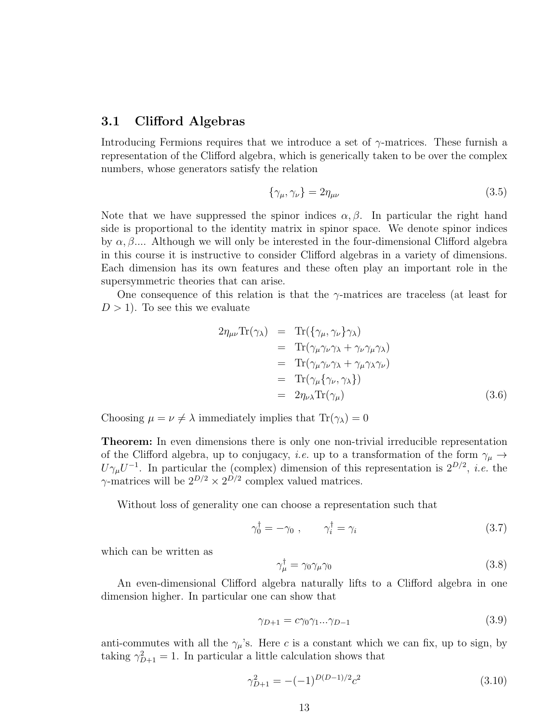### 3.1 Clifford Algebras

Introducing Fermions requires that we introduce a set of  $\gamma$ -matrices. These furnish a representation of the Clifford algebra, which is generically taken to be over the complex numbers, whose generators satisfy the relation

$$
\{\gamma_{\mu}, \gamma_{\nu}\} = 2\eta_{\mu\nu} \tag{3.5}
$$

Note that we have suppressed the spinor indices  $\alpha, \beta$ . In particular the right hand side is proportional to the identity matrix in spinor space. We denote spinor indices by  $\alpha, \beta, \ldots$ . Although we will only be interested in the four-dimensional Clifford algebra in this course it is instructive to consider Clifford algebras in a variety of dimensions. Each dimension has its own features and these often play an important role in the supersymmetric theories that can arise.

One consequence of this relation is that the  $\gamma$ -matrices are traceless (at least for  $D > 1$ ). To see this we evaluate

$$
2\eta_{\mu\nu} \text{Tr}(\gamma_{\lambda}) = \text{Tr}(\{\gamma_{\mu}, \gamma_{\nu}\} \gamma_{\lambda})
$$
  
\n
$$
= \text{Tr}(\gamma_{\mu} \gamma_{\nu} \gamma_{\lambda} + \gamma_{\nu} \gamma_{\mu} \gamma_{\lambda})
$$
  
\n
$$
= \text{Tr}(\gamma_{\mu} \gamma_{\nu} \gamma_{\lambda} + \gamma_{\mu} \gamma_{\lambda} \gamma_{\nu})
$$
  
\n
$$
= \text{Tr}(\gamma_{\mu} \{\gamma_{\nu}, \gamma_{\lambda}\})
$$
  
\n
$$
= 2\eta_{\nu\lambda} \text{Tr}(\gamma_{\mu})
$$
 (3.6)

Choosing  $\mu = \nu \neq \lambda$  immediately implies that  $\text{Tr}(\gamma_{\lambda}) = 0$ 

Theorem: In even dimensions there is only one non-trivial irreducible representation of the Clifford algebra, up to conjugacy, *i.e.* up to a transformation of the form  $\gamma_{\mu} \rightarrow$  $U\gamma_\mu U^{-1}$ . In particular the (complex) dimension of this representation is  $2^{D/2}$ , *i.e.* the  $\gamma$ -matrices will be  $2^{D/2} \times 2^{D/2}$  complex valued matrices.

Without loss of generality one can choose a representation such that

$$
\gamma_0^{\dagger} = -\gamma_0 \;, \qquad \gamma_i^{\dagger} = \gamma_i \tag{3.7}
$$

which can be written as

$$
\gamma_{\mu}^{\dagger} = \gamma_0 \gamma_{\mu} \gamma_0 \tag{3.8}
$$

An even-dimensional Clifford algebra naturally lifts to a Clifford algebra in one dimension higher. In particular one can show that

$$
\gamma_{D+1} = c\gamma_0\gamma_1...\gamma_{D-1} \tag{3.9}
$$

anti-commutes with all the  $\gamma_{\mu}$ 's. Here c is a constant which we can fix, up to sign, by taking  $\gamma_{D+1}^2 = 1$ . In particular a little calculation shows that

$$
\gamma_{D+1}^2 = -(-1)^{D(D-1)/2} c^2 \tag{3.10}
$$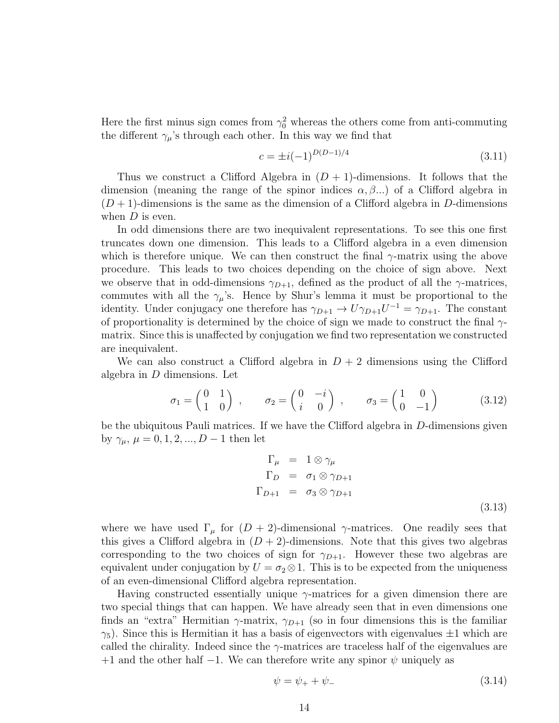Here the first minus sign comes from  $\gamma_0^2$  whereas the others come from anti-commuting the different  $\gamma_{\mu}$ 's through each other. In this way we find that

$$
c = \pm i(-1)^{D(D-1)/4} \tag{3.11}
$$

Thus we construct a Clifford Algebra in  $(D + 1)$ -dimensions. It follows that the dimension (meaning the range of the spinor indices  $\alpha, \beta, \ldots$ ) of a Clifford algebra in  $(D+1)$ -dimensions is the same as the dimension of a Clifford algebra in D-dimensions when  $D$  is even.

In odd dimensions there are two inequivalent representations. To see this one first truncates down one dimension. This leads to a Clifford algebra in a even dimension which is therefore unique. We can then construct the final  $\gamma$ -matrix using the above procedure. This leads to two choices depending on the choice of sign above. Next we observe that in odd-dimensions  $\gamma_{D+1}$ , defined as the product of all the  $\gamma$ -matrices, commutes with all the  $\gamma_{\mu}$ 's. Hence by Shur's lemma it must be proportional to the identity. Under conjugacy one therefore has  $\gamma_{D+1} \to U \gamma_{D+1} U^{-1} = \gamma_{D+1}$ . The constant of proportionality is determined by the choice of sign we made to construct the final  $\gamma$ matrix. Since this is unaffected by conjugation we find two representation we constructed are inequivalent.

We can also construct a Clifford algebra in  $D+2$  dimensions using the Clifford algebra in D dimensions. Let

$$
\sigma_1 = \begin{pmatrix} 0 & 1 \\ 1 & 0 \end{pmatrix} , \qquad \sigma_2 = \begin{pmatrix} 0 & -i \\ i & 0 \end{pmatrix} , \qquad \sigma_3 = \begin{pmatrix} 1 & 0 \\ 0 & -1 \end{pmatrix} \tag{3.12}
$$

be the ubiquitous Pauli matrices. If we have the Clifford algebra in D-dimensions given by  $\gamma_{\mu}, \mu = 0, 1, 2, ..., D - 1$  then let

$$
\Gamma_{\mu} = 1 \otimes \gamma_{\mu}
$$
\n
$$
\Gamma_{D} = \sigma_{1} \otimes \gamma_{D+1}
$$
\n
$$
\Gamma_{D+1} = \sigma_{3} \otimes \gamma_{D+1}
$$
\n(3.13)

where we have used  $\Gamma_{\mu}$  for  $(D+2)$ -dimensional  $\gamma$ -matrices. One readily sees that this gives a Clifford algebra in  $(D + 2)$ -dimensions. Note that this gives two algebras corresponding to the two choices of sign for  $\gamma_{D+1}$ . However these two algebras are equivalent under conjugation by  $U = \sigma_2 \otimes 1$ . This is to be expected from the uniqueness of an even-dimensional Clifford algebra representation.

Having constructed essentially unique  $\gamma$ -matrices for a given dimension there are two special things that can happen. We have already seen that in even dimensions one finds an "extra" Hermitian  $\gamma$ -matrix,  $\gamma_{D+1}$  (so in four dimensions this is the familiar  $\gamma_5$ ). Since this is Hermitian it has a basis of eigenvectors with eigenvalues  $\pm 1$  which are called the chirality. Indeed since the  $\gamma$ -matrices are traceless half of the eigenvalues are  $+1$  and the other half  $-1$ . We can therefore write any spinor  $\psi$  uniquely as

$$
\psi = \psi_+ + \psi_- \tag{3.14}
$$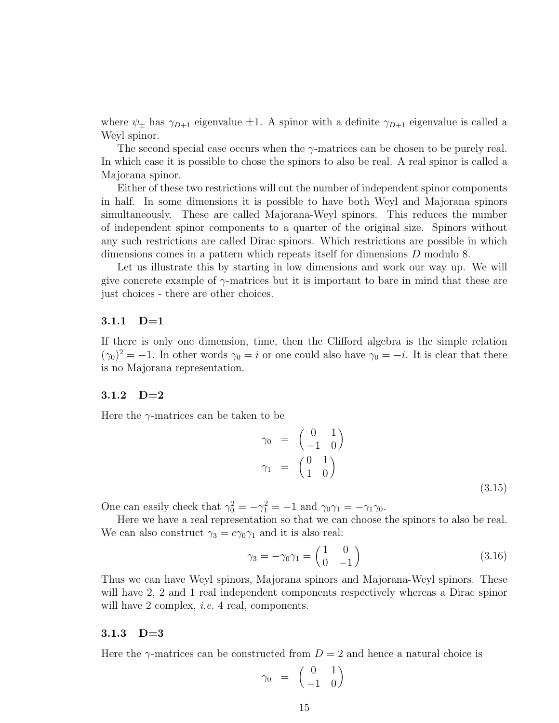where  $\psi_{\pm}$  has  $\gamma_{D+1}$  eigenvalue  $\pm 1$ . A spinor with a definite  $\gamma_{D+1}$  eigenvalue is called a Weyl spinor.

The second special case occurs when the  $\gamma$ -matrices can be chosen to be purely real. In which case it is possible to chose the spinors to also be real. A real spinor is called a Majorana spinor.

Either of these two restrictions will cut the number of independent spinor components in half. In some dimensions it is possible to have both Weyl and Majorana spinors simultaneously. These are called Majorana-Weyl spinors. This reduces the number of independent spinor components to a quarter of the original size. Spinors without any such restrictions are called Dirac spinors. Which restrictions are possible in which dimensions comes in a pattern which repeats itself for dimensions D modulo 8.

Let us illustrate this by starting in low dimensions and work our way up. We will give concrete example of  $\gamma$ -matrices but it is important to bare in mind that these are just choices - there are other choices.

### 3.1.1 D=1

If there is only one dimension, time, then the Clifford algebra is the simple relation  $(\gamma_0)^2 = -1$ . In other words  $\gamma_0 = i$  or one could also have  $\gamma_0 = -i$ . It is clear that there is no Majorana representation.

#### 3.1.2 D=2

Here the  $\gamma$ -matrices can be taken to be

$$
\gamma_0 = \begin{pmatrix} 0 & 1 \\ -1 & 0 \end{pmatrix}
$$
  
\n
$$
\gamma_1 = \begin{pmatrix} 0 & 1 \\ 1 & 0 \end{pmatrix}
$$
 (3.15)

One can easily check that  $\gamma_0^2 = -\gamma_1^2 = -1$  and  $\gamma_0 \gamma_1 = -\gamma_1 \gamma_0$ .

Here we have a real representation so that we can choose the spinors to also be real. We can also construct  $\gamma_3 = c\gamma_0\gamma_1$  and it is also real:

$$
\gamma_3 = -\gamma_0 \gamma_1 = \begin{pmatrix} 1 & 0 \\ 0 & -1 \end{pmatrix} \tag{3.16}
$$

Thus we can have Weyl spinors, Majorana spinors and Majorana-Weyl spinors. These will have 2, 2 and 1 real independent components respectively whereas a Dirac spinor will have 2 complex, *i.e.* 4 real, components.

### 3.1.3 D=3

Here the  $\gamma$ -matrices can be constructed from  $D = 2$  and hence a natural choice is

$$
\gamma_0\enskip = \enskip \left(\begin{array}{cc} 0 & 1 \\ -1 & 0 \end{array}\right)
$$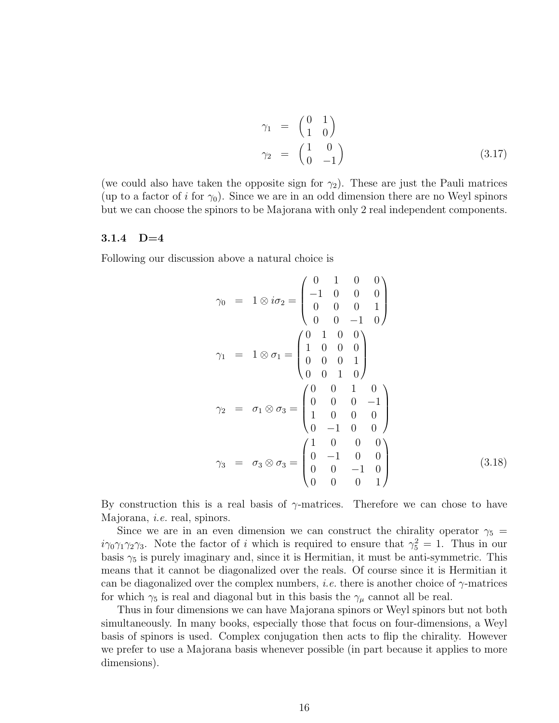$$
\gamma_1 = \begin{pmatrix} 0 & 1 \\ 1 & 0 \end{pmatrix}
$$
  
\n
$$
\gamma_2 = \begin{pmatrix} 1 & 0 \\ 0 & -1 \end{pmatrix}
$$
 (3.17)

(we could also have taken the opposite sign for  $\gamma_2$ ). These are just the Pauli matrices (up to a factor of i for  $\gamma_0$ ). Since we are in an odd dimension there are no Weyl spinors but we can choose the spinors to be Majorana with only 2 real independent components.

#### 3.1.4 D=4

Following our discussion above a natural choice is

$$
\gamma_0 = 1 \otimes i\sigma_2 = \begin{pmatrix} 0 & 1 & 0 & 0 \\ -1 & 0 & 0 & 0 \\ 0 & 0 & 0 & 1 \\ 0 & 0 & -1 & 0 \end{pmatrix}
$$
  
\n
$$
\gamma_1 = 1 \otimes \sigma_1 = \begin{pmatrix} 0 & 1 & 0 & 0 \\ 1 & 0 & 0 & 0 \\ 0 & 0 & 0 & 1 \\ 0 & 0 & 1 & 0 \end{pmatrix}
$$
  
\n
$$
\gamma_2 = \sigma_1 \otimes \sigma_3 = \begin{pmatrix} 0 & 0 & 1 & 0 \\ 0 & 0 & 0 & -1 \\ 1 & 0 & 0 & 0 \\ 0 & -1 & 0 & 0 \end{pmatrix}
$$
  
\n
$$
\gamma_3 = \sigma_3 \otimes \sigma_3 = \begin{pmatrix} 1 & 0 & 0 & 0 \\ 0 & -1 & 0 & 0 \\ 0 & 0 & -1 & 0 \\ 0 & 0 & 0 & 1 \end{pmatrix}
$$
(3.18)

By construction this is a real basis of  $\gamma$ -matrices. Therefore we can chose to have Majorana, i.e. real, spinors.

Since we are in an even dimension we can construct the chirality operator  $\gamma_5$  =  $i\gamma_0\gamma_1\gamma_2\gamma_3$ . Note the factor of i which is required to ensure that  $\gamma_5^2 = 1$ . Thus in our basis  $\gamma_5$  is purely imaginary and, since it is Hermitian, it must be anti-symmetric. This means that it cannot be diagonalized over the reals. Of course since it is Hermitian it can be diagonalized over the complex numbers, *i.e.* there is another choice of  $\gamma$ -matrices for which  $\gamma_5$  is real and diagonal but in this basis the  $\gamma_\mu$  cannot all be real.

Thus in four dimensions we can have Majorana spinors or Weyl spinors but not both simultaneously. In many books, especially those that focus on four-dimensions, a Weyl basis of spinors is used. Complex conjugation then acts to flip the chirality. However we prefer to use a Majorana basis whenever possible (in part because it applies to more dimensions).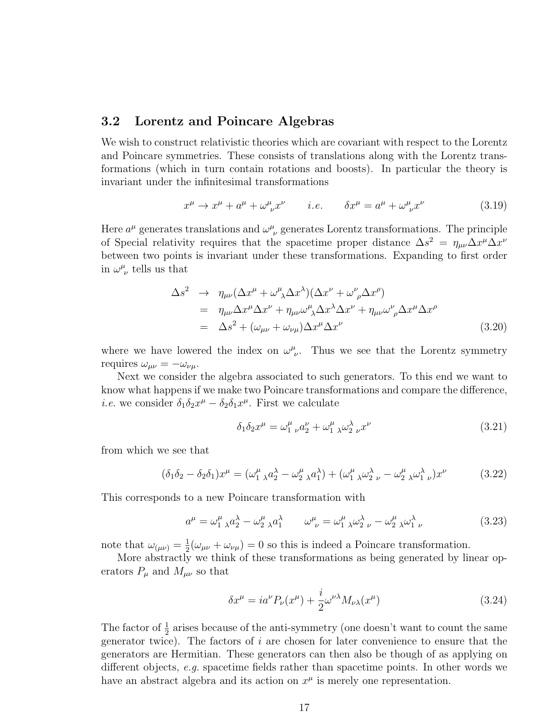### 3.2 Lorentz and Poincare Algebras

We wish to construct relativistic theories which are covariant with respect to the Lorentz and Poincare symmetries. These consists of translations along with the Lorentz transformations (which in turn contain rotations and boosts). In particular the theory is invariant under the infinitesimal transformations

$$
x^{\mu} \to x^{\mu} + a^{\mu} + \omega^{\mu}_{\ \nu} x^{\nu} \qquad i.e. \qquad \delta x^{\mu} = a^{\mu} + \omega^{\mu}_{\ \nu} x^{\nu} \tag{3.19}
$$

Here  $a^{\mu}$  generates translations and  $\omega^{\mu}_{\ \nu}$  generates Lorentz transformations. The principle of Special relativity requires that the spacetime proper distance  $\Delta s^2 = \eta_{\mu\nu} \Delta x^{\mu} \Delta x^{\nu}$ between two points is invariant under these transformations. Expanding to first order in  $\omega^{\mu}_{\ \nu}$  tells us that

$$
\Delta s^2 \rightarrow \eta_{\mu\nu} (\Delta x^{\mu} + \omega^{\mu}_{\ \lambda} \Delta x^{\lambda}) (\Delta x^{\nu} + \omega^{\nu}_{\ \rho} \Delta x^{\rho})
$$
  
\n
$$
= \eta_{\mu\nu} \Delta x^{\mu} \Delta x^{\nu} + \eta_{\mu\nu} \omega^{\mu}_{\ \lambda} \Delta x^{\lambda} \Delta x^{\nu} + \eta_{\mu\nu} \omega^{\nu}_{\ \rho} \Delta x^{\mu} \Delta x^{\rho}
$$
  
\n
$$
= \Delta s^2 + (\omega_{\mu\nu} + \omega_{\nu\mu}) \Delta x^{\mu} \Delta x^{\nu}
$$
(3.20)

where we have lowered the index on  $\omega^{\mu}_{\nu}$ . Thus we see that the Lorentz symmetry requires  $\omega_{\mu\nu} = -\omega_{\nu\mu}$ .

Next we consider the algebra associated to such generators. To this end we want to know what happens if we make two Poincare transformations and compare the difference, *i.e.* we consider  $\delta_1 \delta_2 x^{\mu} - \delta_2 \delta_1 x^{\mu}$ . First we calculate

$$
\delta_1 \delta_2 x^{\mu} = \omega_1^{\mu} \vphantom{\mu}^{\nu} a_2^{\nu} + \omega_1^{\mu} \vphantom{\mu}^{\lambda} \omega_2^{\lambda} \vphantom{\mu}^{\nu} x^{\nu} \tag{3.21}
$$

from which we see that

$$
(\delta_1 \delta_2 - \delta_2 \delta_1) x^{\mu} = (\omega_1^{\mu}{}_{\lambda} a_2^{\lambda} - \omega_2^{\mu}{}_{\lambda} a_1^{\lambda}) + (\omega_1^{\mu}{}_{\lambda} \omega_2^{\lambda}{}_{\nu} - \omega_2^{\mu}{}_{\lambda} \omega_1^{\lambda}{}_{\nu}) x^{\nu}
$$
(3.22)

This corresponds to a new Poincare transformation with

$$
a^{\mu} = \omega_1^{\mu}{}_{\lambda} a_2^{\lambda} - \omega_2^{\mu}{}_{\lambda} a_1^{\lambda} \qquad \omega_{\nu}^{\mu} = \omega_1^{\mu}{}_{\lambda} \omega_2^{\lambda}{}_{\nu} - \omega_2^{\mu}{}_{\lambda} \omega_1^{\lambda}{}_{\nu}
$$
 (3.23)

note that  $\omega_{(\mu\nu)} = \frac{1}{2}$  $\frac{1}{2}(\omega_{\mu\nu} + \omega_{\nu\mu}) = 0$  so this is indeed a Poincare transformation.

More abstractly we think of these transformations as being generated by linear operators  $P_{\mu}$  and  $M_{\mu\nu}$  so that

$$
\delta x^{\mu} = i a^{\nu} P_{\nu}(x^{\mu}) + \frac{i}{2} \omega^{\nu \lambda} M_{\nu \lambda}(x^{\mu}) \tag{3.24}
$$

The factor of  $\frac{1}{2}$  arises because of the anti-symmetry (one doesn't want to count the same generator twice). The factors of  $i$  are chosen for later convenience to ensure that the generators are Hermitian. These generators can then also be though of as applying on different objects, e.g. spacetime fields rather than spacetime points. In other words we have an abstract algebra and its action on  $x^{\mu}$  is merely one representation.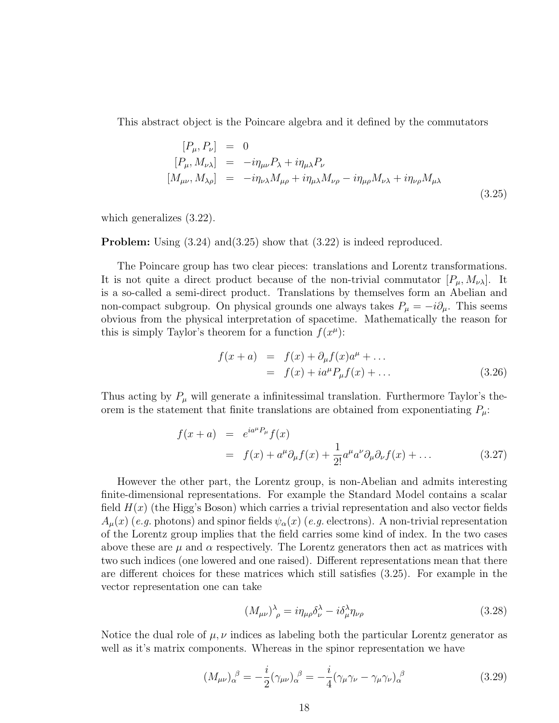This abstract object is the Poincare algebra and it defined by the commutators

$$
[P_{\mu}, P_{\nu}] = 0
$$
  
\n
$$
[P_{\mu}, M_{\nu\lambda}] = -i\eta_{\mu\nu} P_{\lambda} + i\eta_{\mu\lambda} P_{\nu}
$$
  
\n
$$
[M_{\mu\nu}, M_{\lambda\rho}] = -i\eta_{\nu\lambda} M_{\mu\rho} + i\eta_{\mu\lambda} M_{\nu\rho} - i\eta_{\mu\rho} M_{\nu\lambda} + i\eta_{\nu\rho} M_{\mu\lambda}
$$
\n(3.25)

which generalizes (3.22).

**Problem:** Using  $(3.24)$  and  $(3.25)$  show that  $(3.22)$  is indeed reproduced.

The Poincare group has two clear pieces: translations and Lorentz transformations. It is not quite a direct product because of the non-trivial commutator  $[P_\mu, M_{\nu\lambda}]$ . It is a so-called a semi-direct product. Translations by themselves form an Abelian and non-compact subgroup. On physical grounds one always takes  $P_{\mu} = -i\partial_{\mu}$ . This seems obvious from the physical interpretation of spacetime. Mathematically the reason for this is simply Taylor's theorem for a function  $f(x^{\mu})$ :

$$
f(x+a) = f(x) + \partial_{\mu} f(x) a^{\mu} + ... = f(x) + i a^{\mu} P_{\mu} f(x) + ...
$$
 (3.26)

Thus acting by  $P_\mu$  will generate a infinitessimal translation. Furthermore Taylor's theorem is the statement that finite translations are obtained from exponentiating  $P_{\mu}$ :

$$
f(x+a) = e^{ia^{\mu}P_{\mu}}f(x)
$$
  
=  $f(x) + a^{\mu}\partial_{\mu}f(x) + \frac{1}{2!}a^{\mu}a^{\nu}\partial_{\mu}\partial_{\nu}f(x) + ...$  (3.27)

However the other part, the Lorentz group, is non-Abelian and admits interesting finite-dimensional representations. For example the Standard Model contains a scalar field  $H(x)$  (the Higg's Boson) which carries a trivial representation and also vector fields  $A_\mu(x)$  (e.g. photons) and spinor fields  $\psi_\alpha(x)$  (e.g. electrons). A non-trivial representation of the Lorentz group implies that the field carries some kind of index. In the two cases above these are  $\mu$  and  $\alpha$  respectively. The Lorentz generators then act as matrices with two such indices (one lowered and one raised). Different representations mean that there are different choices for these matrices which still satisfies (3.25). For example in the vector representation one can take

$$
(M_{\mu\nu})^{\lambda}_{\ \rho} = i\eta_{\mu\rho}\delta^{\lambda}_{\nu} - i\delta^{\lambda}_{\mu}\eta_{\nu\rho}
$$
\n(3.28)

Notice the dual role of  $\mu, \nu$  indices as labeling both the particular Lorentz generator as well as it's matrix components. Whereas in the spinor representation we have

$$
(M_{\mu\nu})_{\alpha}^{\ \beta} = -\frac{i}{2} (\gamma_{\mu\nu})_{\alpha}^{\ \beta} = -\frac{i}{4} (\gamma_{\mu}\gamma_{\nu} - \gamma_{\mu}\gamma_{\nu})_{\alpha}^{\ \beta} \tag{3.29}
$$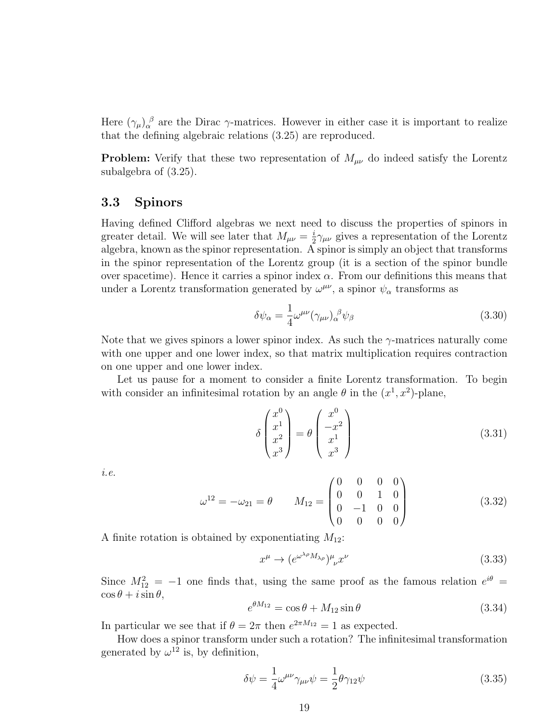Here  $(\gamma_\mu)_\alpha^{\ \beta}$  are the Dirac  $\gamma$ -matrices. However in either case it is important to realize that the defining algebraic relations (3.25) are reproduced.

**Problem:** Verify that these two representation of  $M_{\mu\nu}$  do indeed satisfy the Lorentz subalgebra of (3.25).

### 3.3 Spinors

Having defined Clifford algebras we next need to discuss the properties of spinors in greater detail. We will see later that  $M_{\mu\nu} = \frac{i}{2}$  $\frac{i}{2}\gamma_{\mu\nu}$  gives a representation of the Lorentz algebra, known as the spinor representation. A spinor is simply an object that transforms in the spinor representation of the Lorentz group (it is a section of the spinor bundle over spacetime). Hence it carries a spinor index  $\alpha$ . From our definitions this means that under a Lorentz transformation generated by  $\omega^{\mu\nu}$ , a spinor  $\psi_{\alpha}$  transforms as

$$
\delta\psi_{\alpha} = \frac{1}{4}\omega^{\mu\nu}(\gamma_{\mu\nu})_{\alpha}^{\ \beta}\psi_{\beta}
$$
\n(3.30)

Note that we gives spinors a lower spinor index. As such the  $\gamma$ -matrices naturally come with one upper and one lower index, so that matrix multiplication requires contraction on one upper and one lower index.

Let us pause for a moment to consider a finite Lorentz transformation. To begin with consider an infinitesimal rotation by an angle  $\theta$  in the  $(x^1, x^2)$ -plane,

$$
\delta \begin{pmatrix} x^0 \\ x^1 \\ x^2 \\ x^3 \end{pmatrix} = \theta \begin{pmatrix} x^0 \\ -x^2 \\ x^1 \\ x^3 \end{pmatrix}
$$
\n(3.31)

i.e.

$$
\omega^{12} = -\omega_{21} = \theta \qquad M_{12} = \begin{pmatrix} 0 & 0 & 0 & 0 \\ 0 & 0 & 1 & 0 \\ 0 & -1 & 0 & 0 \\ 0 & 0 & 0 & 0 \end{pmatrix}
$$
(3.32)

A finite rotation is obtained by exponentiating  $M_{12}$ :

$$
x^{\mu} \to (e^{\omega^{\lambda \rho} M_{\lambda \rho}})^{\mu}_{\nu} x^{\nu}
$$
\n(3.33)

Since  $M_{12}^2 = -1$  one finds that, using the same proof as the famous relation  $e^{i\theta}$  =  $\cos\theta + i\sin\theta,$ 

$$
e^{\theta M_{12}} = \cos \theta + M_{12} \sin \theta \tag{3.34}
$$

In particular we see that if  $\theta = 2\pi$  then  $e^{2\pi M_{12}} = 1$  as expected.

How does a spinor transform under such a rotation? The infinitesimal transformation generated by  $\omega^{12}$  is, by definition,

$$
\delta\psi = \frac{1}{4}\omega^{\mu\nu}\gamma_{\mu\nu}\psi = \frac{1}{2}\theta\gamma_{12}\psi\tag{3.35}
$$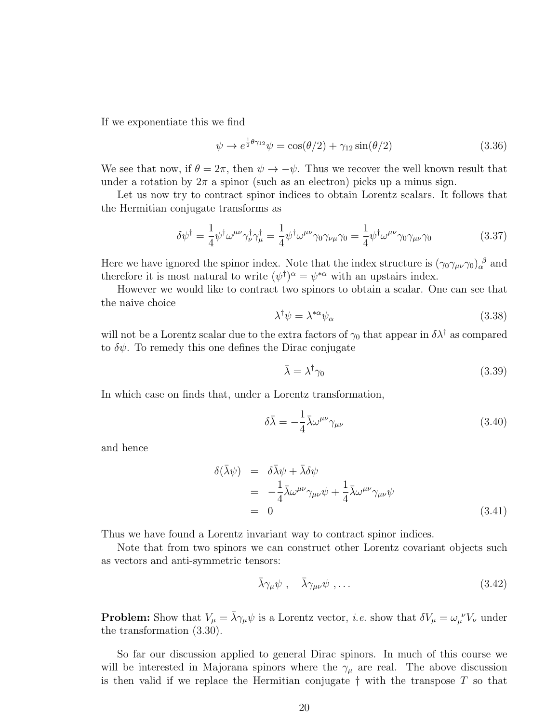If we exponentiate this we find

$$
\psi \to e^{\frac{1}{2}\theta \gamma_{12}} \psi = \cos(\theta/2) + \gamma_{12} \sin(\theta/2) \tag{3.36}
$$

We see that now, if  $\theta = 2\pi$ , then  $\psi \to -\psi$ . Thus we recover the well known result that under a rotation by  $2\pi$  a spinor (such as an electron) picks up a minus sign.

Let us now try to contract spinor indices to obtain Lorentz scalars. It follows that the Hermitian conjugate transforms as

$$
\delta\psi^{\dagger} = \frac{1}{4}\psi^{\dagger}\omega^{\mu\nu}\gamma^{\dagger}_{\nu}\gamma^{\dagger}_{\mu} = \frac{1}{4}\psi^{\dagger}\omega^{\mu\nu}\gamma_{0}\gamma_{\nu\mu}\gamma_{0} = \frac{1}{4}\psi^{\dagger}\omega^{\mu\nu}\gamma_{0}\gamma_{\mu\nu}\gamma_{0}
$$
(3.37)

Here we have ignored the spinor index. Note that the index structure is  $(\gamma_0 \gamma_{\mu\nu} \gamma_0)_{\alpha}^{\beta}$  and therefore it is most natural to write  $(\psi^{\dagger})^{\alpha} = \psi^{*\alpha}$  with an upstairs index.

However we would like to contract two spinors to obtain a scalar. One can see that the naive choice

$$
\lambda^{\dagger} \psi = \lambda^{*\alpha} \psi_{\alpha} \tag{3.38}
$$

will not be a Lorentz scalar due to the extra factors of  $\gamma_0$  that appear in  $\delta \lambda^{\dagger}$  as compared to  $\delta\psi$ . To remedy this one defines the Dirac conjugate

$$
\bar{\lambda} = \lambda^{\dagger} \gamma_0 \tag{3.39}
$$

In which case on finds that, under a Lorentz transformation,

$$
\delta\bar{\lambda} = -\frac{1}{4}\bar{\lambda}\omega^{\mu\nu}\gamma_{\mu\nu} \tag{3.40}
$$

and hence

$$
\delta(\bar{\lambda}\psi) = \delta\bar{\lambda}\psi + \bar{\lambda}\delta\psi
$$
  
=  $-\frac{1}{4}\bar{\lambda}\omega^{\mu\nu}\gamma_{\mu\nu}\psi + \frac{1}{4}\bar{\lambda}\omega^{\mu\nu}\gamma_{\mu\nu}\psi$   
= 0 (3.41)

Thus we have found a Lorentz invariant way to contract spinor indices.

Note that from two spinors we can construct other Lorentz covariant objects such as vectors and anti-symmetric tensors:

$$
\bar{\lambda}\gamma_{\mu}\psi \ , \quad \bar{\lambda}\gamma_{\mu\nu}\psi \ , \dots \tag{3.42}
$$

**Problem:** Show that  $V_\mu = \bar{\lambda}\gamma_\mu\psi$  is a Lorentz vector, *i.e.* show that  $\delta V_\mu = \omega_\mu^{\ \nu}V_\nu$  under the transformation (3.30).

So far our discussion applied to general Dirac spinors. In much of this course we will be interested in Majorana spinors where the  $\gamma_\mu$  are real. The above discussion is then valid if we replace the Hermitian conjugate  $\dagger$  with the transpose  $T$  so that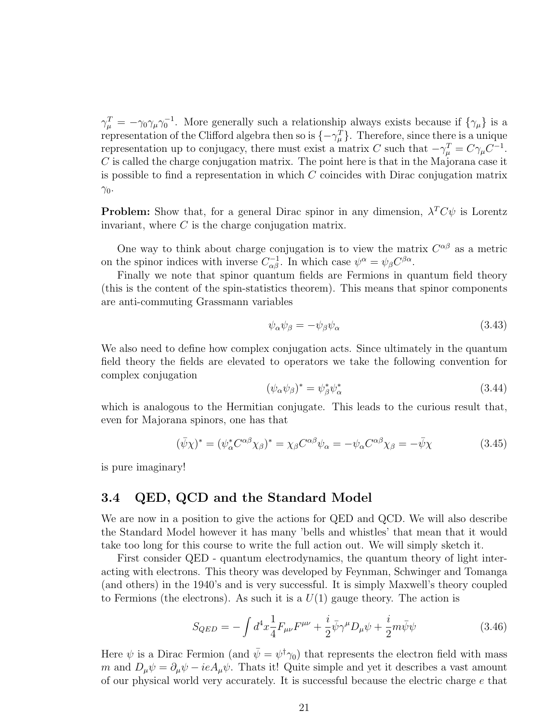$\gamma_{\mu}^{T} = -\gamma_0 \gamma_{\mu} \gamma_0^{-1}$ . More generally such a relationship always exists because if  $\{\gamma_{\mu}\}\$ is a representation of the Clifford algebra then so is  $\{-\gamma_{\mu}^{T}\}\$ . Therefore, since there is a unique representation up to conjugacy, there must exist a matrix C such that  $-\gamma_{\mu}^{T} = C\gamma_{\mu}C^{-1}$ .  $C$  is called the charge conjugation matrix. The point here is that in the Majorana case it is possible to find a representation in which  $C$  coincides with Dirac conjugation matrix  $\gamma_0$ .

**Problem:** Show that, for a general Dirac spinor in any dimension,  $\lambda^T C \psi$  is Lorentz invariant, where  $C$  is the charge conjugation matrix.

One way to think about charge conjugation is to view the matrix  $C^{\alpha\beta}$  as a metric on the spinor indices with inverse  $C_{\alpha\beta}^{-1}$ . In which case  $\psi^{\alpha} = \psi_{\beta} C^{\beta\alpha}$ .

Finally we note that spinor quantum fields are Fermions in quantum field theory (this is the content of the spin-statistics theorem). This means that spinor components are anti-commuting Grassmann variables

$$
\psi_{\alpha}\psi_{\beta} = -\psi_{\beta}\psi_{\alpha} \tag{3.43}
$$

We also need to define how complex conjugation acts. Since ultimately in the quantum field theory the fields are elevated to operators we take the following convention for complex conjugation

$$
(\psi_{\alpha}\psi_{\beta})^* = \psi_{\beta}^*\psi_{\alpha}^* \tag{3.44}
$$

which is analogous to the Hermitian conjugate. This leads to the curious result that, even for Majorana spinors, one has that

$$
(\bar{\psi}\chi)^* = (\psi_\alpha^* C^{\alpha\beta}\chi_\beta)^* = \chi_\beta C^{\alpha\beta}\psi_\alpha = -\psi_\alpha C^{\alpha\beta}\chi_\beta = -\bar{\psi}\chi \tag{3.45}
$$

is pure imaginary!

### 3.4 QED, QCD and the Standard Model

We are now in a position to give the actions for QED and QCD. We will also describe the Standard Model however it has many 'bells and whistles' that mean that it would take too long for this course to write the full action out. We will simply sketch it.

First consider QED - quantum electrodynamics, the quantum theory of light interacting with electrons. This theory was developed by Feynman, Schwinger and Tomanga (and others) in the 1940's and is very successful. It is simply Maxwell's theory coupled to Fermions (the electrons). As such it is a  $U(1)$  gauge theory. The action is

$$
S_{QED} = -\int d^4x \frac{1}{4} F_{\mu\nu} F^{\mu\nu} + \frac{i}{2} \bar{\psi} \gamma^{\mu} D_{\mu} \psi + \frac{i}{2} m \bar{\psi} \psi \tag{3.46}
$$

Here  $\psi$  is a Dirac Fermion (and  $\bar{\psi} = \psi^{\dagger} \gamma_0$ ) that represents the electron field with mass m and  $D_{\mu}\psi = \partial_{\mu}\psi - ieA_{\mu}\psi$ . Thats it! Quite simple and yet it describes a vast amount of our physical world very accurately. It is successful because the electric charge e that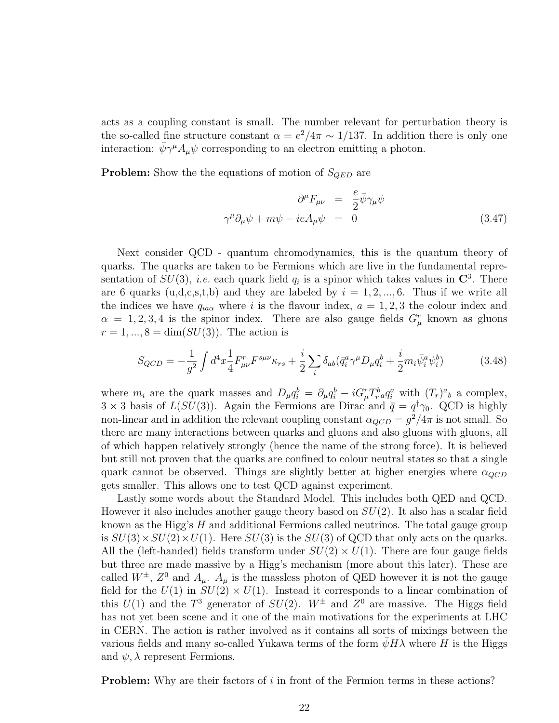acts as a coupling constant is small. The number relevant for perturbation theory is the so-called fine structure constant  $\alpha = e^2/4\pi \sim 1/137$ . In addition there is only one interaction:  $\bar{\psi}\gamma^{\mu}A_{\mu}\psi$  corresponding to an electron emitting a photon.

**Problem:** Show the the equations of motion of  $S_{QED}$  are

$$
\partial^{\mu} F_{\mu\nu} = \frac{e}{2} \bar{\psi} \gamma_{\mu} \psi
$$
  

$$
\gamma^{\mu} \partial_{\mu} \psi + m \psi - ieA_{\mu} \psi = 0
$$
 (3.47)

Next consider QCD - quantum chromodynamics, this is the quantum theory of quarks. The quarks are taken to be Fermions which are live in the fundamental representation of  $SU(3)$ , *i.e.* each quark field  $q_i$  is a spinor which takes values in  $\mathbb{C}^3$ . There are 6 quarks  $(u,d,c,s,t,b)$  and they are labeled by  $i = 1, 2, ..., 6$ . Thus if we write all the indices we have  $q_{ia\alpha}$  where i is the flavour index,  $a = 1, 2, 3$  the colour index and  $\alpha = 1, 2, 3, 4$  is the spinor index. There are also gauge fields  $G^r_\mu$  known as gluons  $r = 1, ..., 8 = \dim(SU(3))$ . The action is

$$
S_{QCD} = -\frac{1}{g^2} \int d^4x \frac{1}{4} F^r_{\mu\nu} F^{s\mu\nu} \kappa_{rs} + \frac{i}{2} \sum_i \delta_{ab} (\bar{q}_i^a \gamma^\mu D_\mu q_i^b + \frac{i}{2} m_i \bar{\psi}_i^a \psi_i^b)
$$
(3.48)

where  $m_i$  are the quark masses and  $D_\mu q_i^b = \partial_\mu q_i^b - iG_\mu^r T^b_r a q_i^a$  with  $(T_r)^a{}_b$  a complex,  $3 \times 3$  basis of  $L(SU(3))$ . Again the Fermions are Dirac and  $\bar{q} = q^{\dagger} \gamma_0$ . QCD is highly non-linear and in addition the relevant coupling constant  $\alpha_{QCD} = g^2/4\pi$  is not small. So there are many interactions between quarks and gluons and also gluons with gluons, all of which happen relatively strongly (hence the name of the strong force). It is believed but still not proven that the quarks are confined to colour neutral states so that a single quark cannot be observed. Things are slightly better at higher energies where  $\alpha_{QCD}$ gets smaller. This allows one to test QCD against experiment.

Lastly some words about the Standard Model. This includes both QED and QCD. However it also includes another gauge theory based on  $SU(2)$ . It also has a scalar field known as the Higg's H and additional Fermions called neutrinos. The total gauge group is  $SU(3) \times SU(2) \times U(1)$ . Here  $SU(3)$  is the  $SU(3)$  of QCD that only acts on the quarks. All the (left-handed) fields transform under  $SU(2) \times U(1)$ . There are four gauge fields but three are made massive by a Higg's mechanism (more about this later). These are called  $W^{\pm}$ ,  $Z^0$  and  $A_{\mu}$ .  $A_{\mu}$  is the massless photon of QED however it is not the gauge field for the  $U(1)$  in  $SU(2) \times U(1)$ . Instead it corresponds to a linear combination of this  $U(1)$  and the  $T^3$  generator of  $SU(2)$ .  $W^{\pm}$  and  $Z^0$  are massive. The Higgs field has not yet been scene and it one of the main motivations for the experiments at LHC in CERN. The action is rather involved as it contains all sorts of mixings between the various fields and many so-called Yukawa terms of the form  $\psi H \lambda$  where H is the Higgs and  $\psi$ ,  $\lambda$  represent Fermions.

**Problem:** Why are their factors of  $i$  in front of the Fermion terms in these actions?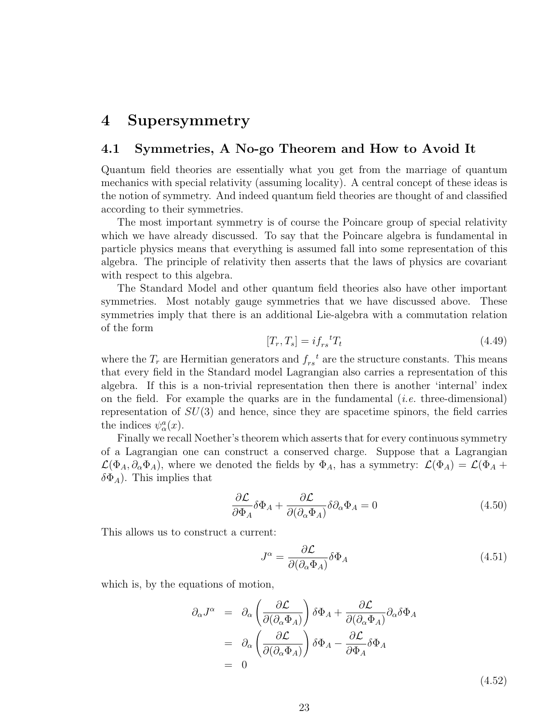## 4 Supersymmetry

### 4.1 Symmetries, A No-go Theorem and How to Avoid It

Quantum field theories are essentially what you get from the marriage of quantum mechanics with special relativity (assuming locality). A central concept of these ideas is the notion of symmetry. And indeed quantum field theories are thought of and classified according to their symmetries.

The most important symmetry is of course the Poincare group of special relativity which we have already discussed. To say that the Poincare algebra is fundamental in particle physics means that everything is assumed fall into some representation of this algebra. The principle of relativity then asserts that the laws of physics are covariant with respect to this algebra.

The Standard Model and other quantum field theories also have other important symmetries. Most notably gauge symmetries that we have discussed above. These symmetries imply that there is an additional Lie-algebra with a commutation relation of the form

$$
[T_r, T_s] = i f_{rs}{}^t T_t \tag{4.49}
$$

where the  $T_r$  are Hermitian generators and  $f_{rs}^t$  are the structure constants. This means that every field in the Standard model Lagrangian also carries a representation of this algebra. If this is a non-trivial representation then there is another 'internal' index on the field. For example the quarks are in the fundamental (*i.e.* three-dimensional) representation of  $SU(3)$  and hence, since they are spacetime spinors, the field carries the indices  $\psi^a_\alpha(x)$ .

Finally we recall Noether's theorem which asserts that for every continuous symmetry of a Lagrangian one can construct a conserved charge. Suppose that a Lagrangian  $\mathcal{L}(\Phi_A, \partial_\alpha \Phi_A)$ , where we denoted the fields by  $\Phi_A$ , has a symmetry:  $\mathcal{L}(\Phi_A) = \mathcal{L}(\Phi_A +$  $\delta\Phi_A$ ). This implies that

$$
\frac{\partial \mathcal{L}}{\partial \Phi_A} \delta \Phi_A + \frac{\partial \mathcal{L}}{\partial (\partial_\alpha \Phi_A)} \delta \partial_\alpha \Phi_A = 0 \tag{4.50}
$$

This allows us to construct a current:

$$
J^{\alpha} = \frac{\partial \mathcal{L}}{\partial(\partial_{\alpha} \Phi_{A})} \delta \Phi_{A}
$$
\n(4.51)

which is, by the equations of motion,

$$
\partial_{\alpha} J^{\alpha} = \partial_{\alpha} \left( \frac{\partial \mathcal{L}}{\partial (\partial_{\alpha} \Phi_{A})} \right) \delta \Phi_{A} + \frac{\partial \mathcal{L}}{\partial (\partial_{\alpha} \Phi_{A})} \partial_{\alpha} \delta \Phi_{A}
$$
  
\n
$$
= \partial_{\alpha} \left( \frac{\partial \mathcal{L}}{\partial (\partial_{\alpha} \Phi_{A})} \right) \delta \Phi_{A} - \frac{\partial \mathcal{L}}{\partial \Phi_{A}} \delta \Phi_{A}
$$
  
\n
$$
= 0
$$
 (4.52)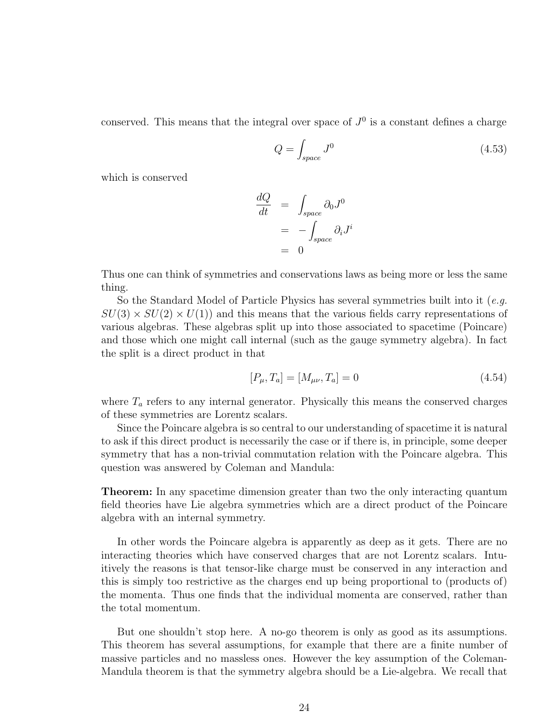conserved. This means that the integral over space of  $J^0$  is a constant defines a charge

$$
Q = \int_{space} J^0 \tag{4.53}
$$

which is conserved

$$
\frac{dQ}{dt} = \int_{space} \partial_0 J^0
$$

$$
= -\int_{space} \partial_i J^i
$$

$$
= 0
$$

Thus one can think of symmetries and conservations laws as being more or less the same thing.

So the Standard Model of Particle Physics has several symmetries built into it (e.g.  $SU(3) \times SU(2) \times U(1)$  and this means that the various fields carry representations of various algebras. These algebras split up into those associated to spacetime (Poincare) and those which one might call internal (such as the gauge symmetry algebra). In fact the split is a direct product in that

$$
[P_{\mu}, T_a] = [M_{\mu\nu}, T_a] = 0 \tag{4.54}
$$

where  $T_a$  refers to any internal generator. Physically this means the conserved charges of these symmetries are Lorentz scalars.

Since the Poincare algebra is so central to our understanding of spacetime it is natural to ask if this direct product is necessarily the case or if there is, in principle, some deeper symmetry that has a non-trivial commutation relation with the Poincare algebra. This question was answered by Coleman and Mandula:

Theorem: In any spacetime dimension greater than two the only interacting quantum field theories have Lie algebra symmetries which are a direct product of the Poincare algebra with an internal symmetry.

In other words the Poincare algebra is apparently as deep as it gets. There are no interacting theories which have conserved charges that are not Lorentz scalars. Intuitively the reasons is that tensor-like charge must be conserved in any interaction and this is simply too restrictive as the charges end up being proportional to (products of) the momenta. Thus one finds that the individual momenta are conserved, rather than the total momentum.

But one shouldn't stop here. A no-go theorem is only as good as its assumptions. This theorem has several assumptions, for example that there are a finite number of massive particles and no massless ones. However the key assumption of the Coleman-Mandula theorem is that the symmetry algebra should be a Lie-algebra. We recall that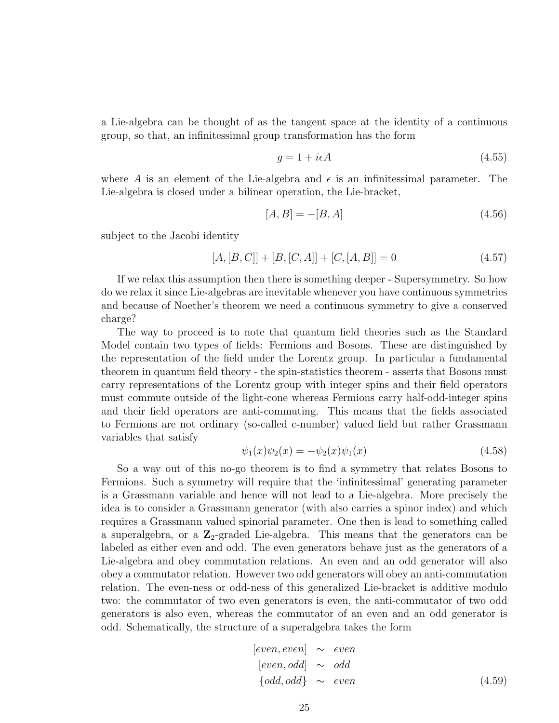a Lie-algebra can be thought of as the tangent space at the identity of a continuous group, so that, an infinitessimal group transformation has the form

$$
g = 1 + i\epsilon A \tag{4.55}
$$

where A is an element of the Lie-algebra and  $\epsilon$  is an infinitessimal parameter. The Lie-algebra is closed under a bilinear operation, the Lie-bracket,

$$
[A, B] = -[B, A] \tag{4.56}
$$

subject to the Jacobi identity

$$
[A, [B, C]] + [B, [C, A]] + [C, [A, B]] = 0 \tag{4.57}
$$

If we relax this assumption then there is something deeper - Supersymmetry. So how do we relax it since Lie-algebras are inevitable whenever you have continuous symmetries and because of Noether's theorem we need a continuous symmetry to give a conserved charge?

The way to proceed is to note that quantum field theories such as the Standard Model contain two types of fields: Fermions and Bosons. These are distinguished by the representation of the field under the Lorentz group. In particular a fundamental theorem in quantum field theory - the spin-statistics theorem - asserts that Bosons must carry representations of the Lorentz group with integer spins and their field operators must commute outside of the light-cone whereas Fermions carry half-odd-integer spins and their field operators are anti-commuting. This means that the fields associated to Fermions are not ordinary (so-called c-number) valued field but rather Grassmann variables that satisfy

$$
\psi_1(x)\psi_2(x) = -\psi_2(x)\psi_1(x) \tag{4.58}
$$

So a way out of this no-go theorem is to find a symmetry that relates Bosons to Fermions. Such a symmetry will require that the 'infinitessimal' generating parameter is a Grassmann variable and hence will not lead to a Lie-algebra. More precisely the idea is to consider a Grassmann generator (with also carries a spinor index) and which requires a Grassmann valued spinorial parameter. One then is lead to something called a superalgebra, or a  $\mathbb{Z}_2$ -graded Lie-algebra. This means that the generators can be labeled as either even and odd. The even generators behave just as the generators of a Lie-algebra and obey commutation relations. An even and an odd generator will also obey a commutator relation. However two odd generators will obey an anti-commutation relation. The even-ness or odd-ness of this generalized Lie-bracket is additive modulo two: the commutator of two even generators is even, the anti-commutator of two odd generators is also even, whereas the commutator of an even and an odd generator is odd. Schematically, the structure of a superalgebra takes the form

$$
[even, even] \sim even
$$
  
\n
$$
[even, odd] \sim odd
$$
  
\n
$$
\{odd, odd\} \sim even
$$
  
\n(4.59)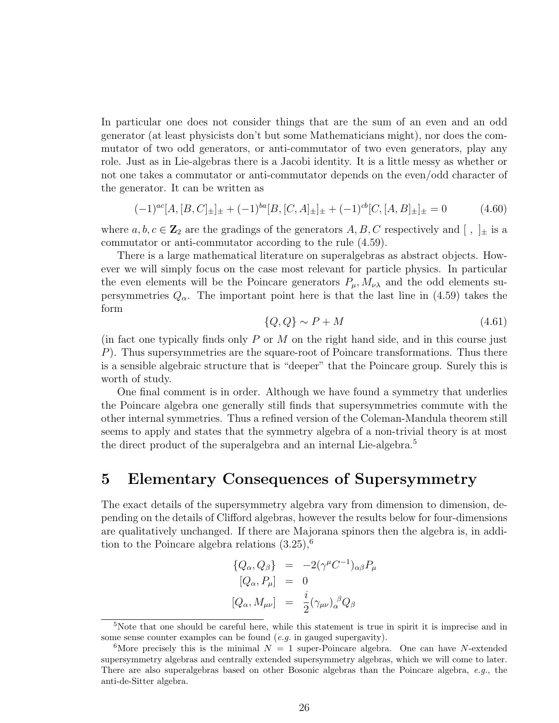In particular one does not consider things that are the sum of an even and an odd generator (at least physicists don't but some Mathematicians might), nor does the commutator of two odd generators, or anti-commutator of two even generators, play any role. Just as in Lie-algebras there is a Jacobi identity. It is a little messy as whether or not one takes a commutator or anti-commutator depends on the even/odd character of the generator. It can be written as

$$
(-1)^{ac}[A,[B,C]_{\pm}]_{\pm} + (-1)^{ba}[B,[C,A]_{\pm}]_{\pm} + (-1)^{cb}[C,[A,B]_{\pm}]_{\pm} = 0 \qquad (4.60)
$$

where  $a, b, c \in \mathbb{Z}_2$  are the gradings of the generators  $A, B, C$  respectively and  $[ , ]_{\pm}$  is a commutator or anti-commutator according to the rule (4.59).

There is a large mathematical literature on superalgebras as abstract objects. However we will simply focus on the case most relevant for particle physics. In particular the even elements will be the Poincare generators  $P_{\mu}$ ,  $M_{\nu\lambda}$  and the odd elements supersymmetries  $Q_{\alpha}$ . The important point here is that the last line in (4.59) takes the form

$$
\{Q, Q\} \sim P + M \tag{4.61}
$$

(in fact one typically finds only  $P$  or  $M$  on the right hand side, and in this course just P). Thus supersymmetries are the square-root of Poincare transformations. Thus there is a sensible algebraic structure that is "deeper" that the Poincare group. Surely this is worth of study.

One final comment is in order. Although we have found a symmetry that underlies the Poincare algebra one generally still finds that supersymmetries commute with the other internal symmetries. Thus a refined version of the Coleman-Mandula theorem still seems to apply and states that the symmetry algebra of a non-trivial theory is at most the direct product of the superalgebra and an internal Lie-algebra.<sup>5</sup>

## 5 Elementary Consequences of Supersymmetry

The exact details of the supersymmetry algebra vary from dimension to dimension, depending on the details of Clifford algebras, however the results below for four-dimensions are qualitatively unchanged. If there are Majorana spinors then the algebra is, in addition to the Poincare algebra relations  $(3.25)$ ,<sup>6</sup>

$$
\begin{array}{rcl}\n\{Q_{\alpha}, Q_{\beta}\} & = & -2(\gamma^{\mu}C^{-1})_{\alpha\beta}P_{\mu} \\
\left[Q_{\alpha}, P_{\mu}\right] & = & 0 \\
\left[Q_{\alpha}, M_{\mu\nu}\right] & = & \frac{i}{2}(\gamma_{\mu\nu})_{\alpha}{}^{\beta}Q_{\beta}\n\end{array}
$$

<sup>&</sup>lt;sup>5</sup>Note that one should be careful here, while this statement is true in spirit it is imprecise and in some sense counter examples can be found  $(e.g.$  in gauged supergavity).

<sup>&</sup>lt;sup>6</sup>More precisely this is the minimal  $N = 1$  super-Poincare algebra. One can have N-extended supersymmetry algebras and centrally extended supersymmetry algebras, which we will come to later. There are also superalgebras based on other Bosonic algebras than the Poincare algebra, e.g., the anti-de-Sitter algebra.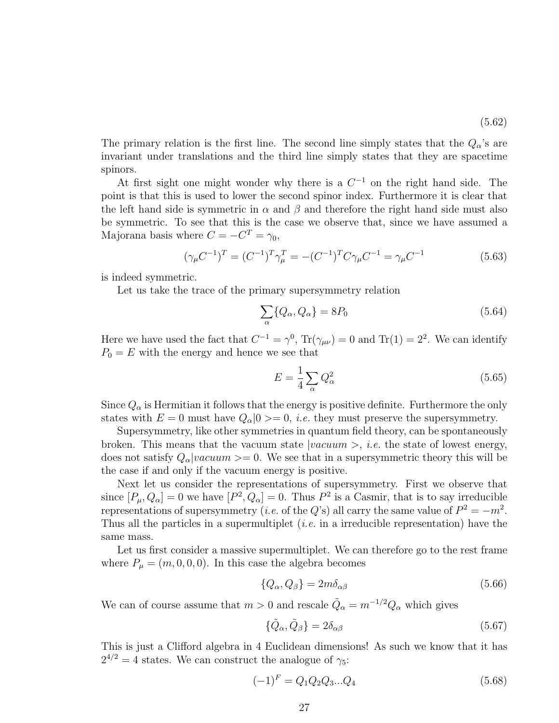The primary relation is the first line. The second line simply states that the  $Q_{\alpha}$ 's are invariant under translations and the third line simply states that they are spacetime spinors.

At first sight one might wonder why there is a  $C^{-1}$  on the right hand side. The point is that this is used to lower the second spinor index. Furthermore it is clear that the left hand side is symmetric in  $\alpha$  and  $\beta$  and therefore the right hand side must also be symmetric. To see that this is the case we observe that, since we have assumed a Majorana basis where  $C = -C^T = \gamma_0$ ,

$$
(\gamma_{\mu}C^{-1})^{T} = (C^{-1})^{T}\gamma_{\mu}^{T} = -(C^{-1})^{T}C\gamma_{\mu}C^{-1} = \gamma_{\mu}C^{-1}
$$
\n(5.63)

is indeed symmetric.

Let us take the trace of the primary supersymmetry relation

$$
\sum_{\alpha} \{Q_{\alpha}, Q_{\alpha}\} = 8P_0 \tag{5.64}
$$

Here we have used the fact that  $C^{-1} = \gamma^0$ ,  $Tr(\gamma_{\mu\nu}) = 0$  and  $Tr(1) = 2^2$ . We can identify  $P_0 = E$  with the energy and hence we see that

$$
E = \frac{1}{4} \sum_{\alpha} Q_{\alpha}^2 \tag{5.65}
$$

Since  $Q_{\alpha}$  is Hermitian it follows that the energy is positive definite. Furthermore the only states with  $E = 0$  must have  $Q_{\alpha}|0 \rangle = 0$ , *i.e.* they must preserve the supersymmetry.

Supersymmetry, like other symmetries in quantum field theory, can be spontaneously broken. This means that the vacuum state  $|vacuum\rangle$ , *i.e.* the state of lowest energy, does not satisfy  $Q_{\alpha}|vacuum\rangle = 0$ . We see that in a supersymmetric theory this will be the case if and only if the vacuum energy is positive.

Next let us consider the representations of supersymmetry. First we observe that since  $[P_\mu, Q_\alpha] = 0$  we have  $[P^2, Q_\alpha] = 0$ . Thus  $P^2$  is a Casmir, that is to say irreducible representations of supersymmetry (*i.e.* of the Q's) all carry the same value of  $P^2 = -m^2$ . Thus all the particles in a supermultiplet *(i.e.* in a irreducible representation) have the same mass.

Let us first consider a massive supermultiplet. We can therefore go to the rest frame where  $P_{\mu} = (m, 0, 0, 0)$ . In this case the algebra becomes

$$
\{Q_{\alpha}, Q_{\beta}\} = 2m\delta_{\alpha\beta} \tag{5.66}
$$

We can of course assume that  $m > 0$  and rescale  $\tilde{Q}_{\alpha} = m^{-1/2} Q_{\alpha}$  which gives

$$
\{\tilde{Q}_{\alpha}, \tilde{Q}_{\beta}\} = 2\delta_{\alpha\beta} \tag{5.67}
$$

This is just a Clifford algebra in 4 Euclidean dimensions! As such we know that it has  $2^{4/2} = 4$  states. We can construct the analogue of  $\gamma_5$ :

$$
(-1)^{F} = Q_1 Q_2 Q_3 ... Q_4 \qquad (5.68)
$$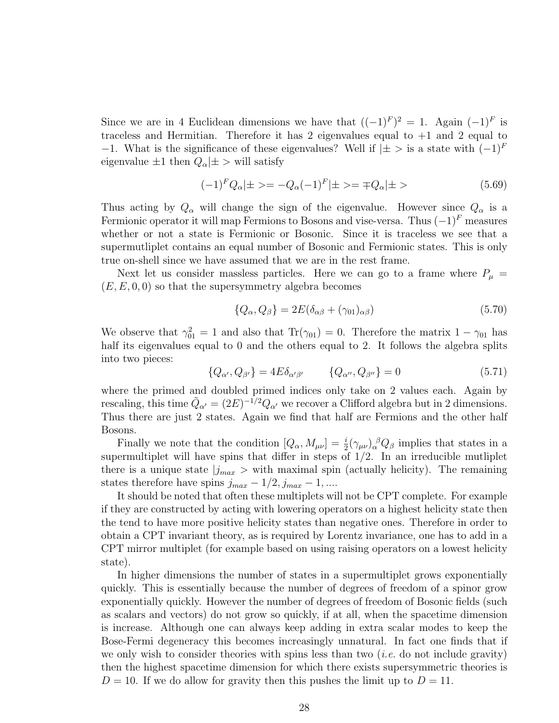Since we are in 4 Euclidean dimensions we have that  $((-1)^F)^2 = 1$ . Again  $(-1)^F$  is traceless and Hermitian. Therefore it has 2 eigenvalues equal to  $+1$  and 2 equal to −1. What is the significance of these eigenvalues? Well if  $|\pm>$  is a state with  $(-1)^F$ eigenvalue  $\pm 1$  then  $Q_{\alpha}|\pm\$  will satisfy

$$
(-1)^{F} Q_{\alpha} | \pm \rangle = -Q_{\alpha} (-1)^{F} | \pm \rangle = \mp Q_{\alpha} | \pm \rangle \tag{5.69}
$$

Thus acting by  $Q_{\alpha}$  will change the sign of the eigenvalue. However since  $Q_{\alpha}$  is a Fermionic operator it will map Fermions to Bosons and vise-versa. Thus  $(-1)^F$  measures whether or not a state is Fermionic or Bosonic. Since it is traceless we see that a supermutliplet contains an equal number of Bosonic and Fermionic states. This is only true on-shell since we have assumed that we are in the rest frame.

Next let us consider massless particles. Here we can go to a frame where  $P_{\mu}$  =  $(E, E, 0, 0)$  so that the supersymmetry algebra becomes

$$
\{Q_{\alpha}, Q_{\beta}\} = 2E(\delta_{\alpha\beta} + (\gamma_{01})_{\alpha\beta})\tag{5.70}
$$

We observe that  $\gamma_{01}^2 = 1$  and also that  $\text{Tr}(\gamma_{01}) = 0$ . Therefore the matrix  $1 - \gamma_{01}$  has half its eigenvalues equal to 0 and the others equal to 2. It follows the algebra splits into two pieces:

$$
\{Q_{\alpha'}, Q_{\beta'}\} = 4E\delta_{\alpha'\beta'} \qquad \{Q_{\alpha''}, Q_{\beta''}\} = 0 \qquad (5.71)
$$

where the primed and doubled primed indices only take on 2 values each. Again by rescaling, this time  $\tilde{Q}_{\alpha'} = (2E)^{-1/2} Q_{\alpha'}$  we recover a Clifford algebra but in 2 dimensions. Thus there are just 2 states. Again we find that half are Fermions and the other half Bosons.

Finally we note that the condition  $[Q_\alpha, M_{\mu\nu}] = \frac{i}{2} (\gamma_{\mu\nu})_\alpha^{\ \beta} Q_\beta$  implies that states in a supermultiplet will have spins that differ in steps of  $1/2$ . In an irreducible mutliplet there is a unique state  $j_{max} >$  with maximal spin (actually helicity). The remaining states therefore have spins  $j_{max} - 1/2$ ,  $j_{max} - 1$ , ....

It should be noted that often these multiplets will not be CPT complete. For example if they are constructed by acting with lowering operators on a highest helicity state then the tend to have more positive helicity states than negative ones. Therefore in order to obtain a CPT invariant theory, as is required by Lorentz invariance, one has to add in a CPT mirror multiplet (for example based on using raising operators on a lowest helicity state).

In higher dimensions the number of states in a supermultiplet grows exponentially quickly. This is essentially because the number of degrees of freedom of a spinor grow exponentially quickly. However the number of degrees of freedom of Bosonic fields (such as scalars and vectors) do not grow so quickly, if at all, when the spacetime dimension is increase. Although one can always keep adding in extra scalar modes to keep the Bose-Fermi degeneracy this becomes increasingly unnatural. In fact one finds that if we only wish to consider theories with spins less than two  $(i.e.$  do not include gravity) then the highest spacetime dimension for which there exists supersymmetric theories is  $D = 10$ . If we do allow for gravity then this pushes the limit up to  $D = 11$ .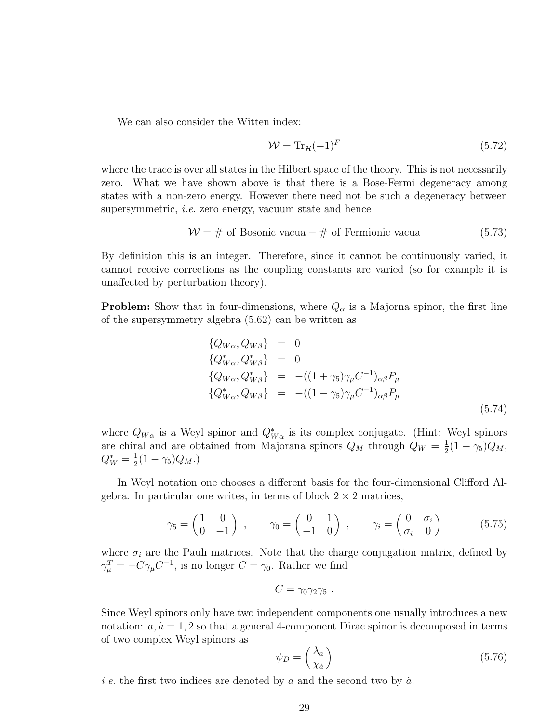We can also consider the Witten index:

$$
\mathcal{W} = \text{Tr}_{\mathcal{H}}(-1)^{F} \tag{5.72}
$$

where the trace is over all states in the Hilbert space of the theory. This is not necessarily zero. What we have shown above is that there is a Bose-Fermi degeneracy among states with a non-zero energy. However there need not be such a degeneracy between supersymmetric, i.e. zero energy, vacuum state and hence

$$
\mathcal{W} = \# \text{ of Bosonic vacua} - \# \text{ of Fermionic vacua} \tag{5.73}
$$

By definition this is an integer. Therefore, since it cannot be continuously varied, it cannot receive corrections as the coupling constants are varied (so for example it is unaffected by perturbation theory).

**Problem:** Show that in four-dimensions, where  $Q_{\alpha}$  is a Majorna spinor, the first line of the supersymmetry algebra (5.62) can be written as

$$
\begin{aligned}\n\{Q_{W\alpha}, Q_{W\beta}\} &= 0\\ \{Q_{W\alpha}^*, Q_{W\beta}^*\} &= 0\\ \{Q_{W\alpha}, Q_{W\beta}^*\} &= -( (1 + \gamma_5) \gamma_\mu C^{-1})_{\alpha\beta} P_\mu\\ \{Q_{W\alpha}^*, Q_{W\beta}\} &= -( (1 - \gamma_5) \gamma_\mu C^{-1})_{\alpha\beta} P_\mu\n\end{aligned}
$$
\n(5.74)

where  $Q_{W\alpha}$  is a Weyl spinor and  $Q^*_{W\alpha}$  is its complex conjugate. (Hint: Weyl spinors are chiral and are obtained from Majorana spinors  $Q_M$  through  $Q_W = \frac{1}{2}$  $\frac{1}{2}(1+\gamma_5)Q_M,$  $Q_W^* = \frac{1}{2}$  $\frac{1}{2}(1 - \gamma_5)Q_M.$ 

In Weyl notation one chooses a different basis for the four-dimensional Clifford Algebra. In particular one writes, in terms of block  $2 \times 2$  matrices,

$$
\gamma_5 = \begin{pmatrix} 1 & 0 \\ 0 & -1 \end{pmatrix} , \qquad \gamma_0 = \begin{pmatrix} 0 & 1 \\ -1 & 0 \end{pmatrix} , \qquad \gamma_i = \begin{pmatrix} 0 & \sigma_i \\ \sigma_i & 0 \end{pmatrix} \tag{5.75}
$$

where  $\sigma_i$  are the Pauli matrices. Note that the charge conjugation matrix, defined by  $\gamma_{\mu}^{T} = -C\gamma_{\mu}C^{-1}$ , is no longer  $C = \gamma_{0}$ . Rather we find

$$
C=\gamma_0\gamma_2\gamma_5.
$$

Since Weyl spinors only have two independent components one usually introduces a new notation:  $a, \dot{a} = 1, 2$  so that a general 4-component Dirac spinor is decomposed in terms of two complex Weyl spinors as

$$
\psi_D = \begin{pmatrix} \lambda_a \\ \chi_a \end{pmatrix} \tag{5.76}
$$

*i.e.* the first two indices are denoted by a and the second two by  $\dot{a}$ .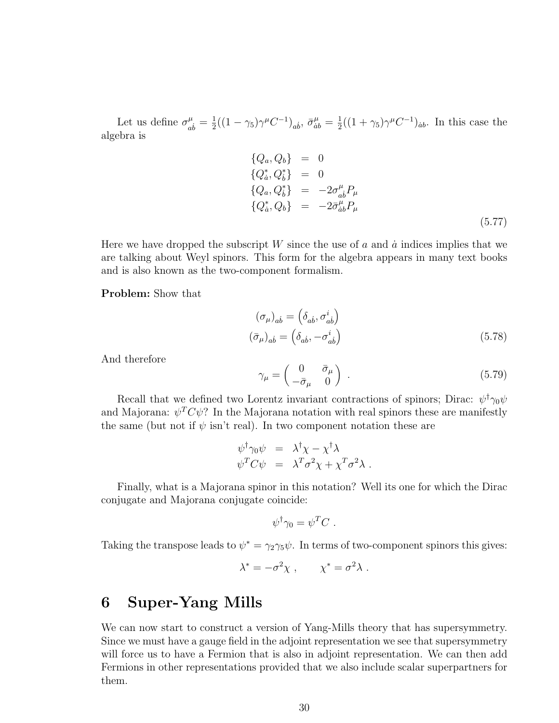Let us define  $\sigma^{\mu}_{\alpha}$  $\frac{\mu}{ab} = \frac{1}{2}$  $\frac{1}{2}((1-\gamma_5)\gamma^{\mu}C^{-1})_{ab}, \bar{\sigma}_{ab}^{\mu} = \frac{1}{2}$  $\frac{1}{2}((1+\gamma_5)\gamma^{\mu}C^{-1})_{\dot{a}b}$ . In this case the algebra is

$$
\begin{array}{rcl}\n\{Q_a, Q_b\} & = & 0 \\
\{Q_a^*, Q_b^*\} & = & 0 \\
\{Q_a, Q_b^*\} & = & -2\sigma_{ab}^\mu P_\mu \\
\{Q_a^*, Q_b\} & = & -2\bar{\sigma}_{ab}^\mu P_\mu\n\end{array}\n\tag{5.77}
$$

Here we have dropped the subscript W since the use of a and  $\dot{a}$  indices implies that we are talking about Weyl spinors. This form for the algebra appears in many text books and is also known as the two-component formalism.

Problem: Show that

$$
(\sigma_{\mu})_{ab} = (\delta_{ab}, \sigma_{ab}^{i})
$$
  

$$
(\bar{\sigma}_{\mu})_{ab} = (\delta_{ab}, -\sigma_{ab}^{i})
$$
 (5.78)

And therefore

$$
\gamma_{\mu} = \begin{pmatrix} 0 & \bar{\sigma}_{\mu} \\ -\bar{\sigma}_{\mu} & 0 \end{pmatrix} . \tag{5.79}
$$

Recall that we defined two Lorentz invariant contractions of spinors; Dirac:  $\psi^{\dagger} \gamma_0 \psi$ and Majorana:  $\psi^T C \psi$ ? In the Majorana notation with real spinors these are manifestly the same (but not if  $\psi$  isn't real). In two component notation these are

$$
\psi^{\dagger} \gamma_0 \psi = \lambda^{\dagger} \chi - \chi^{\dagger} \lambda \n\psi^T C \psi = \lambda^T \sigma^2 \chi + \chi^T \sigma^2 \lambda .
$$

Finally, what is a Majorana spinor in this notation? Well its one for which the Dirac conjugate and Majorana conjugate coincide:

$$
\psi^{\dagger} \gamma_0 = \psi^T C \ .
$$

Taking the transpose leads to  $\psi^* = \gamma_2 \gamma_5 \psi$ . In terms of two-component spinors this gives:

$$
\lambda^* = -\sigma^2 \chi \ , \qquad \chi^* = \sigma^2 \lambda \ .
$$

### 6 Super-Yang Mills

We can now start to construct a version of Yang-Mills theory that has supersymmetry. Since we must have a gauge field in the adjoint representation we see that supersymmetry will force us to have a Fermion that is also in adjoint representation. We can then add Fermions in other representations provided that we also include scalar superpartners for them.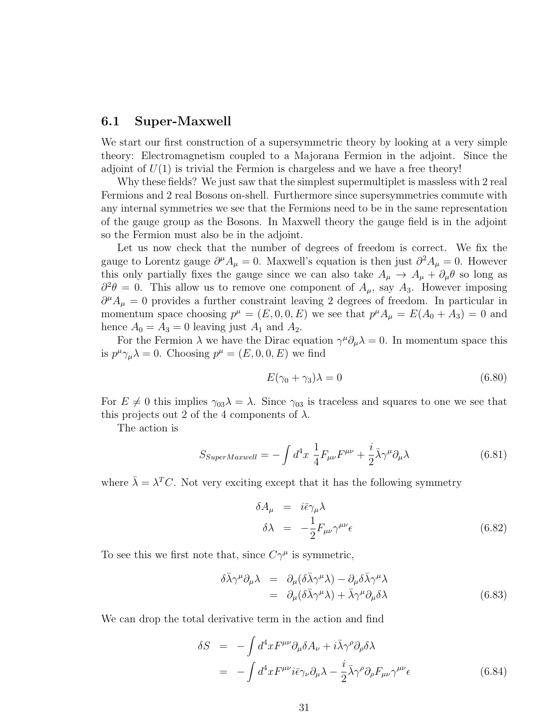### 6.1 Super-Maxwell

We start our first construction of a supersymmetric theory by looking at a very simple theory: Electromagnetism coupled to a Majorana Fermion in the adjoint. Since the adjoint of  $U(1)$  is trivial the Fermion is chargeless and we have a free theory!

Why these fields? We just saw that the simplest supermultiplet is massless with 2 real Fermions and 2 real Bosons on-shell. Furthermore since supersymmetries commute with any internal symmetries we see that the Fermions need to be in the same representation of the gauge group as the Bosons. In Maxwell theory the gauge field is in the adjoint so the Fermion must also be in the adjoint.

Let us now check that the number of degrees of freedom is correct. We fix the gauge to Lorentz gauge  $\partial^{\mu} A_{\mu} = 0$ . Maxwell's equation is then just  $\partial^2 A_{\mu} = 0$ . However this only partially fixes the gauge since we can also take  $A_\mu \to A_\mu + \partial_\mu \theta$  so long as  $\partial^2 \theta = 0$ . This allow us to remove one component of  $A_\mu$ , say  $A_3$ . However imposing  $\partial^{\mu}A_{\mu}=0$  provides a further constraint leaving 2 degrees of freedom. In particular in momentum space choosing  $p^{\mu} = (E, 0, 0, E)$  we see that  $p^{\mu} A_{\mu} = E(A_0 + A_3) = 0$  and hence  $A_0 = A_3 = 0$  leaving just  $A_1$  and  $A_2$ .

For the Fermion  $\lambda$  we have the Dirac equation  $\gamma^{\mu}\partial_{\mu}\lambda = 0$ . In momentum space this is  $p^{\mu}\gamma_{\mu}\lambda = 0$ . Choosing  $p^{\mu} = (E, 0, 0, E)$  we find

$$
E(\gamma_0 + \gamma_3)\lambda = 0\tag{6.80}
$$

For  $E \neq 0$  this implies  $\gamma_{03}\lambda = \lambda$ . Since  $\gamma_{03}$  is traceless and squares to one we see that this projects out 2 of the 4 components of  $\lambda$ .

The action is

$$
S_{SuperMaxwell} = -\int d^4x \frac{1}{4} F_{\mu\nu} F^{\mu\nu} + \frac{i}{2} \bar{\lambda} \gamma^{\mu} \partial_{\mu} \lambda \tag{6.81}
$$

where  $\bar{\lambda} = \lambda^T C$ . Not very exciting except that it has the following symmetry

$$
\delta A_{\mu} = i\bar{\epsilon}\gamma_{\mu}\lambda
$$
  

$$
\delta \lambda = -\frac{1}{2}F_{\mu\nu}\gamma^{\mu\nu}\epsilon
$$
 (6.82)

To see this we first note that, since  $C\gamma^{\mu}$  is symmetric,

$$
\delta\bar{\lambda}\gamma^{\mu}\partial_{\mu}\lambda = \partial_{\mu}(\delta\bar{\lambda}\gamma^{\mu}\lambda) - \partial_{\mu}\delta\bar{\lambda}\gamma^{\mu}\lambda \n= \partial_{\mu}(\delta\bar{\lambda}\gamma^{\mu}\lambda) + \bar{\lambda}\gamma^{\mu}\partial_{\mu}\delta\lambda
$$
\n(6.83)

We can drop the total derivative term in the action and find

$$
\delta S = -\int d^4x F^{\mu\nu} \partial_{\mu} \delta A_{\nu} + i \bar{\lambda} \gamma^{\rho} \partial_{\rho} \delta \lambda \n= -\int d^4x F^{\mu\nu} i \bar{\epsilon} \gamma_{\nu} \partial_{\mu} \lambda - \frac{i}{2} \bar{\lambda} \gamma^{\rho} \partial_{\rho} F_{\mu\nu} \gamma^{\mu\nu} \epsilon
$$
\n(6.84)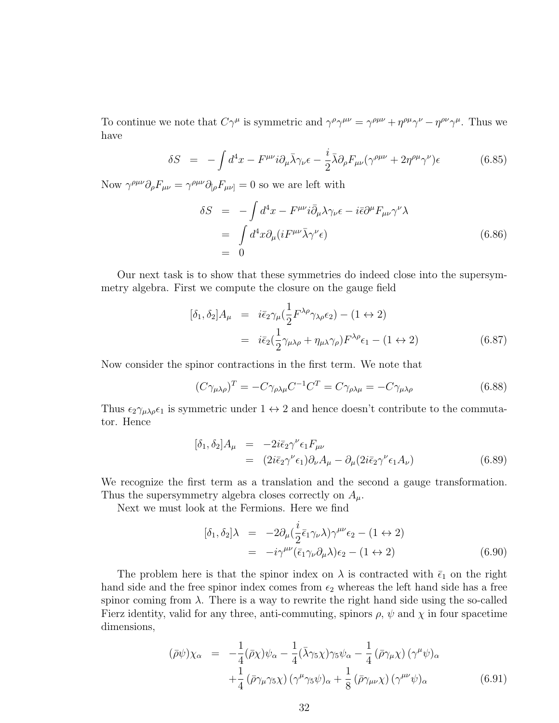To continue we note that  $C\gamma^{\mu}$  is symmetric and  $\gamma^{\rho}\gamma^{\mu\nu} = \gamma^{\rho\mu\nu} + \eta^{\rho\mu}\gamma^{\nu} - \eta^{\rho\nu}\gamma^{\mu}$ . Thus we have

$$
\delta S = -\int d^4x - F^{\mu\nu} i \partial_\mu \bar{\lambda} \gamma_\nu \epsilon - \frac{i}{2} \bar{\lambda} \partial_\rho F_{\mu\nu} (\gamma^{\rho\mu\nu} + 2\eta^{\rho\mu} \gamma^\nu) \epsilon \tag{6.85}
$$

Now  $\gamma^{\rho\mu\nu}\partial_{\rho}F_{\mu\nu} = \gamma^{\rho\mu\nu}\partial_{[\rho}F_{\mu\nu]} = 0$  so we are left with

$$
\delta S = -\int d^4x - F^{\mu\nu} i \bar{\partial}_{\mu} \lambda \gamma_{\nu} \epsilon - i \bar{\epsilon} \partial^{\mu} F_{\mu\nu} \gamma^{\nu} \lambda \n= \int d^4x \partial_{\mu} (i F^{\mu\nu} \bar{\lambda} \gamma^{\nu} \epsilon) \n= 0
$$
\n(6.86)

Our next task is to show that these symmetries do indeed close into the supersymmetry algebra. First we compute the closure on the gauge field

$$
[\delta_1, \delta_2] A_{\mu} = i \bar{\epsilon}_2 \gamma_{\mu} (\frac{1}{2} F^{\lambda \rho} \gamma_{\lambda \rho} \epsilon_2) - (1 \leftrightarrow 2)
$$
  

$$
= i \bar{\epsilon}_2 (\frac{1}{2} \gamma_{\mu \lambda \rho} + \eta_{\mu \lambda} \gamma_{\rho}) F^{\lambda \rho} \epsilon_1 - (1 \leftrightarrow 2)
$$
(6.87)

Now consider the spinor contractions in the first term. We note that

$$
(C\gamma_{\mu\lambda\rho})^T = -C\gamma_{\rho\lambda\mu}C^{-1}C^T = C\gamma_{\rho\lambda\mu} = -C\gamma_{\mu\lambda\rho}
$$
(6.88)

Thus  $\epsilon_2\gamma_{\mu\lambda\rho}\epsilon_1$  is symmetric under  $1 \leftrightarrow 2$  and hence doesn't contribute to the commutator. Hence

$$
[\delta_1, \delta_2] A_\mu = -2i\bar{\epsilon}_2 \gamma^\nu \epsilon_1 F_{\mu\nu}
$$
  
=  $(2i\bar{\epsilon}_2 \gamma^\nu \epsilon_1) \partial_\nu A_\mu - \partial_\mu (2i\bar{\epsilon}_2 \gamma^\nu \epsilon_1 A_\nu)$  (6.89)

We recognize the first term as a translation and the second a gauge transformation. Thus the supersymmetry algebra closes correctly on  $A_{\mu}$ .

Next we must look at the Fermions. Here we find

$$
[\delta_1, \delta_2] \lambda = -2 \partial_\mu (\frac{i}{2} \bar{\epsilon}_1 \gamma_\nu \lambda) \gamma^{\mu\nu} \epsilon_2 - (1 \leftrightarrow 2)
$$
  
=  $-i \gamma^{\mu\nu} (\bar{\epsilon}_1 \gamma_\nu \partial_\mu \lambda) \epsilon_2 - (1 \leftrightarrow 2)$  (6.90)

The problem here is that the spinor index on  $\lambda$  is contracted with  $\bar{\epsilon}_1$  on the right hand side and the free spinor index comes from  $\epsilon_2$  whereas the left hand side has a free spinor coming from  $\lambda$ . There is a way to rewrite the right hand side using the so-called Fierz identity, valid for any three, anti-commuting, spinors  $\rho$ ,  $\psi$  and  $\chi$  in four spacetime dimensions,

$$
(\bar{\rho}\psi)\chi_{\alpha} = -\frac{1}{4}(\bar{\rho}\chi)\psi_{\alpha} - \frac{1}{4}(\bar{\lambda}\gamma_{5}\chi)\gamma_{5}\psi_{\alpha} - \frac{1}{4}(\bar{\rho}\gamma_{\mu}\chi)(\gamma^{\mu}\psi)_{\alpha} +\frac{1}{4}(\bar{\rho}\gamma_{\mu}\gamma_{5}\chi)(\gamma^{\mu}\gamma_{5}\psi)_{\alpha} + \frac{1}{8}(\bar{\rho}\gamma_{\mu\nu}\chi)(\gamma^{\mu\nu}\psi)_{\alpha}
$$
(6.91)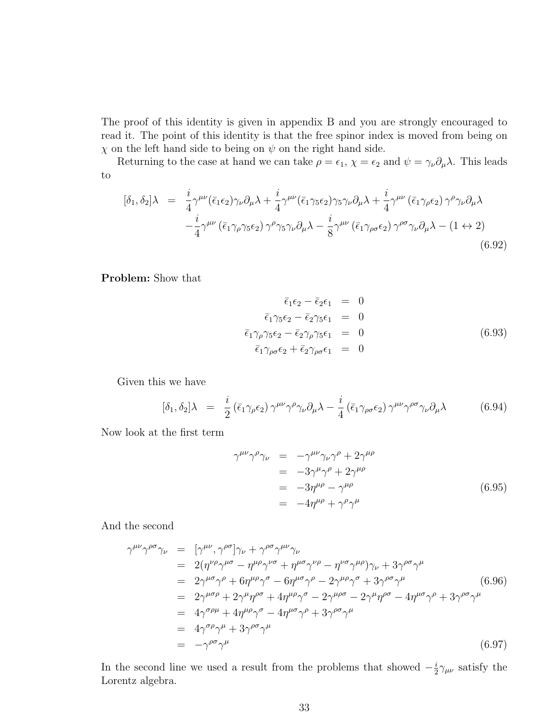The proof of this identity is given in appendix B and you are strongly encouraged to read it. The point of this identity is that the free spinor index is moved from being on  $\chi$  on the left hand side to being on  $\psi$  on the right hand side.

Returning to the case at hand we can take  $\rho = \epsilon_1$ ,  $\chi = \epsilon_2$  and  $\psi = \gamma_\nu \partial_\mu \lambda$ . This leads to

$$
[\delta_1, \delta_2] \lambda = \frac{i}{4} \gamma^{\mu\nu} (\bar{\epsilon}_1 \epsilon_2) \gamma_\nu \partial_\mu \lambda + \frac{i}{4} \gamma^{\mu\nu} (\bar{\epsilon}_1 \gamma_5 \epsilon_2) \gamma_5 \gamma_\nu \partial_\mu \lambda + \frac{i}{4} \gamma^{\mu\nu} (\bar{\epsilon}_1 \gamma_\rho \epsilon_2) \gamma^\rho \gamma_\nu \partial_\mu \lambda -\frac{i}{4} \gamma^{\mu\nu} (\bar{\epsilon}_1 \gamma_\rho \gamma_5 \epsilon_2) \gamma^\rho \gamma_5 \gamma_\nu \partial_\mu \lambda - \frac{i}{8} \gamma^{\mu\nu} (\bar{\epsilon}_1 \gamma_{\rho\sigma} \epsilon_2) \gamma^{\rho\sigma} \gamma_\nu \partial_\mu \lambda - (1 \leftrightarrow 2)
$$
\n(6.92)

Problem: Show that

$$
\begin{aligned}\n\overline{\epsilon}_1 \epsilon_2 - \overline{\epsilon}_2 \epsilon_1 &= 0\\ \n\overline{\epsilon}_1 \gamma_5 \epsilon_2 - \overline{\epsilon}_2 \gamma_5 \epsilon_1 &= 0\\ \n\overline{\epsilon}_1 \gamma_\rho \gamma_5 \epsilon_2 - \overline{\epsilon}_2 \gamma_\rho \gamma_5 \epsilon_1 &= 0\\ \n\overline{\epsilon}_1 \gamma_{\rho \sigma} \epsilon_2 + \overline{\epsilon}_2 \gamma_{\rho \sigma} \epsilon_1 &= 0\n\end{aligned} \tag{6.93}
$$

Given this we have

$$
[\delta_1, \delta_2] \lambda = \frac{i}{2} (\bar{\epsilon}_1 \gamma_\rho \epsilon_2) \gamma^{\mu\nu} \gamma^\rho \gamma_\nu \partial_\mu \lambda - \frac{i}{4} (\bar{\epsilon}_1 \gamma_{\rho \sigma} \epsilon_2) \gamma^{\mu\nu} \gamma^{\rho \sigma} \gamma_\nu \partial_\mu \lambda \tag{6.94}
$$

Now look at the first term

$$
\gamma^{\mu\nu}\gamma^{\rho}\gamma_{\nu} = -\gamma^{\mu\nu}\gamma_{\nu}\gamma^{\rho} + 2\gamma^{\mu\rho}
$$
  
=  $-3\gamma^{\mu}\gamma^{\rho} + 2\gamma^{\mu\rho}$   
=  $-3\eta^{\mu\rho} - \gamma^{\mu\rho}$   
=  $-4\eta^{\mu\rho} + \gamma^{\rho}\gamma^{\mu}$  (6.95)

And the second

$$
\gamma^{\mu\nu}\gamma^{\rho\sigma}\gamma_{\nu} = [\gamma^{\mu\nu}, \gamma^{\rho\sigma}]\gamma_{\nu} + \gamma^{\rho\sigma}\gamma^{\mu\nu}\gamma_{\nu}
$$
  
\n
$$
= 2(\eta^{\nu\rho}\gamma^{\mu\sigma} - \eta^{\mu\rho}\gamma^{\nu\sigma} + \eta^{\mu\sigma}\gamma^{\nu\rho} - \eta^{\nu\sigma}\gamma^{\mu\rho})\gamma_{\nu} + 3\gamma^{\rho\sigma}\gamma^{\mu}
$$
  
\n
$$
= 2\gamma^{\mu\sigma}\gamma^{\rho} + 6\eta^{\mu\rho}\gamma^{\sigma} - 6\eta^{\mu\sigma}\gamma^{\rho} - 2\gamma^{\mu\rho}\gamma^{\sigma} + 3\gamma^{\rho\sigma}\gamma^{\mu}
$$
  
\n
$$
= 2\gamma^{\mu\sigma\rho} + 2\gamma^{\mu}\eta^{\rho\sigma} + 4\eta^{\mu\rho}\gamma^{\sigma} - 2\gamma^{\mu\rho\sigma} - 2\gamma^{\mu}\eta^{\rho\sigma} - 4\eta^{\mu\sigma}\gamma^{\rho} + 3\gamma^{\rho\sigma}\gamma^{\mu}
$$
  
\n
$$
= 4\gamma^{\sigma\rho\mu} + 4\eta^{\mu\rho}\gamma^{\sigma} - 4\eta^{\mu\sigma}\gamma^{\rho} + 3\gamma^{\rho\sigma}\gamma^{\mu}
$$
  
\n
$$
= 4\gamma^{\sigma\rho}\gamma^{\mu} + 3\gamma^{\rho\sigma}\gamma^{\mu}
$$
  
\n
$$
= -\gamma^{\rho\sigma}\gamma^{\mu}
$$
  
\n(6.97)

In the second line we used a result from the problems that showed  $-\frac{i}{2}$  $\frac{i}{2}\gamma_{\mu\nu}$  satisfy the Lorentz algebra.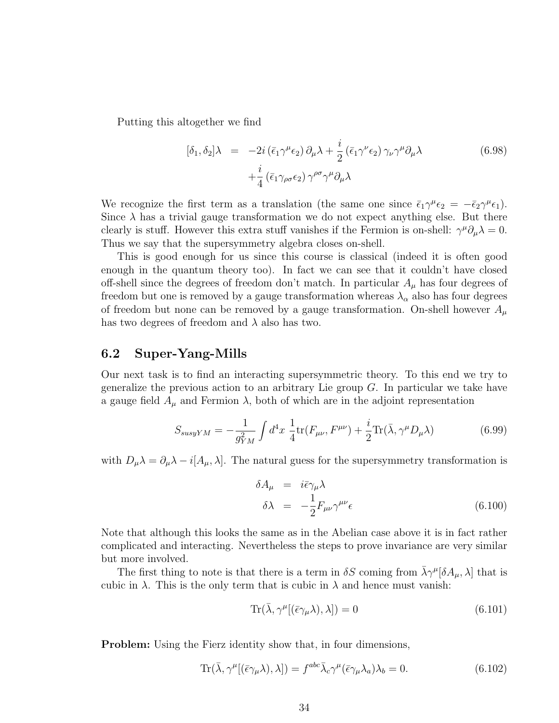Putting this altogether we find

$$
[\delta_1, \delta_2] \lambda = -2i (\bar{\epsilon}_1 \gamma^\mu \epsilon_2) \partial_\mu \lambda + \frac{i}{2} (\bar{\epsilon}_1 \gamma^\nu \epsilon_2) \gamma_\nu \gamma^\mu \partial_\mu \lambda + \frac{i}{4} (\bar{\epsilon}_1 \gamma_{\rho \sigma} \epsilon_2) \gamma^{\rho \sigma} \gamma^\mu \partial_\mu \lambda
$$
(6.98)

We recognize the first term as a translation (the same one since  $\bar{\epsilon}_1 \gamma^{\mu} \epsilon_2 = -\bar{\epsilon}_2 \gamma^{\mu} \epsilon_1$ ). Since  $\lambda$  has a trivial gauge transformation we do not expect anything else. But there clearly is stuff. However this extra stuff vanishes if the Fermion is on-shell:  $\gamma^{\mu}\partial_{\mu}\lambda = 0$ . Thus we say that the supersymmetry algebra closes on-shell.

This is good enough for us since this course is classical (indeed it is often good enough in the quantum theory too). In fact we can see that it couldn't have closed off-shell since the degrees of freedom don't match. In particular  $A_\mu$  has four degrees of freedom but one is removed by a gauge transformation whereas  $\lambda_{\alpha}$  also has four degrees of freedom but none can be removed by a gauge transformation. On-shell however  $A_\mu$ has two degrees of freedom and  $\lambda$  also has two.

### 6.2 Super-Yang-Mills

Our next task is to find an interacting supersymmetric theory. To this end we try to generalize the previous action to an arbitrary Lie group  $G$ . In particular we take have a gauge field  $A_{\mu}$  and Fermion  $\lambda$ , both of which are in the adjoint representation

$$
S_{susyYM} = -\frac{1}{g_{YM}^2} \int d^4x \frac{1}{4} \text{tr}(F_{\mu\nu}, F^{\mu\nu}) + \frac{i}{2} \text{Tr}(\bar{\lambda}, \gamma^{\mu} D_{\mu}\lambda) \tag{6.99}
$$

with  $D_{\mu}\lambda = \partial_{\mu}\lambda - i[A_{\mu},\lambda]$ . The natural guess for the supersymmetry transformation is

$$
\delta A_{\mu} = i\bar{\epsilon}\gamma_{\mu}\lambda
$$
  
\n
$$
\delta \lambda = -\frac{1}{2}F_{\mu\nu}\gamma^{\mu\nu}\epsilon
$$
\n(6.100)

Note that although this looks the same as in the Abelian case above it is in fact rather complicated and interacting. Nevertheless the steps to prove invariance are very similar but more involved.

The first thing to note is that there is a term in  $\delta S$  coming from  $\bar{\lambda}\gamma^{\mu}[\delta A_{\mu},\lambda]$  that is cubic in  $\lambda$ . This is the only term that is cubic in  $\lambda$  and hence must vanish:

$$
\text{Tr}(\bar{\lambda}, \gamma^{\mu}[(\bar{\epsilon}\gamma_{\mu}\lambda), \lambda]) = 0 \tag{6.101}
$$

Problem: Using the Fierz identity show that, in four dimensions,

$$
\text{Tr}(\bar{\lambda}, \gamma^{\mu}[(\bar{\epsilon}\gamma_{\mu}\lambda), \lambda]) = f^{abc}\bar{\lambda}_{c}\gamma^{\mu}(\bar{\epsilon}\gamma_{\mu}\lambda_{a})\lambda_{b} = 0.
$$
 (6.102)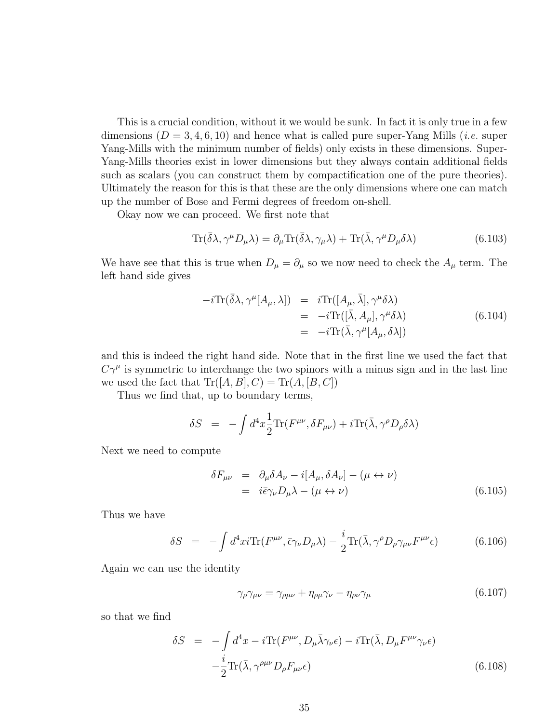This is a crucial condition, without it we would be sunk. In fact it is only true in a few dimensions ( $D = 3, 4, 6, 10$ ) and hence what is called pure super-Yang Mills (*i.e.* super Yang-Mills with the minimum number of fields) only exists in these dimensions. Super-Yang-Mills theories exist in lower dimensions but they always contain additional fields such as scalars (you can construct them by compactification one of the pure theories). Ultimately the reason for this is that these are the only dimensions where one can match up the number of Bose and Fermi degrees of freedom on-shell.

Okay now we can proceed. We first note that

$$
\text{Tr}(\bar{\delta}\lambda, \gamma^{\mu}D_{\mu}\lambda) = \partial_{\mu}\text{Tr}(\bar{\delta}\lambda, \gamma_{\mu}\lambda) + \text{Tr}(\bar{\lambda}, \gamma^{\mu}D_{\mu}\delta\lambda)
$$
(6.103)

We have see that this is true when  $D_{\mu} = \partial_{\mu}$  so we now need to check the  $A_{\mu}$  term. The left hand side gives

$$
-i\text{Tr}(\bar{\delta}\lambda, \gamma^{\mu}[A_{\mu}, \lambda]) = i\text{Tr}([A_{\mu}, \bar{\lambda}], \gamma^{\mu}\delta\lambda)
$$
  
= 
$$
-i\text{Tr}([\bar{\lambda}, A_{\mu}], \gamma^{\mu}\delta\lambda)
$$
  
= 
$$
-i\text{Tr}(\bar{\lambda}, \gamma^{\mu}[A_{\mu}, \delta\lambda])
$$
(6.104)

and this is indeed the right hand side. Note that in the first line we used the fact that  $C\gamma^{\mu}$  is symmetric to interchange the two spinors with a minus sign and in the last line we used the fact that  $\text{Tr}([A, B], C) = \text{Tr}(A, [B, C])$ 

Thus we find that, up to boundary terms,

$$
\delta S = -\int d^4x \frac{1}{2} \text{Tr}(F^{\mu\nu}, \delta F_{\mu\nu}) + i \text{Tr}(\bar{\lambda}, \gamma^{\rho} D_{\rho} \delta \lambda)
$$

Next we need to compute

$$
\delta F_{\mu\nu} = \partial_{\mu}\delta A_{\nu} - i[A_{\mu}, \delta A_{\nu}] - (\mu \leftrightarrow \nu)
$$
  
=  $i\bar{\epsilon}\gamma_{\nu}D_{\mu}\lambda - (\mu \leftrightarrow \nu)$  (6.105)

Thus we have

$$
\delta S = -\int d^4x i \text{Tr}(F^{\mu\nu}, \bar{\epsilon}\gamma_{\nu}D_{\mu}\lambda) - \frac{i}{2} \text{Tr}(\bar{\lambda}, \gamma^{\rho}D_{\rho}\gamma_{\mu\nu}F^{\mu\nu}\epsilon) \tag{6.106}
$$

Again we can use the identity

$$
\gamma_{\rho}\gamma_{\mu\nu} = \gamma_{\rho\mu\nu} + \eta_{\rho\mu}\gamma_{\nu} - \eta_{\rho\nu}\gamma_{\mu} \tag{6.107}
$$

so that we find

$$
\delta S = -\int d^4x - i \text{Tr}(F^{\mu\nu}, D_{\mu}\bar{\lambda}\gamma_{\nu}\epsilon) - i \text{Tr}(\bar{\lambda}, D_{\mu}F^{\mu\nu}\gamma_{\nu}\epsilon) -\frac{i}{2} \text{Tr}(\bar{\lambda}, \gamma^{\rho\mu\nu}D_{\rho}F_{\mu\nu}\epsilon)
$$
(6.108)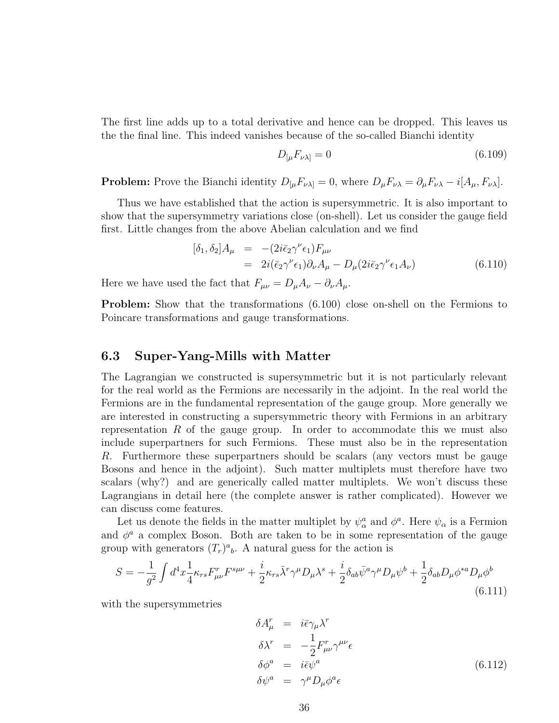The first line adds up to a total derivative and hence can be dropped. This leaves us the the final line. This indeed vanishes because of the so-called Bianchi identity

$$
D_{\left[\mu}F_{\nu\lambda\right]} = 0\tag{6.109}
$$

**Problem:** Prove the Bianchi identity  $D_{\mu}F_{\nu\lambda} = 0$ , where  $D_{\mu}F_{\nu\lambda} = \partial_{\mu}F_{\nu\lambda} - i[A_{\mu}, F_{\nu\lambda}]$ .

Thus we have established that the action is supersymmetric. It is also important to show that the supersymmetry variations close (on-shell). Let us consider the gauge field first. Little changes from the above Abelian calculation and we find

$$
[\delta_1, \delta_2] A_\mu = -(2i\bar{\epsilon}_2 \gamma^\nu \epsilon_1) F_{\mu\nu}
$$
  
=  $2i(\bar{\epsilon}_2 \gamma^\nu \epsilon_1) \partial_\nu A_\mu - D_\mu (2i\bar{\epsilon}_2 \gamma^\nu \epsilon_1 A_\nu)$  (6.110)

Here we have used the fact that  $F_{\mu\nu} = D_{\mu}A_{\nu} - \partial_{\nu}A_{\mu}$ .

Problem: Show that the transformations (6.100) close on-shell on the Fermions to Poincare transformations and gauge transformations.

### 6.3 Super-Yang-Mills with Matter

The Lagrangian we constructed is supersymmetric but it is not particularly relevant for the real world as the Fermions are necessarily in the adjoint. In the real world the Fermions are in the fundamental representation of the gauge group. More generally we are interested in constructing a supersymmetric theory with Fermions in an arbitrary representation  $R$  of the gauge group. In order to accommodate this we must also include superpartners for such Fermions. These must also be in the representation R. Furthermore these superpartners should be scalars (any vectors must be gauge Bosons and hence in the adjoint). Such matter multiplets must therefore have two scalars (why?) and are generically called matter multiplets. We won't discuss these Lagrangians in detail here (the complete answer is rather complicated). However we can discuss come features.

Let us denote the fields in the matter multiplet by  $\psi^a_\alpha$  and  $\phi^a$ . Here  $\psi_\alpha$  is a Fermion and  $\phi^a$  a complex Boson. Both are taken to be in some representation of the gauge group with generators  $(T_r)^a{}_b$ . A natural guess for the action is

$$
S = -\frac{1}{g^2} \int d^4x \frac{1}{4} \kappa_{rs} F^r_{\mu\nu} F^{s\mu\nu} + \frac{i}{2} \kappa_{rs} \bar{\lambda}^r \gamma^\mu D_\mu \lambda^s + \frac{i}{2} \delta_{ab} \bar{\psi}^a \gamma^\mu D_\mu \psi^b + \frac{1}{2} \delta_{ab} D_\mu \phi^{*a} D_\mu \phi^b \tag{6.111}
$$

with the supersymmetries

$$
\delta A^r_{\mu} = i\bar{\epsilon}\gamma_{\mu}\lambda^r
$$
  
\n
$$
\delta \lambda^r = -\frac{1}{2}F^r_{\mu\nu}\gamma^{\mu\nu}\epsilon
$$
  
\n
$$
\delta \phi^a = i\bar{\epsilon}\psi^a
$$
  
\n
$$
\delta \psi^a = \gamma^{\mu}D_{\mu}\phi^a\epsilon
$$
  
\n(6.112)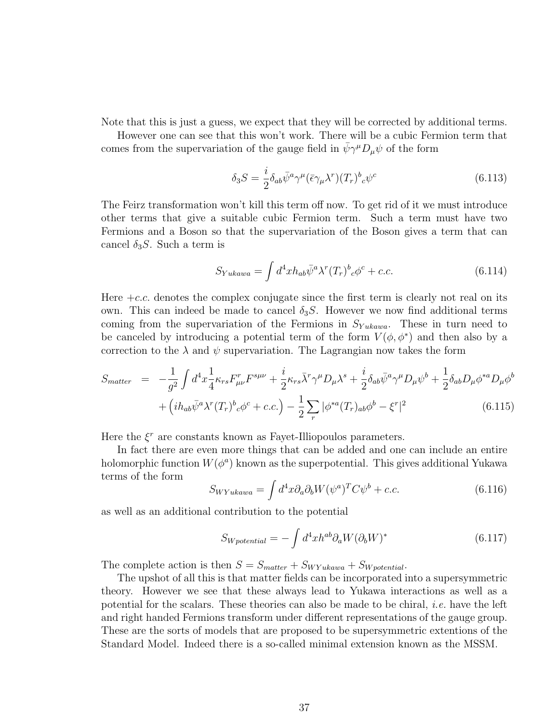Note that this is just a guess, we expect that they will be corrected by additional terms.

However one can see that this won't work. There will be a cubic Fermion term that comes from the supervariation of the gauge field in  $\bar{\psi}\gamma^{\mu}D_{\mu}\psi$  of the form

$$
\delta_3 S = \frac{i}{2} \delta_{ab} \bar{\psi}^a \gamma^\mu (\bar{\epsilon} \gamma_\mu \lambda^r) (T_r)^b{}_c \psi^c \tag{6.113}
$$

The Feirz transformation won't kill this term off now. To get rid of it we must introduce other terms that give a suitable cubic Fermion term. Such a term must have two Fermions and a Boson so that the supervariation of the Boson gives a term that can cancel  $\delta_3 S$ . Such a term is

$$
S_{Yukawa} = \int d^4x h_{ab} \bar{\psi}^a \lambda^r (T_r)^b{}_c \phi^c + c.c.
$$
 (6.114)

Here  $+c.c.$  denotes the complex conjugate since the first term is clearly not real on its own. This can indeed be made to cancel  $\delta_3 S$ . However we now find additional terms coming from the supervariation of the Fermions in  $S_{Yukawa}$ . These in turn need to be canceled by introducing a potential term of the form  $V(\phi, \phi^*)$  and then also by a correction to the  $\lambda$  and  $\psi$  supervariation. The Lagrangian now takes the form

$$
S_{matter} = -\frac{1}{g^2} \int d^4x \frac{1}{4} \kappa_{rs} F^r_{\mu\nu} F^{s\mu\nu} + \frac{i}{2} \kappa_{rs} \bar{\lambda}^r \gamma^\mu D_\mu \lambda^s + \frac{i}{2} \delta_{ab} \bar{\psi}^a \gamma^\mu D_\mu \psi^b + \frac{1}{2} \delta_{ab} D_\mu \phi^{*a} D_\mu \phi^b
$$

$$
+ \left( i h_{ab} \bar{\psi}^a \lambda^r (T_r)^b{}_c \phi^c + c.c. \right) - \frac{1}{2} \sum_r |\phi^{*a} (T_r)_{ab} \phi^b - \xi^r|^2 \tag{6.115}
$$

Here the  $\xi^r$  are constants known as Fayet-Illiopoulos parameters.

In fact there are even more things that can be added and one can include an entire holomorphic function  $W(\phi^a)$  known as the superpotential. This gives additional Yukawa terms of the form

$$
S_{WYukawa} = \int d^4x \partial_a \partial_b W (\psi^a)^T C \psi^b + c.c.
$$
 (6.116)

as well as an additional contribution to the potential

$$
S_{Wpotential} = -\int d^4x h^{ab} \partial_a W (\partial_b W)^* \tag{6.117}
$$

The complete action is then  $S = S_{matter} + S_{WYukawa} + S_{W potential}$ .

The upshot of all this is that matter fields can be incorporated into a supersymmetric theory. However we see that these always lead to Yukawa interactions as well as a potential for the scalars. These theories can also be made to be chiral, *i.e.* have the left and right handed Fermions transform under different representations of the gauge group. These are the sorts of models that are proposed to be supersymmetric extentions of the Standard Model. Indeed there is a so-called minimal extension known as the MSSM.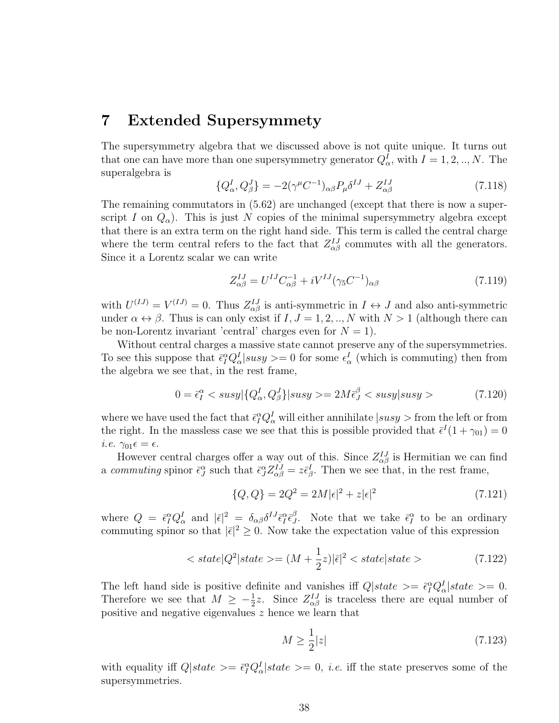## 7 Extended Supersymmety

The supersymmetry algebra that we discussed above is not quite unique. It turns out that one can have more than one supersymmetry generator  $Q^I_{\alpha}$ , with  $I = 1, 2, ..., N$ . The superalgebra is

$$
\{Q_{\alpha}^{I}, Q_{\beta}^{J}\} = -2(\gamma^{\mu}C^{-1})_{\alpha\beta}P_{\mu}\delta^{IJ} + Z_{\alpha\beta}^{IJ}
$$
\n(7.118)

The remaining commutators in (5.62) are unchanged (except that there is now a superscript I on  $Q_{\alpha}$ ). This is just N copies of the minimal supersymmetry algebra except that there is an extra term on the right hand side. This term is called the central charge where the term central refers to the fact that  $Z_{\alpha\beta}^{IJ}$  commutes with all the generators. Since it a Lorentz scalar we can write

$$
Z_{\alpha\beta}^{IJ} = U^{IJ} C_{\alpha\beta}^{-1} + iV^{IJ} (\gamma_5 C^{-1})_{\alpha\beta} \tag{7.119}
$$

with  $U^{(IJ)} = V^{(IJ)} = 0$ . Thus  $Z^{IJ}_{\alpha\beta}$  is anti-symmetric in  $I \leftrightarrow J$  and also anti-symmetric under  $\alpha \leftrightarrow \beta$ . Thus is can only exist if  $I, J = 1, 2, ..., N$  with  $N > 1$  (although there can be non-Lorentz invariant 'central' charges even for  $N = 1$ ).

Without central charges a massive state cannot preserve any of the supersymmetries. To see this suppose that  $\bar{\epsilon}_I^{\alpha} Q_{\alpha}^I | susy \rangle = 0$  for some  $\epsilon_{\alpha}^I$  (which is commuting) then from the algebra we see that, in the rest frame,

$$
0 = \bar{\epsilon}_I^{\alpha} < susy|\{Q_\alpha^I, Q_\beta^J\}|susy \rangle = 2M\bar{\epsilon}_J^{\beta} < susy|susy \rangle \tag{7.120}
$$

where we have used the fact that  $\bar{\epsilon}_I^{\alpha} Q_{\alpha}^I$  will either annihilate  $|susy>$  from the left or from the right. In the massless case we see that this is possible provided that  $\bar{\epsilon}^I(1+\gamma_{01})=0$ *i.e.*  $\gamma_{01} \epsilon = \epsilon$ .

However central charges offer a way out of this. Since  $Z_{\alpha\beta}^{IJ}$  is Hermitian we can find a commuting spinor  $\bar{\epsilon}_J^{\alpha}$  such that  $\bar{\epsilon}_J^{\alpha} Z_{\alpha\beta}^{IJ} = z \bar{\epsilon}_{\beta}^I$ . Then we see that, in the rest frame,

$$
\{Q, Q\} = 2Q^2 = 2M|\epsilon|^2 + z|\epsilon|^2 \tag{7.121}
$$

where  $Q = \bar{\epsilon}_I^{\alpha} Q_{\alpha}^I$  and  $|\bar{\epsilon}|^2 = \delta_{\alpha\beta} \delta^{IJ} \bar{\epsilon}_I^{\alpha} \bar{\epsilon}_J^{\beta}$ <sup>β</sup>. Note that we take  $\bar{\epsilon}_I^{\alpha}$  to be an ordinary commuting spinor so that  $|\bar{\epsilon}|^2 \geq 0$ . Now take the expectation value of this expression

$$
\langle state|Q^2|state\rangle = (M + \frac{1}{2}z)|\bar{\epsilon}|^2 \langle state|state\rangle \tag{7.122}
$$

The left hand side is positive definite and vanishes iff  $Q|state\rangle = \bar{\epsilon}_I^{\alpha} Q_{\alpha}^I|state\rangle = 0.$ Therefore we see that  $M \geq -\frac{1}{2}z$ . Since  $Z_{\alpha\beta}^{IJ}$  is traceless there are equal number of positive and negative eigenvalues z hence we learn that

$$
M \ge \frac{1}{2}|z|\tag{7.123}
$$

with equality iff  $Q|state\rangle = \bar{\epsilon}_I^{\alpha} Q_{\alpha}^I |state\rangle = 0$ , *i.e.* iff the state preserves some of the supersymmetries.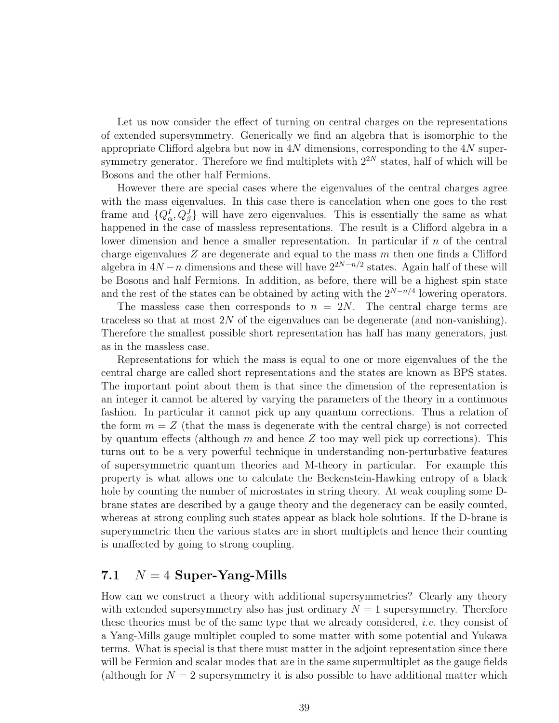Let us now consider the effect of turning on central charges on the representations of extended supersymmetry. Generically we find an algebra that is isomorphic to the appropriate Clifford algebra but now in 4N dimensions, corresponding to the  $4N$  supersymmetry generator. Therefore we find multiplets with  $2^{2N}$  states, half of which will be Bosons and the other half Fermions.

However there are special cases where the eigenvalues of the central charges agree with the mass eigenvalues. In this case there is cancelation when one goes to the rest frame and  $\{Q^I_{\alpha}, Q^J_{\beta}\}\$  will have zero eigenvalues. This is essentially the same as what happened in the case of massless representations. The result is a Clifford algebra in a lower dimension and hence a smaller representation. In particular if  $n$  of the central charge eigenvalues  $Z$  are degenerate and equal to the mass  $m$  then one finds a Clifford algebra in  $4N - n$  dimensions and these will have  $2^{2N-n/2}$  states. Again half of these will be Bosons and half Fermions. In addition, as before, there will be a highest spin state and the rest of the states can be obtained by acting with the  $2^{N-n/4}$  lowering operators.

The massless case then corresponds to  $n = 2N$ . The central charge terms are traceless so that at most  $2N$  of the eigenvalues can be degenerate (and non-vanishing). Therefore the smallest possible short representation has half has many generators, just as in the massless case.

Representations for which the mass is equal to one or more eigenvalues of the the central charge are called short representations and the states are known as BPS states. The important point about them is that since the dimension of the representation is an integer it cannot be altered by varying the parameters of the theory in a continuous fashion. In particular it cannot pick up any quantum corrections. Thus a relation of the form  $m = Z$  (that the mass is degenerate with the central charge) is not corrected by quantum effects (although  $m$  and hence  $Z$  too may well pick up corrections). This turns out to be a very powerful technique in understanding non-perturbative features of supersymmetric quantum theories and M-theory in particular. For example this property is what allows one to calculate the Beckenstein-Hawking entropy of a black hole by counting the number of microstates in string theory. At weak coupling some Dbrane states are described by a gauge theory and the degeneracy can be easily counted, whereas at strong coupling such states appear as black hole solutions. If the D-brane is superymmetric then the various states are in short multiplets and hence their counting is unaffected by going to strong coupling.

### 7.1  $N = 4$  Super-Yang-Mills

How can we construct a theory with additional supersymmetries? Clearly any theory with extended supersymmetry also has just ordinary  $N = 1$  supersymmetry. Therefore these theories must be of the same type that we already considered, *i.e.* they consist of a Yang-Mills gauge multiplet coupled to some matter with some potential and Yukawa terms. What is special is that there must matter in the adjoint representation since there will be Fermion and scalar modes that are in the same supermultiplet as the gauge fields (although for  $N = 2$  supersymmetry it is also possible to have additional matter which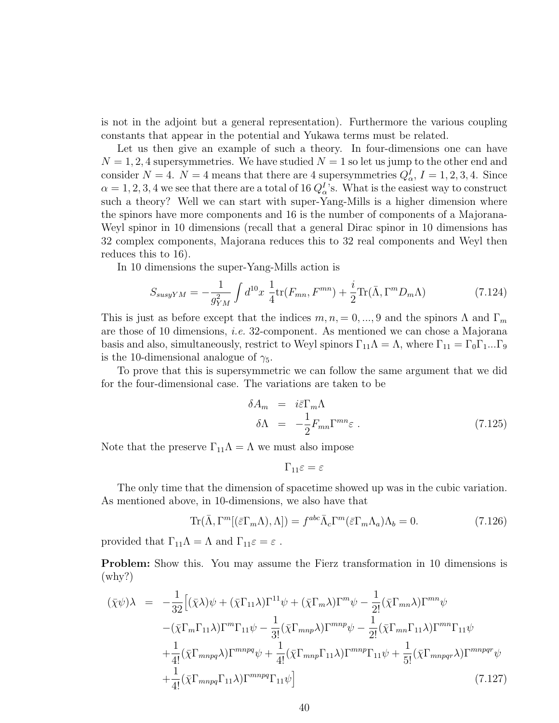is not in the adjoint but a general representation). Furthermore the various coupling constants that appear in the potential and Yukawa terms must be related.

Let us then give an example of such a theory. In four-dimensions one can have  $N = 1, 2, 4$  supersymmetries. We have studied  $N = 1$  so let us jump to the other end and consider  $N = 4$ .  $N = 4$  means that there are 4 supersymmetries  $Q_{\alpha}^{I}$ ,  $I = 1, 2, 3, 4$ . Since  $\alpha = 1, 2, 3, 4$  we see that there are a total of 16  $Q_{\alpha}^{I}$ 's. What is the easiest way to construct such a theory? Well we can start with super-Yang-Mills is a higher dimension where the spinors have more components and 16 is the number of components of a Majorana-Weyl spinor in 10 dimensions (recall that a general Dirac spinor in 10 dimensions has 32 complex components, Majorana reduces this to 32 real components and Weyl then reduces this to 16).

In 10 dimensions the super-Yang-Mills action is

$$
S_{susyYM} = -\frac{1}{g_{YM}^2} \int d^{10}x \frac{1}{4} \text{tr}(F_{mn}, F^{mn}) + \frac{i}{2} \text{Tr}(\bar{\Lambda}, \Gamma^m D_m \Lambda) \tag{7.124}
$$

This is just as before except that the indices  $m, n, = 0, ..., 9$  and the spinors  $\Lambda$  and  $\Gamma_m$ are those of 10 dimensions, i.e. 32-component. As mentioned we can chose a Majorana basis and also, simultaneously, restrict to Weyl spinors  $\Gamma_{11}\Lambda = \Lambda$ , where  $\Gamma_{11} = \Gamma_0\Gamma_1...\Gamma_9$ is the 10-dimensional analogue of  $\gamma_5$ .

To prove that this is supersymmetric we can follow the same argument that we did for the four-dimensional case. The variations are taken to be

$$
\delta A_m = i \bar{\varepsilon} \Gamma_m \Lambda
$$
  
\n
$$
\delta \Lambda = -\frac{1}{2} F_{mn} \Gamma^{mn} \varepsilon .
$$
\n(7.125)

Note that the preserve  $\Gamma_{11}\Lambda = \Lambda$  we must also impose

$$
\Gamma_{11}\varepsilon=\varepsilon
$$

The only time that the dimension of spacetime showed up was in the cubic variation. As mentioned above, in 10-dimensions, we also have that

$$
\text{Tr}(\bar{\Lambda}, \Gamma^m[(\bar{\varepsilon}\Gamma_m\Lambda), \Lambda]) = f^{abc}\bar{\Lambda}_c\Gamma^m(\bar{\varepsilon}\Gamma_m\Lambda_a)\Lambda_b = 0.
$$
 (7.126)

provided that  $\Gamma_{11}\Lambda = \Lambda$  and  $\Gamma_{11}\varepsilon = \varepsilon$ .

Problem: Show this. You may assume the Fierz transformation in 10 dimensions is (why?)

$$
(\bar{\chi}\psi)\lambda = -\frac{1}{32} \Big[ (\bar{\chi}\lambda)\psi + (\bar{\chi}\Gamma_{11}\lambda)\Gamma^{11}\psi + (\bar{\chi}\Gamma_m\lambda)\Gamma^m\psi - \frac{1}{2!}(\bar{\chi}\Gamma_{mn}\lambda)\Gamma^{mn}\psi -(\bar{\chi}\Gamma_m\Gamma_{11}\lambda)\Gamma^m\Gamma_{11}\psi - \frac{1}{3!}(\bar{\chi}\Gamma_{mnp}\lambda)\Gamma^{mnp}\psi - \frac{1}{2!}(\bar{\chi}\Gamma_{mn}\Gamma_{11}\lambda)\Gamma^{mn}\Gamma_{11}\psi + \frac{1}{4!}(\bar{\chi}\Gamma_{mnpq}\lambda)\Gamma^{mnpq}\psi + \frac{1}{4!}(\bar{\chi}\Gamma_{mnp}\Gamma_{11}\lambda)\Gamma^{mnp}\Gamma_{11}\psi + \frac{1}{5!}(\bar{\chi}\Gamma_{mnpqr}\lambda)\Gamma^{mnpqr}\psi + \frac{1}{4!}(\bar{\chi}\Gamma_{mnpq}\Gamma_{11}\lambda)\Gamma^{mnpq}\Gamma_{11}\psi \Big] \tag{7.127}
$$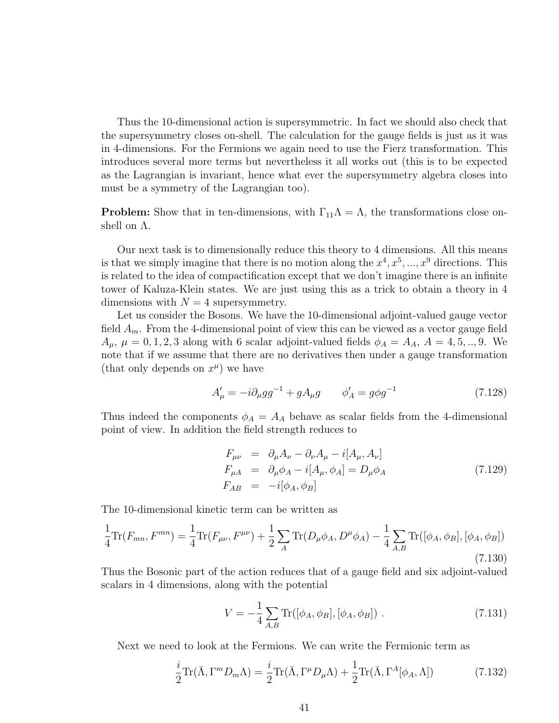Thus the 10-dimensional action is supersymmetric. In fact we should also check that the supersymmetry closes on-shell. The calculation for the gauge fields is just as it was in 4-dimensions. For the Fermions we again need to use the Fierz transformation. This introduces several more terms but nevertheless it all works out (this is to be expected as the Lagrangian is invariant, hence what ever the supersymmetry algebra closes into must be a symmetry of the Lagrangian too).

**Problem:** Show that in ten-dimensions, with  $\Gamma_{11}\Lambda = \Lambda$ , the transformations close onshell on Λ.

Our next task is to dimensionally reduce this theory to 4 dimensions. All this means is that we simply imagine that there is no motion along the  $x^4, x^5, ..., x^9$  directions. This is related to the idea of compactification except that we don't imagine there is an infinite tower of Kaluza-Klein states. We are just using this as a trick to obtain a theory in 4 dimensions with  $N = 4$  supersymmetry.

Let us consider the Bosons. We have the 10-dimensional adjoint-valued gauge vector field  $A_m$ . From the 4-dimensional point of view this can be viewed as a vector gauge field  $A_{\mu}, \mu = 0, 1, 2, 3$  along with 6 scalar adjoint-valued fields  $\phi_A = A_A, A = 4, 5, ..., 9$ . We note that if we assume that there are no derivatives then under a gauge transformation (that only depends on  $x^{\mu}$ ) we have

$$
A'_{\mu} = -i \partial_{\mu} g g^{-1} + g A_{\mu} g \qquad \phi'_{A} = g \phi g^{-1} \tag{7.128}
$$

Thus indeed the components  $\phi_A = A_A$  behave as scalar fields from the 4-dimensional point of view. In addition the field strength reduces to

$$
F_{\mu\nu} = \partial_{\mu}A_{\nu} - \partial_{\nu}A_{\mu} - i[A_{\mu}, A_{\nu}]
$$
  
\n
$$
F_{\mu A} = \partial_{\mu}\phi_{A} - i[A_{\mu}, \phi_{A}] = D_{\mu}\phi_{A}
$$
  
\n
$$
F_{AB} = -i[\phi_{A}, \phi_{B}]
$$
\n(7.129)

The 10-dimensional kinetic term can be written as

$$
\frac{1}{4}\text{Tr}(F_{mn}, F^{mn}) = \frac{1}{4}\text{Tr}(F_{\mu\nu}, F^{\mu\nu}) + \frac{1}{2}\sum_{A}\text{Tr}(D_{\mu}\phi_{A}, D^{\mu}\phi_{A}) - \frac{1}{4}\sum_{A,B}\text{Tr}([\phi_{A}, \phi_{B}], [\phi_{A}, \phi_{B}])
$$
\n(7.130)

Thus the Bosonic part of the action reduces that of a gauge field and six adjoint-valued scalars in 4 dimensions, along with the potential

$$
V = -\frac{1}{4} \sum_{A,B} \text{Tr}([\phi_A, \phi_B], [\phi_A, \phi_B]) . \tag{7.131}
$$

Next we need to look at the Fermions. We can write the Fermionic term as

$$
\frac{i}{2}\text{Tr}(\bar{\Lambda}, \Gamma^m D_m \Lambda) = \frac{i}{2}\text{Tr}(\bar{\Lambda}, \Gamma^\mu D_\mu \Lambda) + \frac{1}{2}\text{Tr}(\bar{\Lambda}, \Gamma^A[\phi_A, \Lambda])
$$
(7.132)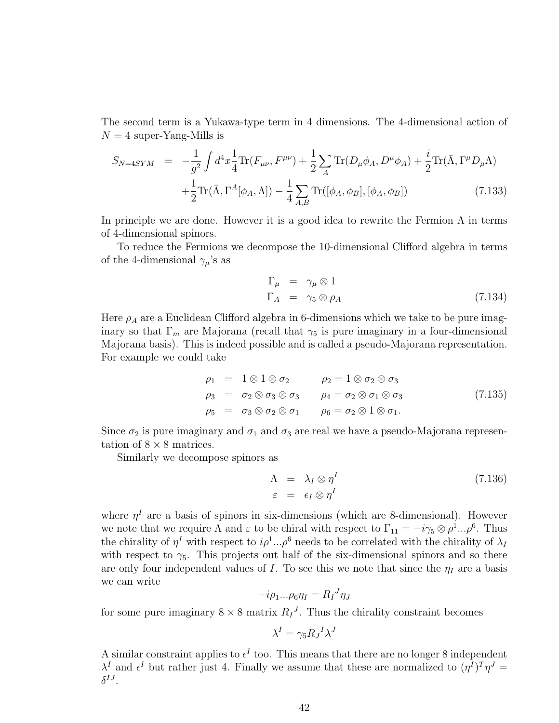The second term is a Yukawa-type term in 4 dimensions. The 4-dimensional action of  $N = 4$  super-Yang-Mills is

$$
S_{N=4SYM} = -\frac{1}{g^2} \int d^4x \frac{1}{4} \text{Tr}(F_{\mu\nu}, F^{\mu\nu}) + \frac{1}{2} \sum_{A} \text{Tr}(D_{\mu}\phi_{A}, D^{\mu}\phi_{A}) + \frac{i}{2} \text{Tr}(\bar{\Lambda}, \Gamma^{\mu}D_{\mu}\Lambda) + \frac{1}{2} \text{Tr}(\bar{\Lambda}, \Gamma^{A}[\phi_{A}, \Lambda]) - \frac{1}{4} \sum_{A,B} \text{Tr}([\phi_{A}, \phi_{B}], [\phi_{A}, \phi_{B}])
$$
(7.133)

In principle we are done. However it is a good idea to rewrite the Fermion  $\Lambda$  in terms of 4-dimensional spinors.

To reduce the Fermions we decompose the 10-dimensional Clifford algebra in terms of the 4-dimensional  $\gamma_{\mu}$ 's as

$$
\Gamma_{\mu} = \gamma_{\mu} \otimes 1 \n\Gamma_{A} = \gamma_{5} \otimes \rho_{A}
$$
\n(7.134)

Here  $\rho_A$  are a Euclidean Clifford algebra in 6-dimensions which we take to be pure imaginary so that  $\Gamma_m$  are Majorana (recall that  $\gamma_5$  is pure imaginary in a four-dimensional Majorana basis). This is indeed possible and is called a pseudo-Majorana representation. For example we could take

$$
\rho_1 = 1 \otimes 1 \otimes \sigma_2 \qquad \rho_2 = 1 \otimes \sigma_2 \otimes \sigma_3 \n\rho_3 = \sigma_2 \otimes \sigma_3 \otimes \sigma_3 \qquad \rho_4 = \sigma_2 \otimes \sigma_1 \otimes \sigma_3 \n\rho_5 = \sigma_3 \otimes \sigma_2 \otimes \sigma_1 \qquad \rho_6 = \sigma_2 \otimes 1 \otimes \sigma_1.
$$
\n(7.135)

Since  $\sigma_2$  is pure imaginary and  $\sigma_1$  and  $\sigma_3$  are real we have a pseudo-Majorana representation of  $8 \times 8$  matrices.

Similarly we decompose spinors as

$$
\Lambda = \lambda_I \otimes \eta^I
$$
\n
$$
\varepsilon = \epsilon_I \otimes \eta^I
$$
\n(7.136)

where  $\eta^I$  are a basis of spinors in six-dimensions (which are 8-dimensional). However we note that we require  $\Lambda$  and  $\varepsilon$  to be chiral with respect to  $\Gamma_{11} = -i\gamma_5 \otimes \rho^1...\rho^6$ . Thus the chirality of  $\eta^I$  with respect to  $i\rho^1...\rho^6$  needs to be correlated with the chirality of  $\lambda_I$ with respect to  $\gamma_5$ . This projects out half of the six-dimensional spinors and so there are only four independent values of I. To see this we note that since the  $\eta_I$  are a basis we can write

$$
-i\rho_1...\rho_6\eta_I = R_I^J \eta_J
$$

for some pure imaginary  $8 \times 8$  matrix  $R_I^J$ . Thus the chirality constraint becomes

$$
\lambda^I = \gamma_5 R_J{}^I \lambda^J
$$

A similar constraint applies to  $\epsilon^I$  too. This means that there are no longer 8 independent  $\lambda^I$  and  $\epsilon^I$  but rather just 4. Finally we assume that these are normalized to  $(\eta^I)^T \eta^J =$  $\delta^{IJ}.$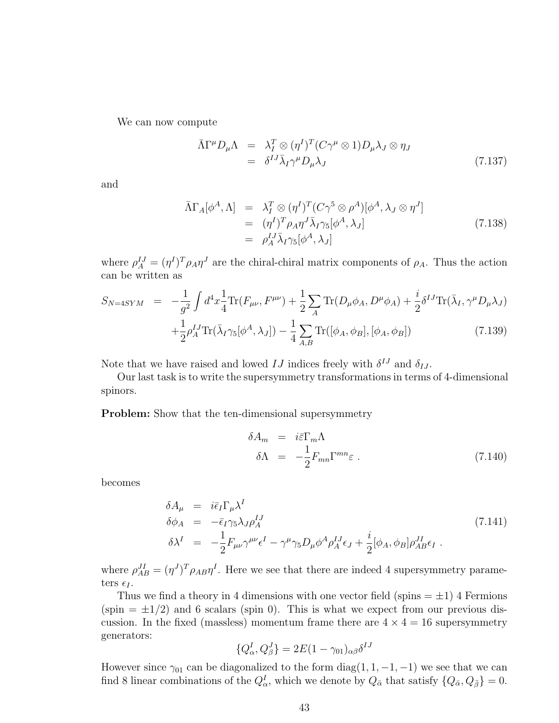We can now compute

$$
\bar{\Lambda}\Gamma^{\mu}D_{\mu}\Lambda = \lambda_{I}^{T} \otimes (\eta^{I})^{T}(C\gamma^{\mu} \otimes 1)D_{\mu}\lambda_{J} \otimes \eta_{J}
$$
\n
$$
= \delta^{IJ}\bar{\lambda}_{I}\gamma^{\mu}D_{\mu}\lambda_{J} \qquad (7.137)
$$

and

$$
\bar{\Lambda}\Gamma_A[\phi^A,\Lambda] = \lambda_I^T \otimes (\eta^I)^T (C\gamma^5 \otimes \rho^A)[\phi^A,\lambda_J \otimes \eta^J]
$$
  
\n
$$
= (\eta^I)^T \rho_A \eta^J \bar{\lambda}_I \gamma_5[\phi^A,\lambda_J]
$$
  
\n
$$
= \rho_A^{IJ} \bar{\lambda}_I \gamma_5[\phi^A,\lambda_J]
$$
  
\n(7.138)

where  $\rho_A^{IJ} = (\eta^I)^T \rho_A \eta^J$  are the chiral-chiral matrix components of  $\rho_A$ . Thus the action can be written as

$$
S_{N=4SYM} = -\frac{1}{g^2} \int d^4x \frac{1}{4} \text{Tr}(F_{\mu\nu}, F^{\mu\nu}) + \frac{1}{2} \sum_A \text{Tr}(D_{\mu}\phi_A, D^{\mu}\phi_A) + \frac{i}{2} \delta^{IJ} \text{Tr}(\bar{\lambda}_I, \gamma^{\mu} D_{\mu}\lambda_J) + \frac{1}{2} \rho_A^{IJ} \text{Tr}(\bar{\lambda}_I \gamma_5[\phi^A, \lambda_J]) - \frac{1}{4} \sum_{A,B} \text{Tr}([\phi_A, \phi_B], [\phi_A, \phi_B])
$$
(7.139)

Note that we have raised and lowed  $IJ$  indices freely with  $\delta^{IJ}$  and  $\delta_{IJ}$ .

Our last task is to write the supersymmetry transformations in terms of 4-dimensional spinors.

Problem: Show that the ten-dimensional supersymmetry

$$
\delta A_m = i \bar{\varepsilon} \Gamma_m \Lambda
$$
  
\n
$$
\delta \Lambda = -\frac{1}{2} F_{mn} \Gamma^{mn} \varepsilon .
$$
\n(7.140)

becomes

$$
\delta A_{\mu} = i \bar{\epsilon}_{I} \Gamma_{\mu} \lambda^{I}
$$
\n
$$
\delta \phi_{A} = -\bar{\epsilon}_{I} \gamma_{5} \lambda_{J} \rho_{A}^{IJ}
$$
\n
$$
\delta \lambda^{I} = -\frac{1}{2} F_{\mu\nu} \gamma^{\mu\nu} \epsilon^{I} - \gamma^{\mu} \gamma_{5} D_{\mu} \phi^{A} \rho_{A}^{IJ} \epsilon_{J} + \frac{i}{2} [\phi_{A}, \phi_{B}] \rho_{AB}^{JI} \epsilon_{I} .
$$
\n(7.141)

where  $\rho_{AB}^{JI} = (\eta^J)^T \rho_{AB} \eta^I$ . Here we see that there are indeed 4 supersymmetry parameters  $\epsilon_I$ .

Thus we find a theory in 4 dimensions with one vector field (spins  $= \pm 1$ ) 4 Fermions  $(\text{spin} = \pm 1/2)$  and 6 scalars (spin 0). This is what we expect from our previous discussion. In the fixed (massless) momentum frame there are  $4 \times 4 = 16$  supersymmetry generators:

$$
\{Q_{\alpha}^{I}, Q_{\beta}^{J}\} = 2E(1 - \gamma_{01})_{\alpha\beta}\delta^{IJ}
$$

However since  $\gamma_{01}$  can be diagonalized to the form diag(1, 1, -1, -1) we see that we can find 8 linear combinations of the  $Q^I_\alpha$ , which we denote by  $Q_{\ddot{\alpha}}$  that satisfy  $\{Q_{\ddot{\alpha}},Q_{\ddot{\beta}}\}=0$ .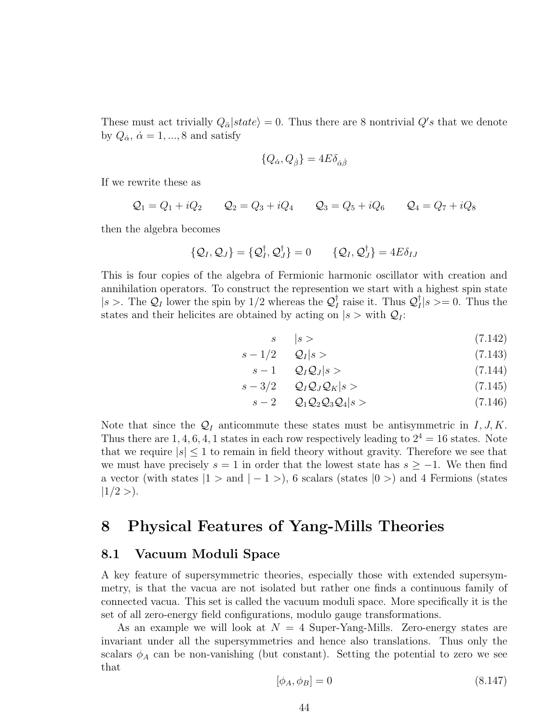These must act trivially  $Q_{\ddot{\alpha}}|state\rangle = 0$ . Thus there are 8 nontrivial  $Q's$  that we denote by  $Q_{\dot{\alpha}}, \, \dot{\alpha} = 1, ..., 8$  and satisfy

$$
\{Q_{\dot{\alpha}}, Q_{\dot{\beta}}\} = 4E\delta_{\dot{\alpha}\dot{\beta}}
$$

If we rewrite these as

$$
Q_1 = Q_1 + iQ_2
$$
  $Q_2 = Q_3 + iQ_4$   $Q_3 = Q_5 + iQ_6$   $Q_4 = Q_7 + iQ_8$ 

then the algebra becomes

$$
\{Q_I, Q_J\} = \{Q_I^{\dagger}, Q_J^{\dagger}\} = 0 \qquad \{Q_I, Q_J^{\dagger}\} = 4E\delta_{IJ}
$$

This is four copies of the algebra of Fermionic harmonic oscillator with creation and annihilation operators. To construct the represention we start with a highest spin state  $|s\rangle$ . The  $\mathcal{Q}_I$  lower the spin by 1/2 whereas the  $\mathcal{Q}_I^{\dagger}$  $I_I^{\dagger}$  raise it. Thus  $\mathcal{Q}_I^{\dagger}$  $|I|_I|s>=0.$  Thus the states and their helicites are obtained by acting on  $|s\rangle$  with  $Q_I$ :

$$
s \qquad |s> \tag{7.142}
$$

$$
s - 1/2 \qquad \mathcal{Q}_I | s \rangle \tag{7.143}
$$

$$
s - 1 \qquad Q_I Q_J | s \rangle \tag{7.144}
$$

$$
s - 3/2 \qquad Q_I Q_J Q_K | s >
$$
\n<sup>(7.145)</sup>

$$
s-2 \qquad Q_1 Q_2 Q_3 Q_4 | s \rangle \qquad (7.146)
$$

Note that since the  $\mathcal{Q}_I$  anticommute these states must be antisymmetric in  $I, J, K$ . Thus there are 1, 4, 6, 4, 1 states in each row respectively leading to  $2^4 = 16$  states. Note that we require  $|s| \leq 1$  to remain in field theory without gravity. Therefore we see that we must have precisely  $s = 1$  in order that the lowest state has  $s \geq -1$ . We then find a vector (with states  $|1 > \text{and } |-1 >$ ), 6 scalars (states  $|0 >$ ) and 4 Fermions (states  $|1/2>$ ).

### 8 Physical Features of Yang-Mills Theories

### 8.1 Vacuum Moduli Space

A key feature of supersymmetric theories, especially those with extended supersymmetry, is that the vacua are not isolated but rather one finds a continuous family of connected vacua. This set is called the vacuum moduli space. More specifically it is the set of all zero-energy field configurations, modulo gauge transformations.

As an example we will look at  $N = 4$  Super-Yang-Mills. Zero-energy states are invariant under all the supersymmetries and hence also translations. Thus only the scalars  $\phi_A$  can be non-vanishing (but constant). Setting the potential to zero we see that

$$
[\phi_A, \phi_B] = 0 \tag{8.147}
$$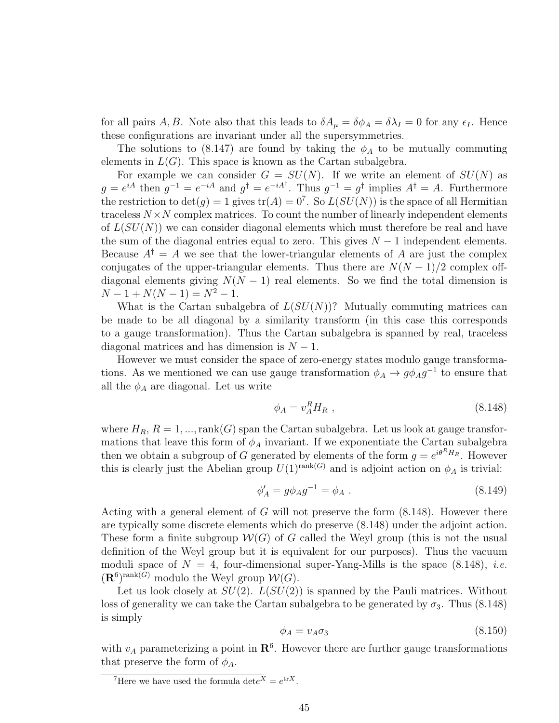for all pairs A, B. Note also that this leads to  $\delta A_\mu = \delta \phi_A = \delta \lambda_I = 0$  for any  $\epsilon_I$ . Hence these configurations are invariant under all the supersymmetries.

The solutions to (8.147) are found by taking the  $\phi_A$  to be mutually commuting elements in  $L(G)$ . This space is known as the Cartan subalgebra.

For example we can consider  $G = SU(N)$ . If we write an element of  $SU(N)$  as  $g = e^{iA}$  then  $g^{-1} = e^{-iA}$  and  $g^{\dagger} = e^{-iA^{\dagger}}$ . Thus  $g^{-1} = g^{\dagger}$  implies  $A^{\dagger} = A$ . Furthermore the restriction to  $\det(g) = 1$  gives  $\text{tr}(A) = 0^7$ . So  $L(SU(N))$  is the space of all Hermitian traceless  $N \times N$  complex matrices. To count the number of linearly independent elements of  $L(SU(N))$  we can consider diagonal elements which must therefore be real and have the sum of the diagonal entries equal to zero. This gives  $N-1$  independent elements. Because  $A^{\dagger} = A$  we see that the lower-triangular elements of A are just the complex conjugates of the upper-triangular elements. Thus there are  $N(N-1)/2$  complex offdiagonal elements giving  $N(N-1)$  real elements. So we find the total dimension is  $N-1+N(N-1)=N^2-1.$ 

What is the Cartan subalgebra of  $L(SU(N))$ ? Mutually commuting matrices can be made to be all diagonal by a similarity transform (in this case this corresponds to a gauge transformation). Thus the Cartan subalgebra is spanned by real, traceless diagonal matrices and has dimension is  $N - 1$ .

However we must consider the space of zero-energy states modulo gauge transformations. As we mentioned we can use gauge transformation  $\phi_A \to g \phi_A g^{-1}$  to ensure that all the  $\phi_A$  are diagonal. Let us write

$$
\phi_A = v_A^R H_R \t{,} \t(8.148)
$$

where  $H_R$ ,  $R = 1, ..., rank(G)$  span the Cartan subalgebra. Let us look at gauge transformations that leave this form of  $\phi_A$  invariant. If we exponentiate the Cartan subalgebra then we obtain a subgroup of G generated by elements of the form  $g = e^{i\theta^R H_R}$ . However this is clearly just the Abelian group  $U(1)^{\text{rank}(G)}$  and is adjoint action on  $\phi_A$  is trivial:

$$
\phi'_A = g\phi_A g^{-1} = \phi_A . \tag{8.149}
$$

Acting with a general element of  $G$  will not preserve the form  $(8.148)$ . However there are typically some discrete elements which do preserve (8.148) under the adjoint action. These form a finite subgroup  $W(G)$  of G called the Weyl group (this is not the usual definition of the Weyl group but it is equivalent for our purposes). Thus the vacuum moduli space of  $N = 4$ , four-dimensional super-Yang-Mills is the space (8.148), *i.e.*  $(\mathbf{R}^6)^{\text{rank}(G)}$  modulo the Weyl group  $\mathcal{W}(G)$ .

Let us look closely at  $SU(2)$ .  $L(SU(2))$  is spanned by the Pauli matrices. Without loss of generality we can take the Cartan subalgebra to be generated by  $\sigma_3$ . Thus (8.148) is simply

$$
\phi_A = v_A \sigma_3 \tag{8.150}
$$

with  $v_A$  parameterizing a point in  $\mathbb{R}^6$ . However there are further gauge transformations that preserve the form of  $\phi_A$ .

<sup>&</sup>lt;sup>7</sup>Here we have used the formula  $\det e^X = e^{\mathrm{tr}X}$ .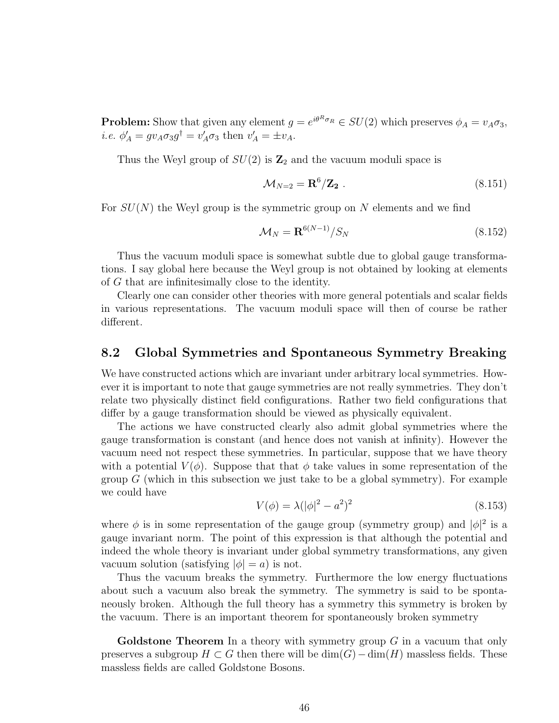**Problem:** Show that given any element  $g = e^{i\theta^R \sigma_R} \in SU(2)$  which preserves  $\phi_A = v_A \sigma_3$ , *i.e.*  $\phi'_A = gv_A \sigma_3 g^{\dagger} = v'_A \sigma_3$  then  $v'_A = \pm v_A$ .

Thus the Weyl group of  $SU(2)$  is  $\mathbb{Z}_2$  and the vacuum moduli space is

$$
\mathcal{M}_{N=2} = \mathbf{R}^6 / \mathbf{Z}_2 \tag{8.151}
$$

For  $SU(N)$  the Weyl group is the symmetric group on N elements and we find

$$
\mathcal{M}_N = \mathbf{R}^{6(N-1)} / S_N \tag{8.152}
$$

Thus the vacuum moduli space is somewhat subtle due to global gauge transformations. I say global here because the Weyl group is not obtained by looking at elements of G that are infinitesimally close to the identity.

Clearly one can consider other theories with more general potentials and scalar fields in various representations. The vacuum moduli space will then of course be rather different.

### 8.2 Global Symmetries and Spontaneous Symmetry Breaking

We have constructed actions which are invariant under arbitrary local symmetries. However it is important to note that gauge symmetries are not really symmetries. They don't relate two physically distinct field configurations. Rather two field configurations that differ by a gauge transformation should be viewed as physically equivalent.

The actions we have constructed clearly also admit global symmetries where the gauge transformation is constant (and hence does not vanish at infinity). However the vacuum need not respect these symmetries. In particular, suppose that we have theory with a potential  $V(\phi)$ . Suppose that that  $\phi$  take values in some representation of the group  $G$  (which in this subsection we just take to be a global symmetry). For example we could have

$$
V(\phi) = \lambda (|\phi|^2 - a^2)^2
$$
\n(8.153)

where  $\phi$  is in some representation of the gauge group (symmetry group) and  $|\phi|^2$  is a gauge invariant norm. The point of this expression is that although the potential and indeed the whole theory is invariant under global symmetry transformations, any given vacuum solution (satisfying  $|\phi| = a$ ) is not.

Thus the vacuum breaks the symmetry. Furthermore the low energy fluctuations about such a vacuum also break the symmetry. The symmetry is said to be spontaneously broken. Although the full theory has a symmetry this symmetry is broken by the vacuum. There is an important theorem for spontaneously broken symmetry

**Goldstone Theorem** In a theory with symmetry group  $G$  in a vacuum that only preserves a subgroup  $H \subset G$  then there will be  $\dim(G) - \dim(H)$  massless fields. These massless fields are called Goldstone Bosons.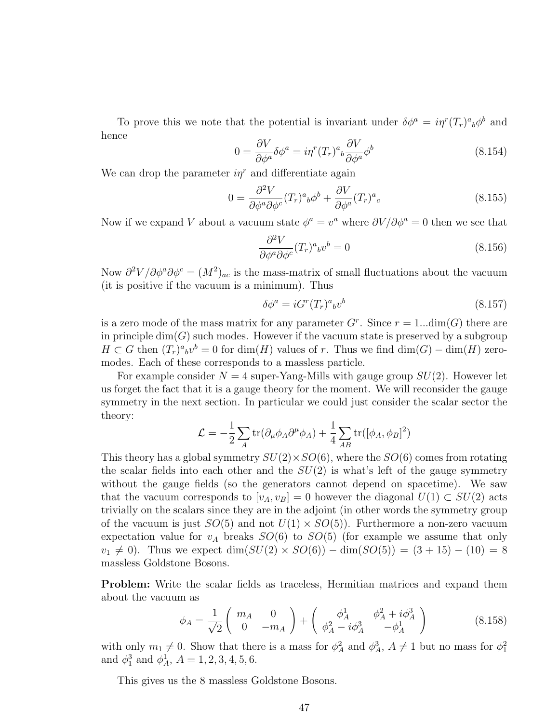To prove this we note that the potential is invariant under  $\delta \phi^a = i \eta^r (T_r)^a{}_b \phi^b$  and hence

$$
0 = \frac{\partial V}{\partial \phi^a} \delta \phi^a = i \eta^r (T_r)^a{}_b \frac{\partial V}{\partial \phi^a} \phi^b
$$
\n(8.154)

We can drop the parameter  $i\eta^r$  and differentiate again

$$
0 = \frac{\partial^2 V}{\partial \phi^a \partial \phi^c} (T_r)^a{}_b \phi^b + \frac{\partial V}{\partial \phi^a} (T_r)^a{}_c \tag{8.155}
$$

Now if we expand V about a vacuum state  $\phi^a = v^a$  where  $\partial V / \partial \phi^a = 0$  then we see that

$$
\frac{\partial^2 V}{\partial \phi^a \partial \phi^c} (T_r)^a{}_b v^b = 0 \tag{8.156}
$$

Now  $\partial^2 V/\partial \phi^a \partial \phi^c = (M^2)_{ac}$  is the mass-matrix of small fluctuations about the vacuum (it is positive if the vacuum is a minimum). Thus

$$
\delta \phi^a = i G^r (T_r)^a{}_b v^b \tag{8.157}
$$

is a zero mode of the mass matrix for any parameter  $G<sup>r</sup>$ . Since  $r = 1...dim(G)$  there are in principle  $\dim(G)$  such modes. However if the vacuum state is preserved by a subgroup  $H \subset G$  then  $(T_r)^a{}_b v^b = 0$  for  $\dim(H)$  values of r. Thus we find  $\dim(G) - \dim(H)$  zeromodes. Each of these corresponds to a massless particle.

For example consider  $N = 4$  super-Yang-Mills with gauge group  $SU(2)$ . However let us forget the fact that it is a gauge theory for the moment. We will reconsider the gauge symmetry in the next section. In particular we could just consider the scalar sector the theory:

$$
\mathcal{L} = -\frac{1}{2} \sum_{A} \text{tr}(\partial_{\mu} \phi_{A} \partial^{\mu} \phi_{A}) + \frac{1}{4} \sum_{AB} \text{tr}([\phi_{A}, \phi_{B}]^{2})
$$

This theory has a global symmetry  $SU(2) \times SO(6)$ , where the  $SO(6)$  comes from rotating the scalar fields into each other and the  $SU(2)$  is what's left of the gauge symmetry without the gauge fields (so the generators cannot depend on spacetime). We saw that the vacuum corresponds to  $[v_A, v_B] = 0$  however the diagonal  $U(1) \subset SU(2)$  acts trivially on the scalars since they are in the adjoint (in other words the symmetry group of the vacuum is just  $SO(5)$  and not  $U(1) \times SO(5)$ . Furthermore a non-zero vacuum expectation value for  $v_A$  breaks  $SO(6)$  to  $SO(5)$  (for example we assume that only  $v_1 \neq 0$ ). Thus we expect dim( $SU(2) \times SO(6)$ ) – dim( $SO(5)$ ) = (3 + 15) – (10) = 8 massless Goldstone Bosons.

Problem: Write the scalar fields as traceless, Hermitian matrices and expand them about the vacuum as

$$
\phi_A = \frac{1}{\sqrt{2}} \begin{pmatrix} m_A & 0 \\ 0 & -m_A \end{pmatrix} + \begin{pmatrix} \phi_A^1 & \phi_A^2 + i\phi_A^3 \\ \phi_A^2 - i\phi_A^3 & -\phi_A^1 \end{pmatrix}
$$
(8.158)

with only  $m_1 \neq 0$ . Show that there is a mass for  $\phi_A^2$  and  $\phi_A^3$ ,  $A \neq 1$  but no mass for  $\phi_1^2$ and  $\phi_1^3$  and  $\phi_A^1$ ,  $A = 1, 2, 3, 4, 5, 6$ .

This gives us the 8 massless Goldstone Bosons.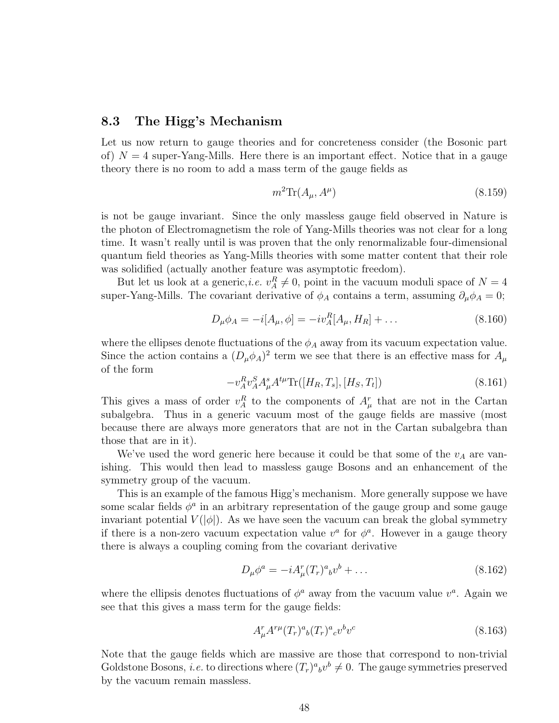### 8.3 The Higg's Mechanism

Let us now return to gauge theories and for concreteness consider (the Bosonic part of)  $N = 4$  super-Yang-Mills. Here there is an important effect. Notice that in a gauge theory there is no room to add a mass term of the gauge fields as

$$
m^2 \text{Tr}(A_\mu, A^\mu) \tag{8.159}
$$

is not be gauge invariant. Since the only massless gauge field observed in Nature is the photon of Electromagnetism the role of Yang-Mills theories was not clear for a long time. It wasn't really until is was proven that the only renormalizable four-dimensional quantum field theories as Yang-Mills theories with some matter content that their role was solidified (actually another feature was asymptotic freedom).

But let us look at a generic, *i.e.*  $v_A^R \neq 0$ , point in the vacuum moduli space of  $N = 4$ super-Yang-Mills. The covariant derivative of  $\phi_A$  contains a term, assuming  $\partial_\mu \phi_A = 0$ ;

$$
D_{\mu}\phi_A = -i[A_{\mu}, \phi] = -iv_A^R[A_{\mu}, H_R] + \dots \tag{8.160}
$$

where the ellipses denote fluctuations of the  $\phi_A$  away from its vacuum expectation value. Since the action contains a  $(D_{\mu}\phi_A)^2$  term we see that there is an effective mass for  $A_{\mu}$ of the form

$$
-v_A^R v_A^S A_\mu^s A^{t\mu} \text{Tr}([H_R, T_s], [H_S, T_t]) \tag{8.161}
$$

This gives a mass of order  $v_A^R$  to the components of  $A^r_\mu$  that are not in the Cartan subalgebra. Thus in a generic vacuum most of the gauge fields are massive (most because there are always more generators that are not in the Cartan subalgebra than those that are in it).

We've used the word generic here because it could be that some of the  $v_A$  are vanishing. This would then lead to massless gauge Bosons and an enhancement of the symmetry group of the vacuum.

This is an example of the famous Higg's mechanism. More generally suppose we have some scalar fields  $\phi^a$  in an arbitrary representation of the gauge group and some gauge invariant potential  $V(|\phi|)$ . As we have seen the vacuum can break the global symmetry if there is a non-zero vacuum expectation value  $v^a$  for  $\phi^a$ . However in a gauge theory there is always a coupling coming from the covariant derivative

$$
D_{\mu}\phi^{a} = -iA_{\mu}^{r}(T_{r})^{a}{}_{b}v^{b} + \dots \qquad (8.162)
$$

where the ellipsis denotes fluctuations of  $\phi^a$  away from the vacuum value  $v^a$ . Again we see that this gives a mass term for the gauge fields:

$$
A^r_{\mu}A^{r\mu}(T_r)^a{}_b(T_r)^a{}_cv^b v^c\tag{8.163}
$$

Note that the gauge fields which are massive are those that correspond to non-trivial Goldstone Bosons, *i.e.* to directions where  $(T_r)^a{}_b v^b \neq 0$ . The gauge symmetries preserved by the vacuum remain massless.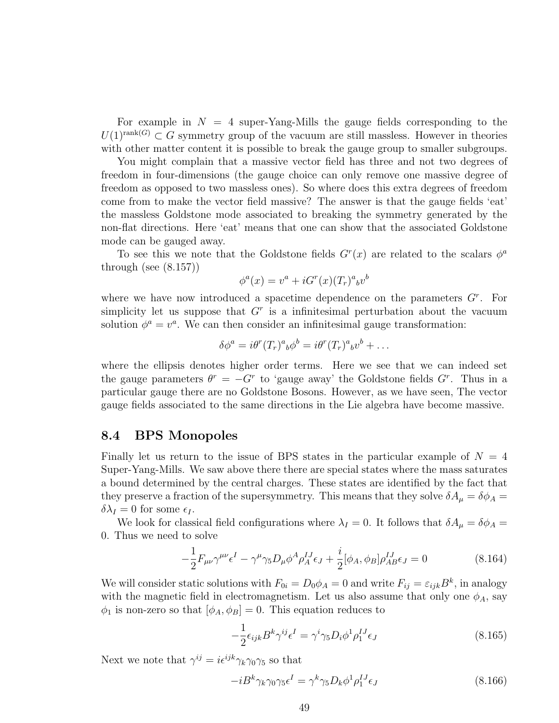For example in  $N = 4$  super-Yang-Mills the gauge fields corresponding to the  $U(1)^{\text{rank}(G)} \subset G$  symmetry group of the vacuum are still massless. However in theories with other matter content it is possible to break the gauge group to smaller subgroups.

You might complain that a massive vector field has three and not two degrees of freedom in four-dimensions (the gauge choice can only remove one massive degree of freedom as opposed to two massless ones). So where does this extra degrees of freedom come from to make the vector field massive? The answer is that the gauge fields 'eat' the massless Goldstone mode associated to breaking the symmetry generated by the non-flat directions. Here 'eat' means that one can show that the associated Goldstone mode can be gauged away.

To see this we note that the Goldstone fields  $G<sup>r</sup>(x)$  are related to the scalars  $\phi<sup>a</sup>$ through (see  $(8.157)$ )

$$
\phi^a(x) = v^a + iG^r(x)(T_r)^a{}_b v^b
$$

where we have now introduced a spacetime dependence on the parameters  $G<sup>r</sup>$ . For simplicity let us suppose that  $G<sup>r</sup>$  is a infinitesimal perturbation about the vacuum solution  $\phi^a = v^a$ . We can then consider an infinitesimal gauge transformation:

$$
\delta\phi^a = i\theta^r (T_r)^a{}_b\phi^b = i\theta^r (T_r)^a{}_b v^b + \dots
$$

where the ellipsis denotes higher order terms. Here we see that we can indeed set the gauge parameters  $\theta^r = -G^r$  to 'gauge away' the Goldstone fields  $G^r$ . Thus in a particular gauge there are no Goldstone Bosons. However, as we have seen, The vector gauge fields associated to the same directions in the Lie algebra have become massive.

### 8.4 BPS Monopoles

Finally let us return to the issue of BPS states in the particular example of  $N = 4$ Super-Yang-Mills. We saw above there there are special states where the mass saturates a bound determined by the central charges. These states are identified by the fact that they preserve a fraction of the supersymmetry. This means that they solve  $\delta A_\mu = \delta \phi_A =$  $\delta \lambda_I = 0$  for some  $\epsilon_I$ .

We look for classical field configurations where  $\lambda_I = 0$ . It follows that  $\delta A_\mu = \delta \phi_A =$ 0. Thus we need to solve

$$
-\frac{1}{2}F_{\mu\nu}\gamma^{\mu\nu}\epsilon^I - \gamma^{\mu}\gamma_5 D_{\mu}\phi^A\rho_A^{IJ}\epsilon_J + \frac{i}{2}[\phi_A,\phi_B]\rho_{AB}^{IJ}\epsilon_J = 0
$$
\n(8.164)

We will consider static solutions with  $F_{0i} = D_0 \phi_A = 0$  and write  $F_{ij} = \varepsilon_{ijk} B^k$ , in analogy with the magnetic field in electromagnetism. Let us also assume that only one  $\phi_A$ , say  $\phi_1$  is non-zero so that  $[\phi_A, \phi_B] = 0$ . This equation reduces to

$$
-\frac{1}{2}\epsilon_{ijk}B^k\gamma^{ij}\epsilon^I = \gamma^i\gamma_5 D_i\phi^1\rho_1^{IJ}\epsilon_J
$$
\n(8.165)

Next we note that  $\gamma^{ij} = i \epsilon^{ijk} \gamma_k \gamma_0 \gamma_5$  so that

$$
-iB^k \gamma_k \gamma_0 \gamma_5 \epsilon^I = \gamma^k \gamma_5 D_k \phi^1 \rho_1^{IJ} \epsilon_J \tag{8.166}
$$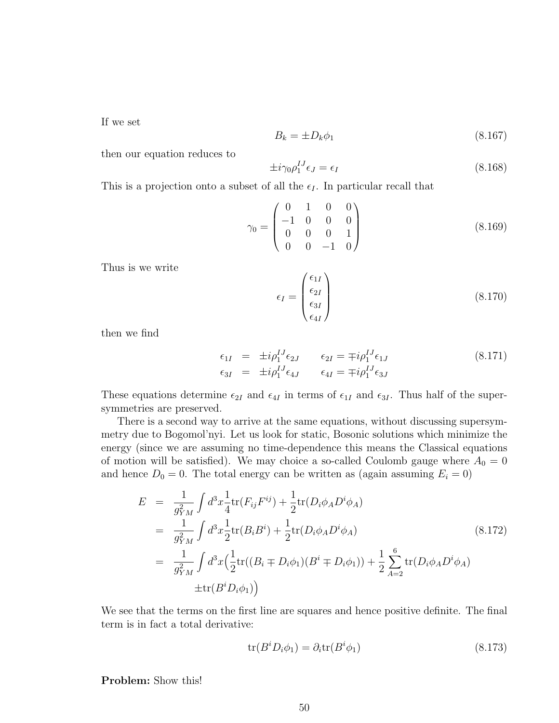If we set

$$
B_k = \pm D_k \phi_1 \tag{8.167}
$$

then our equation reduces to

$$
\pm i\gamma_0 \rho_1^{IJ} \epsilon_J = \epsilon_I \tag{8.168}
$$

This is a projection onto a subset of all the  $\epsilon_I$ . In particular recall that

$$
\gamma_0 = \begin{pmatrix} 0 & 1 & 0 & 0 \\ -1 & 0 & 0 & 0 \\ 0 & 0 & 0 & 1 \\ 0 & 0 & -1 & 0 \end{pmatrix}
$$
 (8.169)

Thus is we write

$$
\epsilon_I = \begin{pmatrix} \epsilon_{1I} \\ \epsilon_{2I} \\ \epsilon_{3I} \\ \epsilon_{4I} \end{pmatrix} \tag{8.170}
$$

then we find

$$
\epsilon_{1I} = \pm i \rho_1^{IJ} \epsilon_{2J} \qquad \epsilon_{2I} = \mp i \rho_1^{IJ} \epsilon_{1J} \n\epsilon_{3I} = \pm i \rho_1^{IJ} \epsilon_{4J} \qquad \epsilon_{4I} = \mp i \rho_1^{IJ} \epsilon_{3J}
$$
\n(8.171)

These equations determine  $\epsilon_{2I}$  and  $\epsilon_{4I}$  in terms of  $\epsilon_{1I}$  and  $\epsilon_{3I}$ . Thus half of the supersymmetries are preserved.

There is a second way to arrive at the same equations, without discussing supersymmetry due to Bogomol'nyi. Let us look for static, Bosonic solutions which minimize the energy (since we are assuming no time-dependence this means the Classical equations of motion will be satisfied). We may choice a so-called Coulomb gauge where  $A_0 = 0$ and hence  $D_0 = 0$ . The total energy can be written as (again assuming  $E_i = 0$ )

$$
E = \frac{1}{g_{YM}^2} \int d^3x \frac{1}{4} \text{tr}(F_{ij}F^{ij}) + \frac{1}{2} \text{tr}(D_i \phi_A D^i \phi_A)
$$
  
\n
$$
= \frac{1}{g_{YM}^2} \int d^3x \frac{1}{2} \text{tr}(B_i B^i) + \frac{1}{2} \text{tr}(D_i \phi_A D^i \phi_A)
$$
  
\n
$$
= \frac{1}{g_{YM}^2} \int d^3x \Big(\frac{1}{2} \text{tr}((B_i \mp D_i \phi_1)(B^i \mp D_i \phi_1)) + \frac{1}{2} \sum_{A=2}^6 \text{tr}(D_i \phi_A D^i \phi_A)
$$
  
\n
$$
\pm \text{tr}(B^i D_i \phi_1)\Big)
$$
  
\n(8.172)

We see that the terms on the first line are squares and hence positive definite. The final term is in fact a total derivative:

$$
\operatorname{tr}(B^i D_i \phi_1) = \partial_i \operatorname{tr}(B^i \phi_1) \tag{8.173}
$$

Problem: Show this!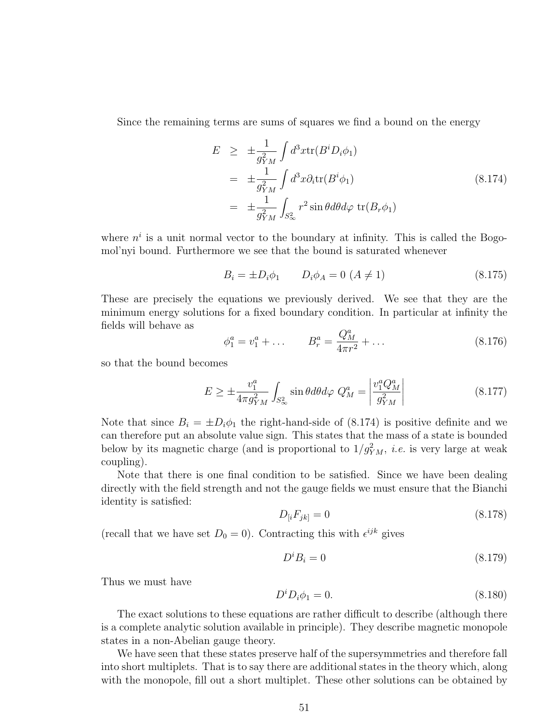Since the remaining terms are sums of squares we find a bound on the energy

$$
E \geq \pm \frac{1}{g_{YM}^2} \int d^3x \text{tr}(B^i D_i \phi_1)
$$
  
=  $\pm \frac{1}{g_{YM}^2} \int d^3x \partial_i \text{tr}(B^i \phi_1)$   
=  $\pm \frac{1}{g_{YM}^2} \int_{S_{\infty}^2} r^2 \sin \theta d\theta d\varphi \text{ tr}(B_r \phi_1)$  (8.174)

where  $n^i$  is a unit normal vector to the boundary at infinity. This is called the Bogomol'nyi bound. Furthermore we see that the bound is saturated whenever

$$
B_i = \pm D_i \phi_1 \qquad D_i \phi_A = 0 \ (A \neq 1) \tag{8.175}
$$

These are precisely the equations we previously derived. We see that they are the minimum energy solutions for a fixed boundary condition. In particular at infinity the fields will behave as

$$
\phi_1^a = v_1^a + \dots \qquad B_r^a = \frac{Q_M^a}{4\pi r^2} + \dots \tag{8.176}
$$

so that the bound becomes

$$
E \ge \pm \frac{v_1^a}{4\pi g_{YM}^2} \int_{S^2_{\infty}} \sin\theta d\theta d\varphi \ Q_M^a = \left| \frac{v_1^a Q_M^a}{g_{YM}^2} \right| \tag{8.177}
$$

Note that since  $B_i = \pm D_i \phi_1$  the right-hand-side of (8.174) is positive definite and we can therefore put an absolute value sign. This states that the mass of a state is bounded below by its magnetic charge (and is proportional to  $1/g_{YM}^2$ , *i.e.* is very large at weak coupling).

Note that there is one final condition to be satisfied. Since we have been dealing directly with the field strength and not the gauge fields we must ensure that the Bianchi identity is satisfied:

$$
D_{[i}F_{jk]} = 0 \t\t(8.178)
$$

(recall that we have set  $D_0 = 0$ ). Contracting this with  $\epsilon^{ijk}$  gives

$$
D^i B_i = 0 \tag{8.179}
$$

Thus we must have

$$
D^i D_i \phi_1 = 0. \t\t(8.180)
$$

The exact solutions to these equations are rather difficult to describe (although there is a complete analytic solution available in principle). They describe magnetic monopole states in a non-Abelian gauge theory.

We have seen that these states preserve half of the supersymmetries and therefore fall into short multiplets. That is to say there are additional states in the theory which, along with the monopole, fill out a short multiplet. These other solutions can be obtained by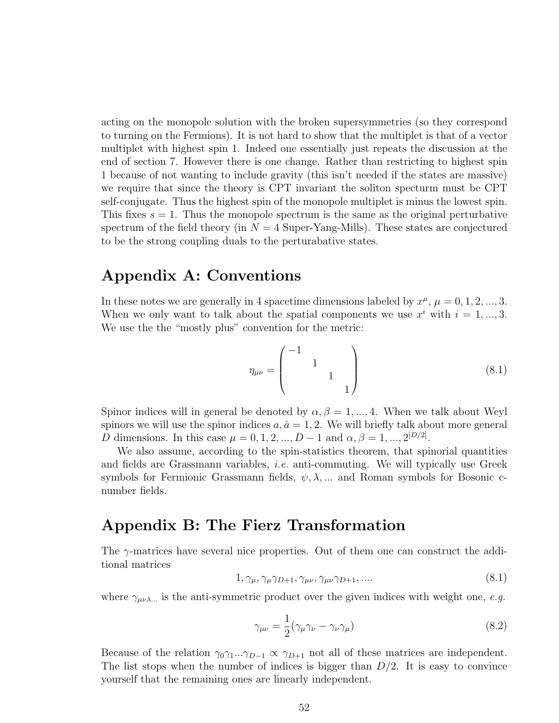acting on the monopole solution with the broken supersymmetries (so they correspond to turning on the Fermions). It is not hard to show that the multiplet is that of a vector multiplet with highest spin 1. Indeed one essentially just repeats the discussion at the end of section 7. However there is one change. Rather than restricting to highest spin 1 because of not wanting to include gravity (this isn't needed if the states are massive) we require that since the theory is CPT invariant the soliton specturm must be CPT self-conjugate. Thus the highest spin of the monopole multiplet is minus the lowest spin. This fixes  $s = 1$ . Thus the monopole spectrum is the same as the original perturbative spectrum of the field theory (in  $N = 4$  Super-Yang-Mills). These states are conjectured to be the strong coupling duals to the perturabative states.

## Appendix A: Conventions

In these notes we are generally in 4 spacetime dimensions labeled by  $x^{\mu}$ ,  $\mu = 0, 1, 2, ..., 3$ . When we only want to talk about the spatial components we use  $x^i$  with  $i = 1, ..., 3$ . We use the the "mostly plus" convention for the metric:

$$
\eta_{\mu\nu} = \begin{pmatrix} -1 & & & \\ & 1 & & \\ & & 1 & \\ & & & 1 \end{pmatrix} \tag{8.1}
$$

Spinor indices will in general be denoted by  $\alpha, \beta = 1, ..., 4$ . When we talk about Weyl spinors we will use the spinor indices  $a, \dot{a} = 1, 2$ . We will briefly talk about more general D dimensions. In this case  $\mu = 0, 1, 2, ..., D - 1$  and  $\alpha, \beta = 1, ..., 2^{[D/2]}$ .

We also assume, according to the spin-statistics theorem, that spinorial quantities and fields are Grassmann variables, i.e. anti-commuting. We will typically use Greek symbols for Fermionic Grassmann fields,  $\psi, \lambda, \dots$  and Roman symbols for Bosonic cnumber fields.

## Appendix B: The Fierz Transformation

The  $\gamma$ -matrices have several nice properties. Out of them one can construct the additional matrices

$$
1, \gamma_{\mu}, \gamma_{\mu}\gamma_{D+1}, \gamma_{\mu\nu}, \gamma_{\mu\nu}\gamma_{D+1}, \dots \tag{8.1}
$$

where  $\gamma_{\mu\nu\lambda}$  is the anti-symmetric product over the given indices with weight one, e.g.

$$
\gamma_{\mu\nu} = \frac{1}{2} (\gamma_{\mu} \gamma_{\nu} - \gamma_{\nu} \gamma_{\mu})
$$
\n(8.2)

Because of the relation  $\gamma_0\gamma_1...\gamma_{D-1} \propto \gamma_{D+1}$  not all of these matrices are independent. The list stops when the number of indices is bigger than  $D/2$ . It is easy to convince yourself that the remaining ones are linearly independent.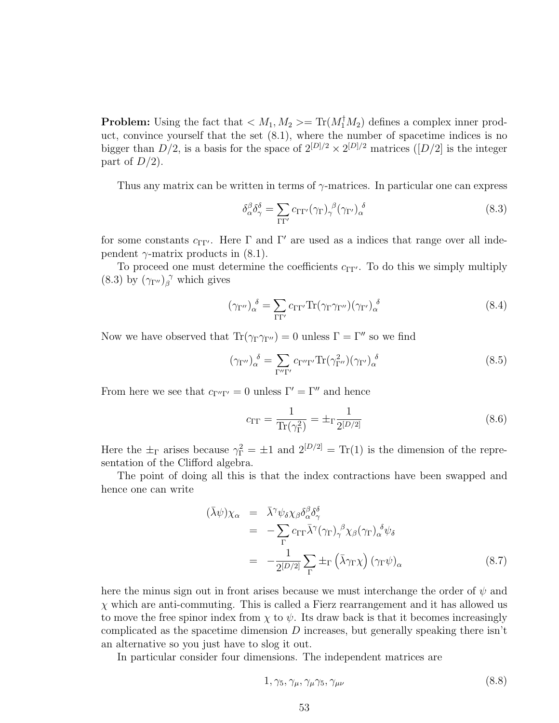**Problem:** Using the fact that  $\langle M_1, M_2 \rangle = \text{Tr}(M_1^{\dagger} M_2)$  defines a complex inner product, convince yourself that the set (8.1), where the number of spacetime indices is no bigger than  $D/2$ , is a basis for the space of  $2^{[D]/2} \times 2^{[D]/2}$  matrices  $([D]/2]$  is the integer part of  $D/2$ ).

Thus any matrix can be written in terms of  $\gamma$ -matrices. In particular one can express

$$
\delta_{\alpha}^{\beta} \delta_{\gamma}^{\delta} = \sum_{\Gamma \Gamma'} c_{\Gamma \Gamma'} (\gamma_{\Gamma})_{\gamma}^{\ \beta} (\gamma_{\Gamma'})_{\alpha}^{\ \delta} \tag{8.3}
$$

for some constants  $c_{\Gamma\Gamma'}$ . Here  $\Gamma$  and  $\Gamma'$  are used as a indices that range over all independent  $\gamma$ -matrix products in (8.1).

To proceed one must determine the coefficients  $c_{\Gamma\Gamma'}$ . To do this we simply multiply (8.3) by  $(\gamma_{\Gamma''})_{\beta}^{\gamma}$  which gives

$$
(\gamma_{\Gamma''})_{\alpha}^{\delta} = \sum_{\Gamma\Gamma'} c_{\Gamma\Gamma'} \text{Tr}(\gamma_{\Gamma}\gamma_{\Gamma''})(\gamma_{\Gamma'})_{\alpha}^{\delta} \tag{8.4}
$$

Now we have observed that  $\text{Tr}(\gamma_{\Gamma}\gamma_{\Gamma^{\prime\prime}})=0$  unless  $\Gamma=\Gamma^{\prime\prime}$  so we find

$$
(\gamma_{\Gamma''})_{\alpha}^{\delta} = \sum_{\Gamma''\Gamma'} c_{\Gamma''\Gamma'} \text{Tr}(\gamma_{\Gamma''}^2)(\gamma_{\Gamma'})_{\alpha}^{\delta} \tag{8.5}
$$

From here we see that  $c_{\Gamma''\Gamma'} = 0$  unless  $\Gamma' = \Gamma''$  and hence

$$
c_{\Gamma\Gamma} = \frac{1}{\text{Tr}(\gamma_{\Gamma}^2)} = \pm_{\Gamma} \frac{1}{2^{[D/2]}}\tag{8.6}
$$

Here the  $\pm_{\Gamma}$  arises because  $\gamma_{\Gamma}^2 = \pm 1$  and  $2^{[D/2]} = \text{Tr}(1)$  is the dimension of the representation of the Clifford algebra.

The point of doing all this is that the index contractions have been swapped and hence one can write

$$
(\bar{\lambda}\psi)\chi_{\alpha} = \bar{\lambda}^{\gamma}\psi_{\delta}\chi_{\beta}\delta_{\alpha}^{\beta}\delta_{\gamma}^{\delta}
$$
  
\n
$$
= -\sum_{\Gamma} c_{\Gamma\Gamma}\bar{\lambda}^{\gamma}(\gamma_{\Gamma})_{\gamma}^{\beta}\chi_{\beta}(\gamma_{\Gamma})_{\alpha}^{\delta}\psi_{\delta}
$$
  
\n
$$
= -\frac{1}{2^{[D/2]}}\sum_{\Gamma} \pm_{\Gamma} (\bar{\lambda}\gamma_{\Gamma}\chi) (\gamma_{\Gamma}\psi)_{\alpha}
$$
(8.7)

here the minus sign out in front arises because we must interchange the order of  $\psi$  and  $\chi$  which are anti-commuting. This is called a Fierz rearrangement and it has allowed us to move the free spinor index from  $\chi$  to  $\psi$ . Its draw back is that it becomes increasingly complicated as the spacetime dimension  $D$  increases, but generally speaking there isn't an alternative so you just have to slog it out.

In particular consider four dimensions. The independent matrices are

$$
1, \gamma_5, \gamma_\mu, \gamma_\mu \gamma_5, \gamma_{\mu\nu} \tag{8.8}
$$